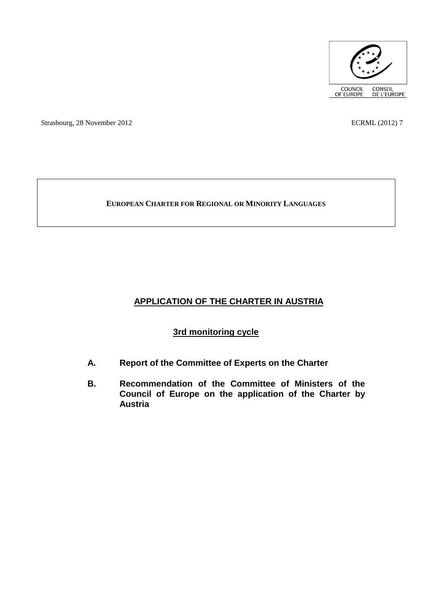

Strasbourg, 28 November 2012 ECRML (2012) 7

# **EUROPEAN CHARTER FOR REGIONAL OR MINORITY LANGUAGES**

# **APPLICATION OF THE CHARTER IN AUSTRIA**

# **3rd monitoring cycle**

- **A. Report of the Committee of Experts on the Charter**
- **B. Recommendation of the Committee of Ministers of the Council of Europe on the application of the Charter by Austria**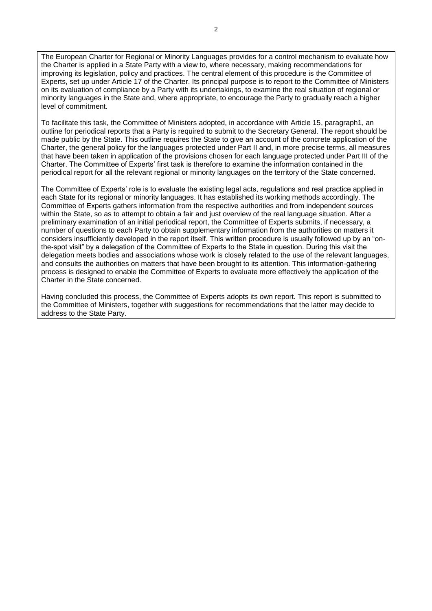The European Charter for Regional or Minority Languages provides for a control mechanism to evaluate how the Charter is applied in a State Party with a view to, where necessary, making recommendations for improving its legislation, policy and practices. The central element of this procedure is the Committee of Experts, set up under Article 17 of the Charter. Its principal purpose is to report to the Committee of Ministers on its evaluation of compliance by a Party with its undertakings, to examine the real situation of regional or minority languages in the State and, where appropriate, to encourage the Party to gradually reach a higher level of commitment.

To facilitate this task, the Committee of Ministers adopted, in accordance with Article 15, paragraph1, an outline for periodical reports that a Party is required to submit to the Secretary General. The report should be made public by the State. This outline requires the State to give an account of the concrete application of the Charter, the general policy for the languages protected under Part II and, in more precise terms, all measures that have been taken in application of the provisions chosen for each language protected under Part III of the Charter. The Committee of Experts' first task is therefore to examine the information contained in the periodical report for all the relevant regional or minority languages on the territory of the State concerned.

The Committee of Experts' role is to evaluate the existing legal acts, regulations and real practice applied in each State for its regional or minority languages. It has established its working methods accordingly. The Committee of Experts gathers information from the respective authorities and from independent sources within the State, so as to attempt to obtain a fair and just overview of the real language situation. After a preliminary examination of an initial periodical report, the Committee of Experts submits, if necessary, a number of questions to each Party to obtain supplementary information from the authorities on matters it considers insufficiently developed in the report itself. This written procedure is usually followed up by an "onthe-spot visit" by a delegation of the Committee of Experts to the State in question. During this visit the delegation meets bodies and associations whose work is closely related to the use of the relevant languages, and consults the authorities on matters that have been brought to its attention. This information-gathering process is designed to enable the Committee of Experts to evaluate more effectively the application of the Charter in the State concerned.

Having concluded this process, the Committee of Experts adopts its own report. This report is submitted to the Committee of Ministers, together with suggestions for recommendations that the latter may decide to address to the State Party.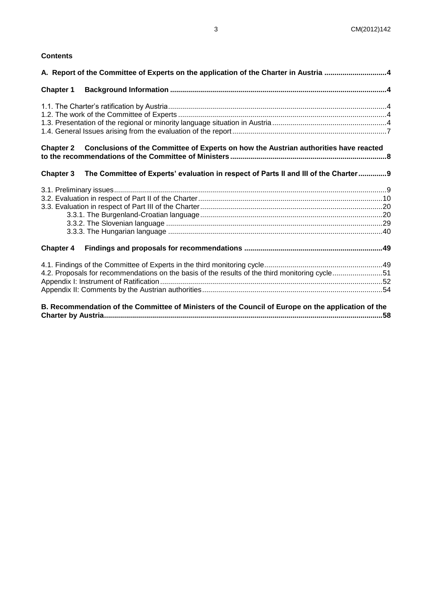## **Contents**

| A. Report of the Committee of Experts on the application of the Charter in Austria 4           |                                                                                                    |  |
|------------------------------------------------------------------------------------------------|----------------------------------------------------------------------------------------------------|--|
| <b>Chapter 1</b>                                                                               |                                                                                                    |  |
|                                                                                                |                                                                                                    |  |
|                                                                                                |                                                                                                    |  |
|                                                                                                |                                                                                                    |  |
|                                                                                                |                                                                                                    |  |
|                                                                                                | Chapter 2 Conclusions of the Committee of Experts on how the Austrian authorities have reacted     |  |
|                                                                                                |                                                                                                    |  |
| <b>Chapter 3</b>                                                                               | The Committee of Experts' evaluation in respect of Parts II and III of the Charter9                |  |
|                                                                                                |                                                                                                    |  |
|                                                                                                |                                                                                                    |  |
|                                                                                                |                                                                                                    |  |
|                                                                                                |                                                                                                    |  |
|                                                                                                |                                                                                                    |  |
|                                                                                                |                                                                                                    |  |
|                                                                                                |                                                                                                    |  |
|                                                                                                |                                                                                                    |  |
| 4.2. Proposals for recommendations on the basis of the results of the third monitoring cycle51 |                                                                                                    |  |
|                                                                                                |                                                                                                    |  |
|                                                                                                |                                                                                                    |  |
|                                                                                                | R. Recommendation of the Committee of Ministers of the Council of Europe on the application of the |  |

**[B. Recommendation of the Committee of Ministers of the Council of Europe on the application of the](#page-57-0)  [Charter by Austria...........................................................................................................................................58](#page-57-0)**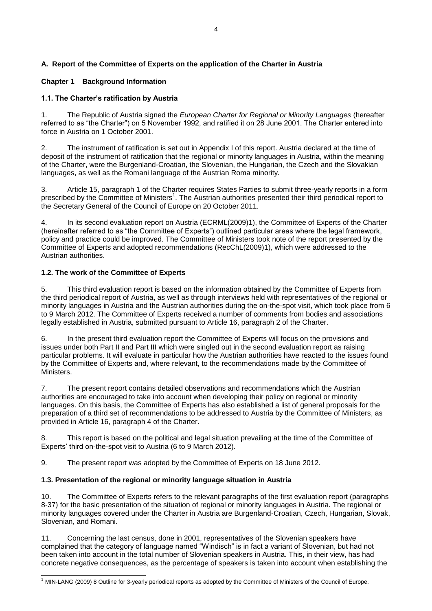# <span id="page-3-0"></span>**A. Report of the Committee of Experts on the application of the Charter in Austria**

# <span id="page-3-1"></span>**Chapter 1 Background Information**

# <span id="page-3-2"></span>**1.1. The Charter's ratification by Austria**

1. The Republic of Austria signed the *European Charter for Regional or Minority Languages* (hereafter referred to as "the Charter") on 5 November 1992, and ratified it on 28 June 2001. The Charter entered into force in Austria on 1 October 2001.

2. The instrument of ratification is set out in Appendix I of this report. Austria declared at the time of deposit of the instrument of ratification that the regional or minority languages in Austria, within the meaning of the Charter, were the Burgenland-Croatian, the Slovenian, the Hungarian, the Czech and the Slovakian languages, as well as the Romani language of the Austrian Roma minority.

3. Article 15, paragraph 1 of the Charter requires States Parties to submit three-yearly reports in a form prescribed by the Committee of Ministers<sup>1</sup>. The Austrian authorities presented their third periodical report to the Secretary General of the Council of Europe on 20 October 2011.

4. In its second evaluation report on Austria (ECRML(2009)1), the Committee of Experts of the Charter (hereinafter referred to as "the Committee of Experts") outlined particular areas where the legal framework, policy and practice could be improved. The Committee of Ministers took note of the report presented by the Committee of Experts and adopted recommendations (RecChL(2009)1), which were addressed to the Austrian authorities.

# <span id="page-3-3"></span>**1.2. The work of the Committee of Experts**

5. This third evaluation report is based on the information obtained by the Committee of Experts from the third periodical report of Austria, as well as through interviews held with representatives of the regional or minority languages in Austria and the Austrian authorities during the on-the-spot visit, which took place from 6 to 9 March 2012. The Committee of Experts received a number of comments from bodies and associations legally established in Austria, submitted pursuant to Article 16, paragraph 2 of the Charter.

6. In the present third evaluation report the Committee of Experts will focus on the provisions and issues under both Part II and Part III which were singled out in the second evaluation report as raising particular problems. It will evaluate in particular how the Austrian authorities have reacted to the issues found by the Committee of Experts and, where relevant, to the recommendations made by the Committee of **Ministers** 

7. The present report contains detailed observations and recommendations which the Austrian authorities are encouraged to take into account when developing their policy on regional or minority languages. On this basis, the Committee of Experts has also established a list of general proposals for the preparation of a third set of recommendations to be addressed to Austria by the Committee of Ministers, as provided in Article 16, paragraph 4 of the Charter.

8. This report is based on the political and legal situation prevailing at the time of the Committee of Experts' third on-the-spot visit to Austria (6 to 9 March 2012).

9. The present report was adopted by the Committee of Experts on 18 June 2012.

# <span id="page-3-4"></span>**1.3. Presentation of the regional or minority language situation in Austria**

10. The Committee of Experts refers to the relevant paragraphs of the first evaluation report (paragraphs 8-37) for the basic presentation of the situation of regional or minority languages in Austria. The regional or minority languages covered under the Charter in Austria are Burgenland-Croatian, Czech, Hungarian, Slovak, Slovenian, and Romani.

11. Concerning the last census, done in 2001, representatives of the Slovenian speakers have complained that the category of language named "Windisch" is in fact a variant of Slovenian, but had not been taken into account in the total number of Slovenian speakers in Austria. This, in their view, has had concrete negative consequences, as the percentage of speakers is taken into account when establishing the

j  $1$  MIN-LANG (2009) 8 Outline for 3-yearly periodical reports as adopted by the Committee of Ministers of the Council of Europe.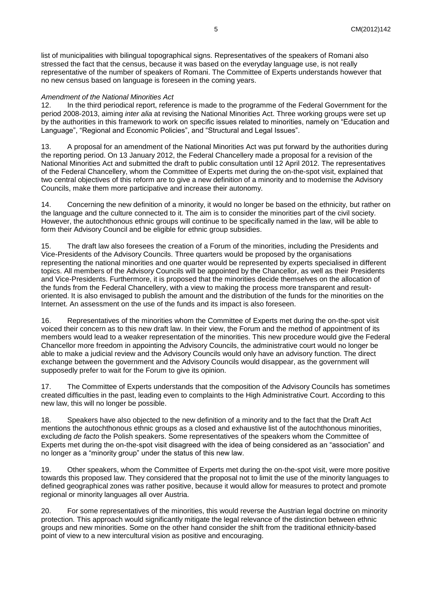list of municipalities with bilingual topographical signs. Representatives of the speakers of Romani also stressed the fact that the census, because it was based on the everyday language use, is not really representative of the number of speakers of Romani. The Committee of Experts understands however that no new census based on language is foreseen in the coming years.

#### *Amendment of the National Minorities Act*

12. In the third periodical report, reference is made to the programme of the Federal Government for the period 2008-2013, aiming *inter alia* at revising the National Minorities Act. Three working groups were set up by the authorities in this framework to work on specific issues related to minorities, namely on "Education and Language", "Regional and Economic Policies", and "Structural and Legal Issues".

13. A proposal for an amendment of the National Minorities Act was put forward by the authorities during the reporting period. On 13 January 2012, the Federal Chancellery made a proposal for a revision of the National Minorities Act and submitted the draft to public consultation until 12 April 2012. The representatives of the Federal Chancellery, whom the Committee of Experts met during the on-the-spot visit, explained that two central objectives of this reform are to give a new definition of a minority and to modernise the Advisory Councils, make them more participative and increase their autonomy.

14. Concerning the new definition of a minority, it would no longer be based on the ethnicity, but rather on the language and the culture connected to it. The aim is to consider the minorities part of the civil society. However, the autochthonous ethnic groups will continue to be specifically named in the law, will be able to form their Advisory Council and be eligible for ethnic group subsidies.

15. The draft law also foresees the creation of a Forum of the minorities, including the Presidents and Vice-Presidents of the Advisory Councils. Three quarters would be proposed by the organisations representing the national minorities and one quarter would be represented by experts specialised in different topics. All members of the Advisory Councils will be appointed by the Chancellor, as well as their Presidents and Vice-Presidents. Furthermore, it is proposed that the minorities decide themselves on the allocation of the funds from the Federal Chancellery, with a view to making the process more transparent and resultoriented. It is also envisaged to publish the amount and the distribution of the funds for the minorities on the Internet. An assessment on the use of the funds and its impact is also foreseen.

16. Representatives of the minorities whom the Committee of Experts met during the on-the-spot visit voiced their concern as to this new draft law. In their view, the Forum and the method of appointment of its members would lead to a weaker representation of the minorities. This new procedure would give the Federal Chancellor more freedom in appointing the Advisory Councils, the administrative court would no longer be able to make a judicial review and the Advisory Councils would only have an advisory function. The direct exchange between the government and the Advisory Councils would disappear, as the government will supposedly prefer to wait for the Forum to give its opinion.

17. The Committee of Experts understands that the composition of the Advisory Councils has sometimes created difficulties in the past, leading even to complaints to the High Administrative Court. According to this new law, this will no longer be possible.

18. Speakers have also objected to the new definition of a minority and to the fact that the Draft Act mentions the autochthonous ethnic groups as a closed and exhaustive list of the autochthonous minorities, excluding *de facto* the Polish speakers. Some representatives of the speakers whom the Committee of Experts met during the on-the-spot visit disagreed with the idea of being considered as an "association" and no longer as a "minority group" under the status of this new law.

19. Other speakers, whom the Committee of Experts met during the on-the-spot visit, were more positive towards this proposed law. They considered that the proposal not to limit the use of the minority languages to defined geographical zones was rather positive, because it would allow for measures to protect and promote regional or minority languages all over Austria.

20. For some representatives of the minorities, this would reverse the Austrian legal doctrine on minority protection. This approach would significantly mitigate the legal relevance of the distinction between ethnic groups and new minorities. Some on the other hand consider the shift from the traditional ethnicity-based point of view to a new intercultural vision as positive and encouraging.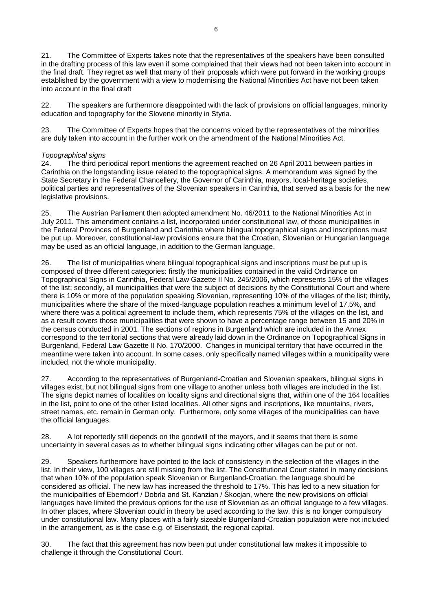21. The Committee of Experts takes note that the representatives of the speakers have been consulted in the drafting process of this law even if some complained that their views had not been taken into account in the final draft. They regret as well that many of their proposals which were put forward in the working groups established by the government with a view to modernising the National Minorities Act have not been taken into account in the final draft

22. The speakers are furthermore disappointed with the lack of provisions on official languages, minority education and topography for the Slovene minority in Styria.

23. The Committee of Experts hopes that the concerns voiced by the representatives of the minorities are duly taken into account in the further work on the amendment of the National Minorities Act.

#### *Topographical signs*

24. The third periodical report mentions the agreement reached on 26 April 2011 between parties in Carinthia on the longstanding issue related to the topographical signs. A memorandum was signed by the State Secretary in the Federal Chancellery, the Governor of Carinthia, mayors, local-heritage societies, political parties and representatives of the Slovenian speakers in Carinthia, that served as a basis for the new legislative provisions.

25. The Austrian Parliament then adopted amendment No. 46/2011 to the National Minorities Act in July 2011. This amendment contains a list, incorporated under constitutional law, of those municipalities in the Federal Provinces of Burgenland and Carinthia where bilingual topographical signs and inscriptions must be put up. Moreover, constitutional-law provisions ensure that the Croatian, Slovenian or Hungarian language may be used as an official language, in addition to the German language.

26. The list of municipalities where bilingual topographical signs and inscriptions must be put up is composed of three different categories: firstly the municipalities contained in the valid Ordinance on Topographical Signs in Carinthia, Federal Law Gazette II No. 245/2006, which represents 15% of the villages of the list; secondly, all municipalities that were the subject of decisions by the Constitutional Court and where there is 10% or more of the population speaking Slovenian, representing 10% of the villages of the list; thirdly, municipalities where the share of the mixed-language population reaches a minimum level of 17.5%, and where there was a political agreement to include them, which represents 75% of the villages on the list, and as a result covers those municipalities that were shown to have a percentage range between 15 and 20% in the census conducted in 2001. The sections of regions in Burgenland which are included in the Annex correspond to the territorial sections that were already laid down in the Ordinance on Topographical Signs in Burgenland, Federal Law Gazette II No. 170/2000. Changes in municipal territory that have occurred in the meantime were taken into account. In some cases, only specifically named villages within a municipality were included, not the whole municipality.

27. According to the representatives of Burgenland-Croatian and Slovenian speakers, bilingual signs in villages exist, but not bilingual signs from one village to another unless both villages are included in the list. The signs depict names of localities on locality signs and directional signs that, within one of the 164 localities in the list, point to one of the other listed localities. All other signs and inscriptions, like mountains, rivers, street names, etc. remain in German only. Furthermore, only some villages of the municipalities can have the official languages.

28. A lot reportedly still depends on the goodwill of the mayors, and it seems that there is some uncertainty in several cases as to whether bilingual signs indicating other villages can be put or not.

29. Speakers furthermore have pointed to the lack of consistency in the selection of the villages in the list. In their view, 100 villages are still missing from the list. The Constitutional Court stated in many decisions that when 10% of the population speak Slovenian or Burgenland-Croatian, the language should be considered as official. The new law has increased the threshold to 17%. This has led to a new situation for the municipalities of Eberndorf / Dobrla and St. Kanzian / Škocjan, where the new provisions on official languages have limited the previous options for the use of Slovenian as an official language to a few villages. In other places, where Slovenian could in theory be used according to the law, this is no longer compulsory under constitutional law. Many places with a fairly sizeable Burgenland-Croatian population were not included in the arrangement, as is the case e.g. of Eisenstadt, the regional capital.

30. The fact that this agreement has now been put under constitutional law makes it impossible to challenge it through the Constitutional Court.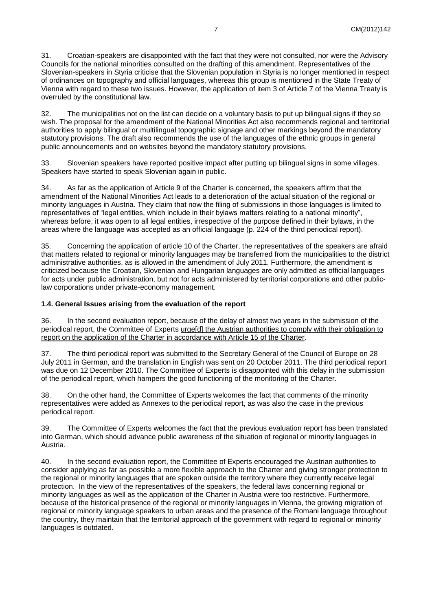31. Croatian-speakers are disappointed with the fact that they were not consulted, nor were the Advisory Councils for the national minorities consulted on the drafting of this amendment. Representatives of the Slovenian-speakers in Styria criticise that the Slovenian population in Styria is no longer mentioned in respect of ordinances on topography and official languages, whereas this group is mentioned in the State Treaty of Vienna with regard to these two issues. However, the application of item 3 of Article 7 of the Vienna Treaty is overruled by the constitutional law.

32. The municipalities not on the list can decide on a voluntary basis to put up bilingual signs if they so wish. The proposal for the amendment of the National Minorities Act also recommends regional and territorial authorities to apply bilingual or multilingual topographic signage and other markings beyond the mandatory statutory provisions. The draft also recommends the use of the languages of the ethnic groups in general public announcements and on websites beyond the mandatory statutory provisions.

33. Slovenian speakers have reported positive impact after putting up bilingual signs in some villages. Speakers have started to speak Slovenian again in public.

34. As far as the application of Article 9 of the Charter is concerned, the speakers affirm that the amendment of the National Minorities Act leads to a deterioration of the actual situation of the regional or minority languages in Austria. They claim that now the filing of submissions in those languages is limited to representatives of "legal entities, which include in their bylaws matters relating to a national minority", whereas before, it was open to all legal entities, irrespective of the purpose defined in their bylaws, in the areas where the language was accepted as an official language (p. 224 of the third periodical report).

35. Concerning the application of article 10 of the Charter, the representatives of the speakers are afraid that matters related to regional or minority languages may be transferred from the municipalities to the district administrative authorities, as is allowed in the amendment of July 2011. Furthermore, the amendment is criticized because the Croatian, Slovenian and Hungarian languages are only admitted as official languages for acts under public administration, but not for acts administered by territorial corporations and other publiclaw corporations under private-economy management.

#### <span id="page-6-0"></span>**1.4. General Issues arising from the evaluation of the report**

36. In the second evaluation report, because of the delay of almost two years in the submission of the periodical report, the Committee of Experts urge[d] the Austrian authorities to comply with their obligation to report on the application of the Charter in accordance with Article 15 of the Charter.

37. The third periodical report was submitted to the Secretary General of the Council of Europe on 28 July 2011 in German, and the translation in English was sent on 20 October 2011. The third periodical report was due on 12 December 2010. The Committee of Experts is disappointed with this delay in the submission of the periodical report, which hampers the good functioning of the monitoring of the Charter.

38. On the other hand, the Committee of Experts welcomes the fact that comments of the minority representatives were added as Annexes to the periodical report, as was also the case in the previous periodical report.

39. The Committee of Experts welcomes the fact that the previous evaluation report has been translated into German, which should advance public awareness of the situation of regional or minority languages in Austria.

40. In the second evaluation report, the Committee of Experts encouraged the Austrian authorities to consider applying as far as possible a more flexible approach to the Charter and giving stronger protection to the regional or minority languages that are spoken outside the territory where they currently receive legal protection. In the view of the representatives of the speakers, the federal laws concerning regional or minority languages as well as the application of the Charter in Austria were too restrictive. Furthermore, because of the historical presence of the regional or minority languages in Vienna, the growing migration of regional or minority language speakers to urban areas and the presence of the Romani language throughout the country, they maintain that the territorial approach of the government with regard to regional or minority languages is outdated.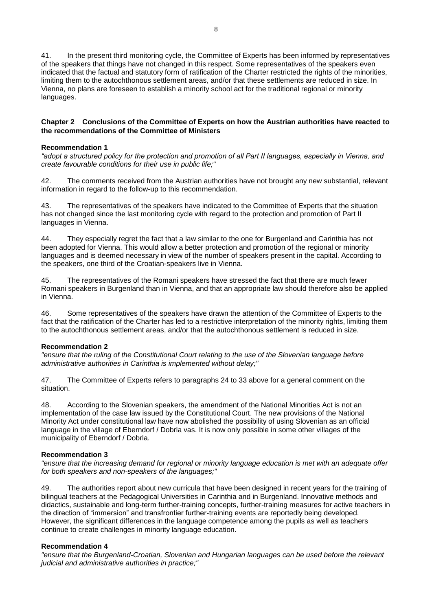41. In the present third monitoring cycle, the Committee of Experts has been informed by representatives of the speakers that things have not changed in this respect. Some representatives of the speakers even indicated that the factual and statutory form of ratification of the Charter restricted the rights of the minorities, limiting them to the autochthonous settlement areas, and/or that these settlements are reduced in size. In Vienna, no plans are foreseen to establish a minority school act for the traditional regional or minority languages.

#### <span id="page-7-0"></span>**Chapter 2 Conclusions of the Committee of Experts on how the Austrian authorities have reacted to the recommendations of the Committee of Ministers**

#### **Recommendation 1**

*"adopt a structured policy for the protection and promotion of all Part II languages, especially in Vienna, and create favourable conditions for their use in public life;"*

42. The comments received from the Austrian authorities have not brought any new substantial, relevant information in regard to the follow-up to this recommendation.

43. The representatives of the speakers have indicated to the Committee of Experts that the situation has not changed since the last monitoring cycle with regard to the protection and promotion of Part II languages in Vienna.

44. They especially regret the fact that a law similar to the one for Burgenland and Carinthia has not been adopted for Vienna. This would allow a better protection and promotion of the regional or minority languages and is deemed necessary in view of the number of speakers present in the capital. According to the speakers, one third of the Croatian-speakers live in Vienna.

45. The representatives of the Romani speakers have stressed the fact that there are much fewer Romani speakers in Burgenland than in Vienna, and that an appropriate law should therefore also be applied in Vienna.

46. Some representatives of the speakers have drawn the attention of the Committee of Experts to the fact that the ratification of the Charter has led to a restrictive interpretation of the minority rights, limiting them to the autochthonous settlement areas, and/or that the autochthonous settlement is reduced in size.

#### **Recommendation 2**

*"ensure that the ruling of the Constitutional Court relating to the use of the Slovenian language before administrative authorities in Carinthia is implemented without delay;"*

47. The Committee of Experts refers to paragraphs 24 to 33 above for a general comment on the situation.

48. According to the Slovenian speakers, the amendment of the National Minorities Act is not an implementation of the case law issued by the Constitutional Court. The new provisions of the National Minority Act under constitutional law have now abolished the possibility of using Slovenian as an official language in the village of Eberndorf / Dobrla vas. It is now only possible in some other villages of the municipality of Eberndorf / Dobrla.

#### **Recommendation 3**

*"ensure that the increasing demand for regional or minority language education is met with an adequate offer for both speakers and non-speakers of the languages;"*

49. The authorities report about new curricula that have been designed in recent years for the training of bilingual teachers at the Pedagogical Universities in Carinthia and in Burgenland. Innovative methods and didactics, sustainable and long-term further-training concepts, further-training measures for active teachers in the direction of "immersion" and transfrontier further-training events are reportedly being developed. However, the significant differences in the language competence among the pupils as well as teachers continue to create challenges in minority language education.

#### **Recommendation 4**

*"ensure that the Burgenland-Croatian, Slovenian and Hungarian languages can be used before the relevant judicial and administrative authorities in practice;"*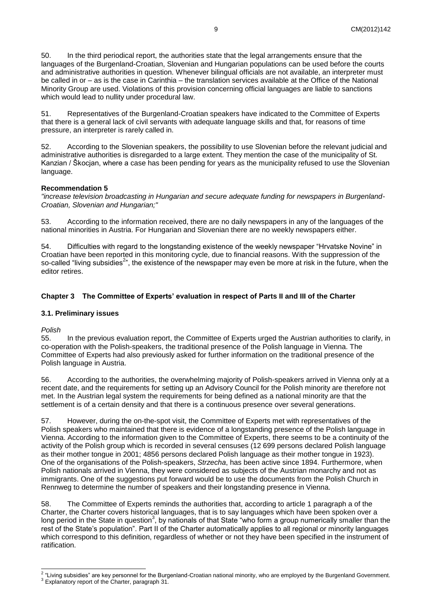50. In the third periodical report, the authorities state that the legal arrangements ensure that the languages of the Burgenland-Croatian, Slovenian and Hungarian populations can be used before the courts and administrative authorities in question. Whenever bilingual officials are not available, an interpreter must be called in or – as is the case in Carinthia – the translation services available at the Office of the National Minority Group are used. Violations of this provision concerning official languages are liable to sanctions which would lead to nullity under procedural law.

51. Representatives of the Burgenland-Croatian speakers have indicated to the Committee of Experts that there is a general lack of civil servants with adequate language skills and that, for reasons of time pressure, an interpreter is rarely called in.

52. According to the Slovenian speakers, the possibility to use Slovenian before the relevant judicial and administrative authorities is disregarded to a large extent. They mention the case of the municipality of St. Kanzian / Škocjan, where a case has been pending for years as the municipality refused to use the Slovenian language.

#### **Recommendation 5**

*"increase television broadcasting in Hungarian and secure adequate funding for newspapers in Burgenland-Croatian, Slovenian and Hungarian;"*

53. According to the information received, there are no daily newspapers in any of the languages of the national minorities in Austria. For Hungarian and Slovenian there are no weekly newspapers either.

54. Difficulties with regard to the longstanding existence of the weekly newspaper "Hrvatske Novine" in Croatian have been reported in this monitoring cycle, due to financial reasons. With the suppression of the so-called "living subsidies<sup>2</sup>", the existence of the newspaper may even be more at risk in the future, when the editor retires.

## <span id="page-8-0"></span>**Chapter 3 The Committee of Experts' evaluation in respect of Parts II and III of the Charter**

#### <span id="page-8-1"></span>**3.1. Preliminary issues**

*Polish*

55. In the previous evaluation report, the Committee of Experts urged the Austrian authorities to clarify, in co-operation with the Polish-speakers, the traditional presence of the Polish language in Vienna. The Committee of Experts had also previously asked for further information on the traditional presence of the Polish language in Austria.

56. According to the authorities, the overwhelming majority of Polish-speakers arrived in Vienna only at a recent date, and the requirements for setting up an Advisory Council for the Polish minority are therefore not met. In the Austrian legal system the requirements for being defined as a national minority are that the settlement is of a certain density and that there is a continuous presence over several generations.

57. However, during the on-the-spot visit, the Committee of Experts met with representatives of the Polish speakers who maintained that there is evidence of a longstanding presence of the Polish language in Vienna. According to the information given to the Committee of Experts, there seems to be a continuity of the activity of the Polish group which is recorded in several censuses (12 699 persons declared Polish language as their mother tongue in 2001; 4856 persons declared Polish language as their mother tongue in 1923). One of the organisations of the Polish-speakers, *Strzecha*, has been active since 1894. Furthermore, when Polish nationals arrived in Vienna, they were considered as subjects of the Austrian monarchy and not as immigrants. One of the suggestions put forward would be to use the documents from the Polish Church in Rennweg to determine the number of speakers and their longstanding presence in Vienna.

58. The Committee of Experts reminds the authorities that, according to article 1 paragraph a of the Charter, the Charter covers historical languages, that is to say languages which have been spoken over a long period in the State in question<sup>3</sup>, by nationals of that State "who form a group numerically smaller than the rest of the State's population". Part II of the Charter automatically applies to all regional or minority languages which correspond to this definition, regardless of whether or not they have been specified in the instrument of ratification.

 $2^2$  "Living subsidies" are key personnel for the Burgenland-Croatian national minority, who are employed by the Burgenland Government.

 $3$  Explanatory report of the Charter, paragraph 31.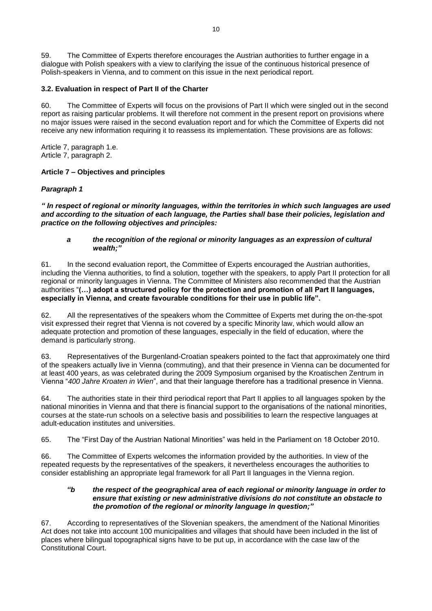59. The Committee of Experts therefore encourages the Austrian authorities to further engage in a dialogue with Polish speakers with a view to clarifying the issue of the continuous historical presence of Polish-speakers in Vienna, and to comment on this issue in the next periodical report.

## <span id="page-9-0"></span>**3.2. Evaluation in respect of Part II of the Charter**

60. The Committee of Experts will focus on the provisions of Part II which were singled out in the second report as raising particular problems. It will therefore not comment in the present report on provisions where no major issues were raised in the second evaluation report and for which the Committee of Experts did not receive any new information requiring it to reassess its implementation. These provisions are as follows:

Article 7, paragraph 1.e. Article 7, paragraph 2.

#### **Article 7 – Objectives and principles**

#### *Paragraph 1*

*" In respect of regional or minority languages, within the territories in which such languages are used and according to the situation of each language, the Parties shall base their policies, legislation and practice on the following objectives and principles:*

#### *a the recognition of the regional or minority languages as an expression of cultural wealth;"*

61. In the second evaluation report, the Committee of Experts encouraged the Austrian authorities, including the Vienna authorities, to find a solution, together with the speakers, to apply Part II protection for all regional or minority languages in Vienna. The Committee of Ministers also recommended that the Austrian authorities "**(…) adopt a structured policy for the protection and promotion of all Part II languages, especially in Vienna, and create favourable conditions for their use in public life".**

62. All the representatives of the speakers whom the Committee of Experts met during the on-the-spot visit expressed their regret that Vienna is not covered by a specific Minority law, which would allow an adequate protection and promotion of these languages, especially in the field of education, where the demand is particularly strong.

63. Representatives of the Burgenland-Croatian speakers pointed to the fact that approximately one third of the speakers actually live in Vienna (commuting), and that their presence in Vienna can be documented for at least 400 years, as was celebrated during the 2009 Symposium organised by the Kroatischen Zentrum in Vienna "*400 Jahre Kroaten in Wien*", and that their language therefore has a traditional presence in Vienna.

64. The authorities state in their third periodical report that Part II applies to all languages spoken by the national minorities in Vienna and that there is financial support to the organisations of the national minorities, courses at the state-run schools on a selective basis and possibilities to learn the respective languages at adult-education institutes and universities.

65. The "First Day of the Austrian National Minorities" was held in the Parliament on 18 October 2010.

66. The Committee of Experts welcomes the information provided by the authorities. In view of the repeated requests by the representatives of the speakers, it nevertheless encourages the authorities to consider establishing an appropriate legal framework for all Part II languages in the Vienna region.

#### *"b the respect of the geographical area of each regional or minority language in order to ensure that existing or new administrative divisions do not constitute an obstacle to the promotion of the regional or minority language in question;"*

67. According to representatives of the Slovenian speakers, the amendment of the National Minorities Act does not take into account 100 municipalities and villages that should have been included in the list of places where bilingual topographical signs have to be put up, in accordance with the case law of the Constitutional Court.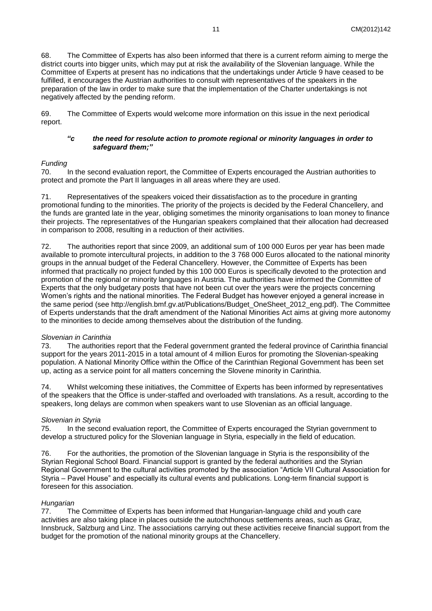68. The Committee of Experts has also been informed that there is a current reform aiming to merge the district courts into bigger units, which may put at risk the availability of the Slovenian language. While the Committee of Experts at present has no indications that the undertakings under Article 9 have ceased to be fulfilled, it encourages the Austrian authorities to consult with representatives of the speakers in the preparation of the law in order to make sure that the implementation of the Charter undertakings is not negatively affected by the pending reform.

69. The Committee of Experts would welcome more information on this issue in the next periodical report.

#### *"c the need for resolute action to promote regional or minority languages in order to safeguard them;"*

#### *Funding*

70. In the second evaluation report, the Committee of Experts encouraged the Austrian authorities to protect and promote the Part II languages in all areas where they are used.

71. Representatives of the speakers voiced their dissatisfaction as to the procedure in granting promotional funding to the minorities. The priority of the projects is decided by the Federal Chancellery, and the funds are granted late in the year, obliging sometimes the minority organisations to loan money to finance their projects. The representatives of the Hungarian speakers complained that their allocation had decreased in comparison to 2008, resulting in a reduction of their activities.

72. The authorities report that since 2009, an additional sum of 100 000 Euros per year has been made available to promote intercultural projects, in addition to the 3 768 000 Euros allocated to the national minority groups in the annual budget of the Federal Chancellery. However, the Committee of Experts has been informed that practically no project funded by this 100 000 Euros is specifically devoted to the protection and promotion of the regional or minority languages in Austria. The authorities have informed the Committee of Experts that the only budgetary posts that have not been cut over the years were the projects concerning Women's rights and the national minorities. The Federal Budget has however enjoyed a general increase in the same period (see http://english.bmf.gv.at/Publications/Budget\_OneSheet\_2012\_eng.pdf). The Committee of Experts understands that the draft amendment of the National Minorities Act aims at giving more autonomy to the minorities to decide among themselves about the distribution of the funding.

#### *Slovenian in Carinthia*

73. The authorities report that the Federal government granted the federal province of Carinthia financial support for the years 2011-2015 in a total amount of 4 million Euros for promoting the Slovenian-speaking population. A National Minority Office within the Office of the Carinthian Regional Government has been set up, acting as a service point for all matters concerning the Slovene minority in Carinthia.

74. Whilst welcoming these initiatives, the Committee of Experts has been informed by representatives of the speakers that the Office is under-staffed and overloaded with translations. As a result, according to the speakers, long delays are common when speakers want to use Slovenian as an official language.

## *Slovenian in Styria*

75. In the second evaluation report, the Committee of Experts encouraged the Styrian government to develop a structured policy for the Slovenian language in Styria, especially in the field of education.

76. For the authorities, the promotion of the Slovenian language in Styria is the responsibility of the Styrian Regional School Board. Financial support is granted by the federal authorities and the Styrian Regional Government to the cultural activities promoted by the association "Article VII Cultural Association for Styria – Pavel House" and especially its cultural events and publications. Long-term financial support is foreseen for this association.

#### *Hungarian*

77. The Committee of Experts has been informed that Hungarian-language child and youth care activities are also taking place in places outside the autochthonous settlements areas, such as Graz, Innsbruck, Salzburg and Linz. The associations carrying out these activities receive financial support from the budget for the promotion of the national minority groups at the Chancellery.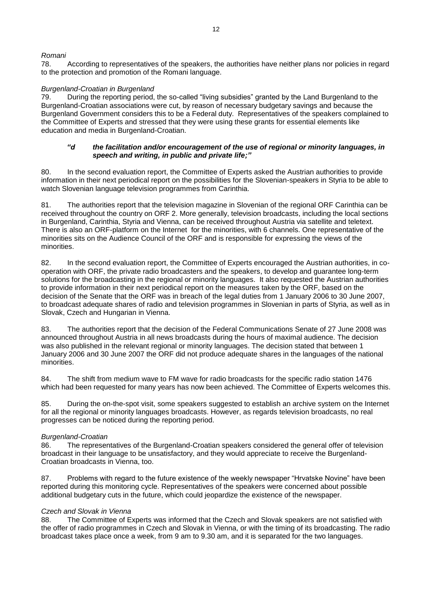## *Romani*

78. According to representatives of the speakers, the authorities have neither plans nor policies in regard to the protection and promotion of the Romani language.

#### *Burgenland-Croatian in Burgenland*

79. During the reporting period, the so-called "living subsidies" granted by the Land Burgenland to the Burgenland-Croatian associations were cut, by reason of necessary budgetary savings and because the Burgenland Government considers this to be a Federal duty. Representatives of the speakers complained to the Committee of Experts and stressed that they were using these grants for essential elements like education and media in Burgenland-Croatian.

#### *"d the facilitation and/or encouragement of the use of regional or minority languages, in speech and writing, in public and private life;"*

80. In the second evaluation report, the Committee of Experts asked the Austrian authorities to provide information in their next periodical report on the possibilities for the Slovenian-speakers in Styria to be able to watch Slovenian language television programmes from Carinthia.

81. The authorities report that the television magazine in Slovenian of the regional ORF Carinthia can be received throughout the country on ORF 2. More generally, television broadcasts, including the local sections in Burgenland, Carinthia, Styria and Vienna, can be received throughout Austria via satellite and teletext. There is also an ORF-platform on the Internet for the minorities, with 6 channels. One representative of the minorities sits on the Audience Council of the ORF and is responsible for expressing the views of the minorities.

82. In the second evaluation report, the Committee of Experts encouraged the Austrian authorities, in cooperation with ORF, the private radio broadcasters and the speakers, to develop and guarantee long-term solutions for the broadcasting in the regional or minority languages. It also requested the Austrian authorities to provide information in their next periodical report on the measures taken by the ORF, based on the decision of the Senate that the ORF was in breach of the legal duties from 1 January 2006 to 30 June 2007, to broadcast adequate shares of radio and television programmes in Slovenian in parts of Styria, as well as in Slovak, Czech and Hungarian in Vienna.

83. The authorities report that the decision of the Federal Communications Senate of 27 June 2008 was announced throughout Austria in all news broadcasts during the hours of maximal audience. The decision was also published in the relevant regional or minority languages. The decision stated that between 1 January 2006 and 30 June 2007 the ORF did not produce adequate shares in the languages of the national minorities.

84. The shift from medium wave to FM wave for radio broadcasts for the specific radio station 1476 which had been requested for many years has now been achieved. The Committee of Experts welcomes this.

85. During the on-the-spot visit, some speakers suggested to establish an archive system on the Internet for all the regional or minority languages broadcasts. However, as regards television broadcasts, no real progresses can be noticed during the reporting period.

## *Burgenland-Croatian*

86. The representatives of the Burgenland-Croatian speakers considered the general offer of television broadcast in their language to be unsatisfactory, and they would appreciate to receive the Burgenland-Croatian broadcasts in Vienna, too.

87. Problems with regard to the future existence of the weekly newspaper "Hrvatske Novine" have been reported during this monitoring cycle. Representatives of the speakers were concerned about possible additional budgetary cuts in the future, which could jeopardize the existence of the newspaper.

#### *Czech and Slovak in Vienna*

88. The Committee of Experts was informed that the Czech and Slovak speakers are not satisfied with the offer of radio programmes in Czech and Slovak in Vienna, or with the timing of its broadcasting. The radio broadcast takes place once a week, from 9 am to 9.30 am, and it is separated for the two languages.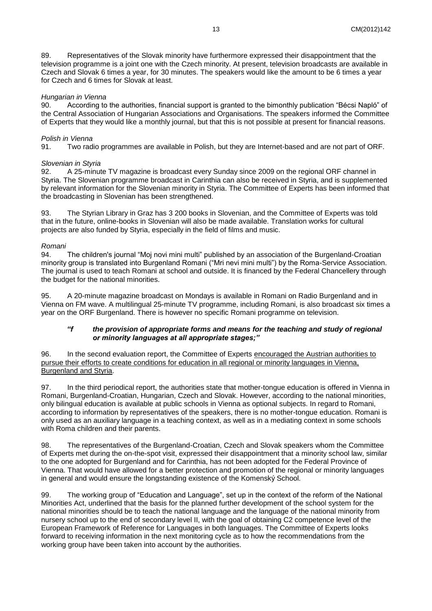89. Representatives of the Slovak minority have furthermore expressed their disappointment that the television programme is a joint one with the Czech minority. At present, television broadcasts are available in Czech and Slovak 6 times a year, for 30 minutes. The speakers would like the amount to be 6 times a year for Czech and 6 times for Slovak at least.

#### *Hungarian in Vienna*

90. According to the authorities, financial support is granted to the bimonthly publication "Bécsi Napló" of the Central Association of Hungarian Associations and Organisations. The speakers informed the Committee of Experts that they would like a monthly journal, but that this is not possible at present for financial reasons.

### *Polish in Vienna*

91. Two radio programmes are available in Polish, but they are Internet-based and are not part of ORF.

#### *Slovenian in Styria*

92. A 25-minute TV magazine is broadcast every Sunday since 2009 on the regional ORF channel in Styria. The Slovenian programme broadcast in Carinthia can also be received in Styria, and is supplemented by relevant information for the Slovenian minority in Styria. The Committee of Experts has been informed that the broadcasting in Slovenian has been strengthened.

93. The Styrian Library in Graz has 3 200 books in Slovenian, and the Committee of Experts was told that in the future, online-books in Slovenian will also be made available. Translation works for cultural projects are also funded by Styria, especially in the field of films and music.

#### *Romani*

94. The children's journal "Moj novi mini multi" published by an association of the Burgenland-Croatian minority group is translated into Burgenland Romani ("Mri nevi mini multi") by the Roma-Service Association. The journal is used to teach Romani at school and outside. It is financed by the Federal Chancellery through the budget for the national minorities.

95. A 20-minute magazine broadcast on Mondays is available in Romani on Radio Burgenland and in Vienna on FM wave. A multilingual 25-minute TV programme, including Romani, is also broadcast six times a year on the ORF Burgenland. There is however no specific Romani programme on television.

### *"f the provision of appropriate forms and means for the teaching and study of regional or minority languages at all appropriate stages;"*

96. In the second evaluation report, the Committee of Experts encouraged the Austrian authorities to pursue their efforts to create conditions for education in all regional or minority languages in Vienna, Burgenland and Styria.

97. In the third periodical report, the authorities state that mother-tongue education is offered in Vienna in Romani, Burgenland-Croatian, Hungarian, Czech and Slovak. However, according to the national minorities, only bilingual education is available at public schools in Vienna as optional subjects. In regard to Romani, according to information by representatives of the speakers, there is no mother-tongue education. Romani is only used as an auxiliary language in a teaching context, as well as in a mediating context in some schools with Roma children and their parents.

98. The representatives of the Burgenland-Croatian, Czech and Slovak speakers whom the Committee of Experts met during the on-the-spot visit, expressed their disappointment that a minority school law, similar to the one adopted for Burgenland and for Carinthia, has not been adopted for the Federal Province of Vienna. That would have allowed for a better protection and promotion of the regional or minority languages in general and would ensure the longstanding existence of the Komenský School.

99. The working group of "Education and Language", set up in the context of the reform of the National Minorities Act, underlined that the basis for the planned further development of the school system for the national minorities should be to teach the national language and the language of the national minority from nursery school up to the end of secondary level II, with the goal of obtaining C2 competence level of the European Framework of Reference for Languages in both languages. The Committee of Experts looks forward to receiving information in the next monitoring cycle as to how the recommendations from the working group have been taken into account by the authorities.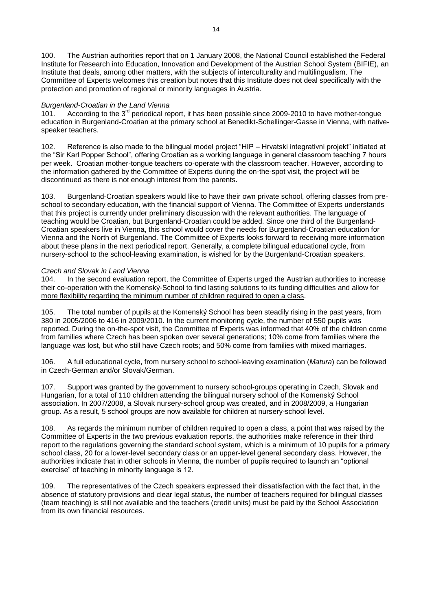100. The Austrian authorities report that on 1 January 2008, the National Council established the Federal Institute for Research into Education, Innovation and Development of the Austrian School System (BIFIE), an Institute that deals, among other matters, with the subjects of interculturality and multilingualism. The Committee of Experts welcomes this creation but notes that this Institute does not deal specifically with the protection and promotion of regional or minority languages in Austria.

#### *Burgenland-Croatian in the Land Vienna*

101. According to the 3<sup>rd</sup> periodical report, it has been possible since 2009-2010 to have mother-tongue education in Burgenland-Croatian at the primary school at Benedikt-Schellinger-Gasse in Vienna, with nativespeaker teachers.

102. Reference is also made to the bilingual model project "HIP – Hrvatski integrativni projekt" initiated at the "Sir Karl Popper School", offering Croatian as a working language in general classroom teaching 7 hours per week. Croatian mother-tongue teachers co-operate with the classroom teacher. However, according to the information gathered by the Committee of Experts during the on-the-spot visit, the project will be discontinued as there is not enough interest from the parents.

103. Burgenland-Croatian speakers would like to have their own private school, offering classes from preschool to secondary education, with the financial support of Vienna. The Committee of Experts understands that this project is currently under preliminary discussion with the relevant authorities. The language of teaching would be Croatian, but Burgenland-Croatian could be added. Since one third of the Burgenland-Croatian speakers live in Vienna, this school would cover the needs for Burgenland-Croatian education for Vienna and the North of Burgenland. The Committee of Experts looks forward to receiving more information about these plans in the next periodical report. Generally, a complete bilingual educational cycle, from nursery-school to the school-leaving examination, is wished for by the Burgenland-Croatian speakers.

#### *Czech and Slovak in Land Vienna*

104. In the second evaluation report, the Committee of Experts urged the Austrian authorities to increase their co-operation with the Komenský-School to find lasting solutions to its funding difficulties and allow for more flexibility regarding the minimum number of children required to open a class.

105. The total number of pupils at the Komenský School has been steadily rising in the past years, from 380 in 2005/2006 to 416 in 2009/2010. In the current monitoring cycle, the number of 550 pupils was reported. During the on-the-spot visit, the Committee of Experts was informed that 40% of the children come from families where Czech has been spoken over several generations; 10% come from families where the language was lost, but who still have Czech roots; and 50% come from families with mixed marriages.

106. A full educational cycle, from nursery school to school-leaving examination (*Matura*) can be followed in Czech-German and/or Slovak/German.

107. Support was granted by the government to nursery school-groups operating in Czech, Slovak and Hungarian, for a total of 110 children attending the bilingual nursery school of the Komenský School association. In 2007/2008, a Slovak nursery-school group was created, and in 2008/2009, a Hungarian group. As a result, 5 school groups are now available for children at nursery-school level.

108. As regards the minimum number of children required to open a class, a point that was raised by the Committee of Experts in the two previous evaluation reports, the authorities make reference in their third report to the regulations governing the standard school system, which is a minimum of 10 pupils for a primary school class, 20 for a lower-level secondary class or an upper-level general secondary class. However, the authorities indicate that in other schools in Vienna, the number of pupils required to launch an "optional exercise" of teaching in minority language is 12.

109. The representatives of the Czech speakers expressed their dissatisfaction with the fact that, in the absence of statutory provisions and clear legal status, the number of teachers required for bilingual classes (team teaching) is still not available and the teachers (credit units) must be paid by the School Association from its own financial resources.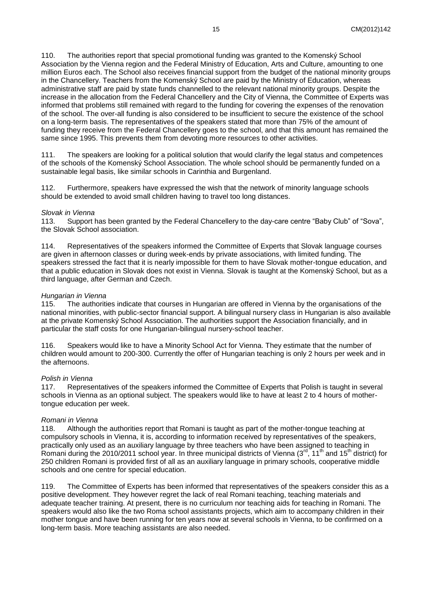110. The authorities report that special promotional funding was granted to the Komenský School Association by the Vienna region and the Federal Ministry of Education, Arts and Culture, amounting to one million Euros each. The School also receives financial support from the budget of the national minority groups in the Chancellery. Teachers from the Komenský School are paid by the Ministry of Education, whereas administrative staff are paid by state funds channelled to the relevant national minority groups. Despite the increase in the allocation from the Federal Chancellery and the City of Vienna, the Committee of Experts was informed that problems still remained with regard to the funding for covering the expenses of the renovation of the school. The over-all funding is also considered to be insufficient to secure the existence of the school on a long-term basis. The representatives of the speakers stated that more than 75% of the amount of funding they receive from the Federal Chancellery goes to the school, and that this amount has remained the same since 1995. This prevents them from devoting more resources to other activities.

111. The speakers are looking for a political solution that would clarify the legal status and competences of the schools of the Komenský School Association. The whole school should be permanently funded on a sustainable legal basis, like similar schools in Carinthia and Burgenland.

112. Furthermore, speakers have expressed the wish that the network of minority language schools should be extended to avoid small children having to travel too long distances.

#### *Slovak in Vienna*

113. Support has been granted by the Federal Chancellery to the day-care centre "Baby Club" of "Sova", the Slovak School association.

114. Representatives of the speakers informed the Committee of Experts that Slovak language courses are given in afternoon classes or during week-ends by private associations, with limited funding. The speakers stressed the fact that it is nearly impossible for them to have Slovak mother-tongue education, and that a public education in Slovak does not exist in Vienna. Slovak is taught at the Komenský School, but as a third language, after German and Czech.

#### *Hungarian in Vienna*

115. The authorities indicate that courses in Hungarian are offered in Vienna by the organisations of the national minorities, with public-sector financial support. A bilingual nursery class in Hungarian is also available at the private Komenský School Association. The authorities support the Association financially, and in particular the staff costs for one Hungarian-bilingual nursery-school teacher.

116. Speakers would like to have a Minority School Act for Vienna. They estimate that the number of children would amount to 200-300. Currently the offer of Hungarian teaching is only 2 hours per week and in the afternoons.

#### *Polish in Vienna*

117. Representatives of the speakers informed the Committee of Experts that Polish is taught in several schools in Vienna as an optional subject. The speakers would like to have at least 2 to 4 hours of mothertongue education per week.

#### *Romani in Vienna*

118. Although the authorities report that Romani is taught as part of the mother-tongue teaching at compulsory schools in Vienna, it is, according to information received by representatives of the speakers, practically only used as an auxiliary language by three teachers who have been assigned to teaching in Romani during the 2010/2011 school year. In three municipal districts of Vienna  $(3^{rd}, 11^{th})$  and  $15^{th}$  district) for 250 children Romani is provided first of all as an auxiliary language in primary schools, cooperative middle schools and one centre for special education.

119. The Committee of Experts has been informed that representatives of the speakers consider this as a positive development. They however regret the lack of real Romani teaching, teaching materials and adequate teacher training. At present, there is no curriculum nor teaching aids for teaching in Romani. The speakers would also like the two Roma school assistants projects, which aim to accompany children in their mother tongue and have been running for ten years now at several schools in Vienna, to be confirmed on a long-term basis. More teaching assistants are also needed.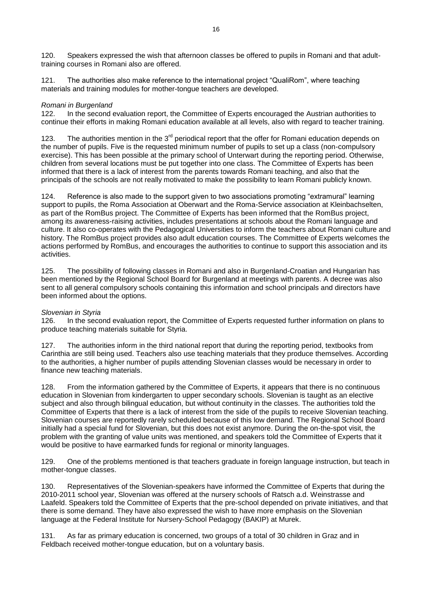120. Speakers expressed the wish that afternoon classes be offered to pupils in Romani and that adulttraining courses in Romani also are offered.

121. The authorities also make reference to the international project "QualiRom", where teaching materials and training modules for mother-tongue teachers are developed.

#### *Romani in Burgenland*

122. In the second evaluation report, the Committee of Experts encouraged the Austrian authorities to continue their efforts in making Romani education available at all levels, also with regard to teacher training.

123. The authorities mention in the  $3^{rd}$  periodical report that the offer for Romani education depends on the number of pupils. Five is the requested minimum number of pupils to set up a class (non-compulsory exercise). This has been possible at the primary school of Unterwart during the reporting period. Otherwise, children from several locations must be put together into one class. The Committee of Experts has been informed that there is a lack of interest from the parents towards Romani teaching, and also that the principals of the schools are not really motivated to make the possibility to learn Romani publicly known.

124. Reference is also made to the support given to two associations promoting "extramural" learning support to pupils, the Roma Association at Oberwart and the Roma-Service association at Kleinbachselten, as part of the RomBus project. The Committee of Experts has been informed that the RomBus project, among its awareness-raising activities, includes presentations at schools about the Romani language and culture. It also co-operates with the Pedagogical Universities to inform the teachers about Romani culture and history. The RomBus project provides also adult education courses. The Committee of Experts welcomes the actions performed by RomBus, and encourages the authorities to continue to support this association and its activities.

125. The possibility of following classes in Romani and also in Burgenland-Croatian and Hungarian has been mentioned by the Regional School Board for Burgenland at meetings with parents. A decree was also sent to all general compulsory schools containing this information and school principals and directors have been informed about the options.

#### *Slovenian in Styria*

126. In the second evaluation report, the Committee of Experts requested further information on plans to produce teaching materials suitable for Styria.

127. The authorities inform in the third national report that during the reporting period, textbooks from Carinthia are still being used. Teachers also use teaching materials that they produce themselves. According to the authorities, a higher number of pupils attending Slovenian classes would be necessary in order to finance new teaching materials.

128. From the information gathered by the Committee of Experts, it appears that there is no continuous education in Slovenian from kindergarten to upper secondary schools. Slovenian is taught as an elective subject and also through bilingual education, but without continuity in the classes. The authorities told the Committee of Experts that there is a lack of interest from the side of the pupils to receive Slovenian teaching. Slovenian courses are reportedly rarely scheduled because of this low demand. The Regional School Board initially had a special fund for Slovenian, but this does not exist anymore. During the on-the-spot visit, the problem with the granting of value units was mentioned, and speakers told the Committee of Experts that it would be positive to have earmarked funds for regional or minority languages.

129. One of the problems mentioned is that teachers graduate in foreign language instruction, but teach in mother-tongue classes.

130. Representatives of the Slovenian-speakers have informed the Committee of Experts that during the 2010-2011 school year, Slovenian was offered at the nursery schools of Ratsch a.d. Weinstrasse and Laafeld. Speakers told the Committee of Experts that the pre-school depended on private initiatives, and that there is some demand. They have also expressed the wish to have more emphasis on the Slovenian language at the Federal Institute for Nursery-School Pedagogy (BAKIP) at Murek.

131. As far as primary education is concerned, two groups of a total of 30 children in Graz and in Feldbach received mother-tongue education, but on a voluntary basis.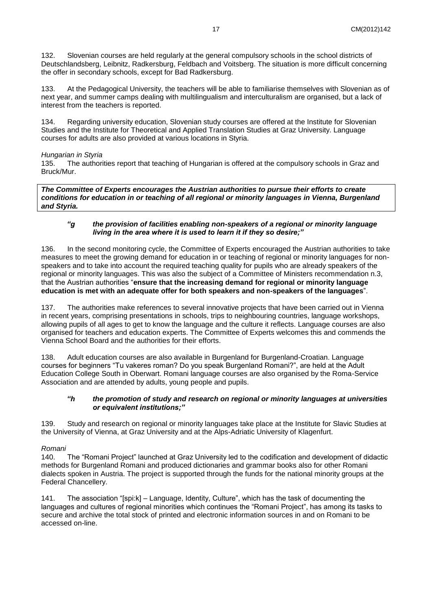132. Slovenian courses are held regularly at the general compulsory schools in the school districts of Deutschlandsberg, Leibnitz, Radkersburg, Feldbach and Voitsberg. The situation is more difficult concerning the offer in secondary schools, except for Bad Radkersburg.

133. At the Pedagogical University, the teachers will be able to familiarise themselves with Slovenian as of next year, and summer camps dealing with multilingualism and interculturalism are organised, but a lack of interest from the teachers is reported.

134. Regarding university education, Slovenian study courses are offered at the Institute for Slovenian Studies and the Institute for Theoretical and Applied Translation Studies at Graz University. Language courses for adults are also provided at various locations in Styria.

#### *Hungarian in Styria*

135. The authorities report that teaching of Hungarian is offered at the compulsory schools in Graz and Bruck/Mur.

*The Committee of Experts encourages the Austrian authorities to pursue their efforts to create conditions for education in or teaching of all regional or minority languages in Vienna, Burgenland and Styria.*

### *"g the provision of facilities enabling non-speakers of a regional or minority language living in the area where it is used to learn it if they so desire;"*

136. In the second monitoring cycle, the Committee of Experts encouraged the Austrian authorities to take measures to meet the growing demand for education in or teaching of regional or minority languages for nonspeakers and to take into account the required teaching quality for pupils who are already speakers of the regional or minority languages. This was also the subject of a Committee of Ministers recommendation n.3, that the Austrian authorities "**ensure that the increasing demand for regional or minority language education is met with an adequate offer for both speakers and non-speakers of the languages**".

137. The authorities make references to several innovative projects that have been carried out in Vienna in recent years, comprising presentations in schools, trips to neighbouring countries, language workshops, allowing pupils of all ages to get to know the language and the culture it reflects. Language courses are also organised for teachers and education experts. The Committee of Experts welcomes this and commends the Vienna School Board and the authorities for their efforts.

138. Adult education courses are also available in Burgenland for Burgenland-Croatian. Language courses for beginners "Tu vakeres roman? Do you speak Burgenland Romani?", are held at the Adult Education College South in Oberwart. Romani language courses are also organised by the Roma-Service Association and are attended by adults, young people and pupils.

#### *"h the promotion of study and research on regional or minority languages at universities or equivalent institutions;"*

139. Study and research on regional or minority languages take place at the Institute for Slavic Studies at the University of Vienna, at Graz University and at the Alps-Adriatic University of Klagenfurt.

## *Romani*

140. The "Romani Project" launched at Graz University led to the codification and development of didactic methods for Burgenland Romani and produced dictionaries and grammar books also for other Romani dialects spoken in Austria. The project is supported through the funds for the national minority groups at the Federal Chancellery.

141. The association "[spi:k] – Language, Identity, Culture", which has the task of documenting the languages and cultures of regional minorities which continues the "Romani Project", has among its tasks to secure and archive the total stock of printed and electronic information sources in and on Romani to be accessed on-line.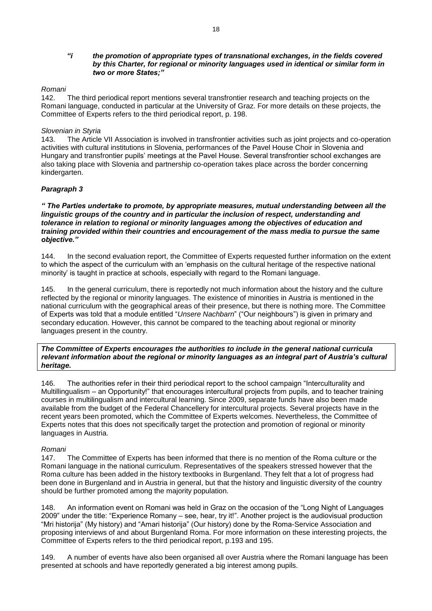#### *"i the promotion of appropriate types of transnational exchanges, in the fields covered by this Charter, for regional or minority languages used in identical or similar form in two or more States;"*

#### *Romani*

142. The third periodical report mentions several transfrontier research and teaching projects on the Romani language, conducted in particular at the University of Graz. For more details on these projects, the Committee of Experts refers to the third periodical report, p. 198.

#### *Slovenian in Styria*

143. The Article VII Association is involved in transfrontier activities such as joint projects and co-operation activities with cultural institutions in Slovenia, performances of the Pavel House Choir in Slovenia and Hungary and transfrontier pupils' meetings at the Pavel House. Several transfrontier school exchanges are also taking place with Slovenia and partnership co-operation takes place across the border concerning kindergarten.

#### *Paragraph 3*

*" The Parties undertake to promote, by appropriate measures, mutual understanding between all the linguistic groups of the country and in particular the inclusion of respect, understanding and tolerance in relation to regional or minority languages among the objectives of education and training provided within their countries and encouragement of the mass media to pursue the same objective."*

144. In the second evaluation report, the Committee of Experts requested further information on the extent to which the aspect of the curriculum with an 'emphasis on the cultural heritage of the respective national minority' is taught in practice at schools, especially with regard to the Romani language.

145. In the general curriculum, there is reportedly not much information about the history and the culture reflected by the regional or minority languages. The existence of minorities in Austria is mentioned in the national curriculum with the geographical areas of their presence, but there is nothing more. The Committee of Experts was told that a module entitled "*Unsere Nachbarn*" ("Our neighbours") is given in primary and secondary education. However, this cannot be compared to the teaching about regional or minority languages present in the country.

*The Committee of Experts encourages the authorities to include in the general national curricula relevant information about the regional or minority languages as an integral part of Austria's cultural heritage.* 

146. The authorities refer in their third periodical report to the school campaign "Interculturality and Multillingualism – an Opportunity!" that encourages intercultural projects from pupils, and to teacher training courses in multilingualism and intercultural learning. Since 2009, separate funds have also been made available from the budget of the Federal Chancellery for intercultural projects. Several projects have in the recent years been promoted, which the Committee of Experts welcomes. Nevertheless, the Committee of Experts notes that this does not specifically target the protection and promotion of regional or minority languages in Austria.

#### *Romani*

147. The Committee of Experts has been informed that there is no mention of the Roma culture or the Romani language in the national curriculum. Representatives of the speakers stressed however that the Roma culture has been added in the history textbooks in Burgenland. They felt that a lot of progress had been done in Burgenland and in Austria in general, but that the history and linguistic diversity of the country should be further promoted among the majority population.

148. An information event on Romani was held in Graz on the occasion of the "Long Night of Languages 2009" under the title: "Experience Romany – see, hear, try it!". Another project is the audiovisual production "Mri historija" (My history) and "Amari historija" (Our history) done by the Roma-Service Association and proposing interviews of and about Burgenland Roma. For more information on these interesting projects, the Committee of Experts refers to the third periodical report, p.193 and 195.

149. A number of events have also been organised all over Austria where the Romani language has been presented at schools and have reportedly generated a big interest among pupils.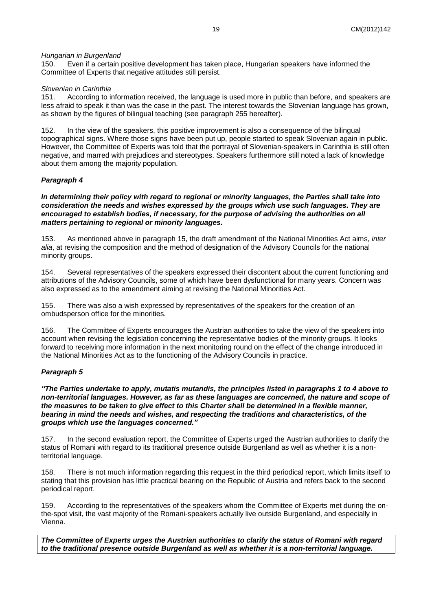#### *Hungarian in Burgenland*

150. Even if a certain positive development has taken place, Hungarian speakers have informed the Committee of Experts that negative attitudes still persist.

#### *Slovenian in Carinthia*

151. According to information received, the language is used more in public than before, and speakers are less afraid to speak it than was the case in the past. The interest towards the Slovenian language has grown, as shown by the figures of bilingual teaching (see paragraph 255 hereafter).

152. In the view of the speakers, this positive improvement is also a consequence of the bilingual topographical signs. Where those signs have been put up, people started to speak Slovenian again in public. However, the Committee of Experts was told that the portrayal of Slovenian-speakers in Carinthia is still often negative, and marred with prejudices and stereotypes. Speakers furthermore still noted a lack of knowledge about them among the majority population.

#### *Paragraph 4*

*In determining their policy with regard to regional or minority languages, the Parties shall take into consideration the needs and wishes expressed by the groups which use such languages. They are encouraged to establish bodies, if necessary, for the purpose of advising the authorities on all matters pertaining to regional or minority languages.* 

153. As mentioned above in paragraph 15, the draft amendment of the National Minorities Act aims, *inter alia*, at revising the composition and the method of designation of the Advisory Councils for the national minority groups.

154. Several representatives of the speakers expressed their discontent about the current functioning and attributions of the Advisory Councils, some of which have been dysfunctional for many years. Concern was also expressed as to the amendment aiming at revising the National Minorities Act.

155. There was also a wish expressed by representatives of the speakers for the creation of an ombudsperson office for the minorities.

156. The Committee of Experts encourages the Austrian authorities to take the view of the speakers into account when revising the legislation concerning the representative bodies of the minority groups. It looks forward to receiving more information in the next monitoring round on the effect of the change introduced in the National Minorities Act as to the functioning of the Advisory Councils in practice.

#### *Paragraph 5*

*"The Parties undertake to apply, mutatis mutandis, the principles listed in paragraphs 1 to 4 above to non-territorial languages. However, as far as these languages are concerned, the nature and scope of the measures to be taken to give effect to this Charter shall be determined in a flexible manner, bearing in mind the needs and wishes, and respecting the traditions and characteristics, of the groups which use the languages concerned."*

157. In the second evaluation report, the Committee of Experts urged the Austrian authorities to clarify the status of Romani with regard to its traditional presence outside Burgenland as well as whether it is a nonterritorial language.

158. There is not much information regarding this request in the third periodical report, which limits itself to stating that this provision has little practical bearing on the Republic of Austria and refers back to the second periodical report.

159. According to the representatives of the speakers whom the Committee of Experts met during the onthe-spot visit, the vast majority of the Romani-speakers actually live outside Burgenland, and especially in Vienna.

*The Committee of Experts urges the Austrian authorities to clarify the status of Romani with regard to the traditional presence outside Burgenland as well as whether it is a non-territorial language.*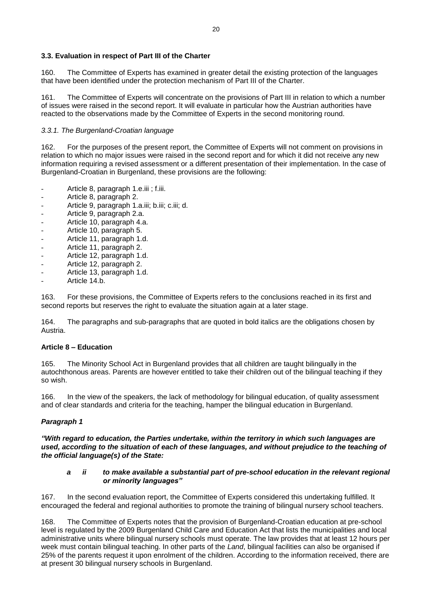## <span id="page-19-0"></span>**3.3. Evaluation in respect of Part III of the Charter**

160. The Committee of Experts has examined in greater detail the existing protection of the languages that have been identified under the protection mechanism of Part III of the Charter.

161. The Committee of Experts will concentrate on the provisions of Part III in relation to which a number of issues were raised in the second report. It will evaluate in particular how the Austrian authorities have reacted to the observations made by the Committee of Experts in the second monitoring round.

#### <span id="page-19-1"></span>*3.3.1. The Burgenland-Croatian language*

162. For the purposes of the present report, the Committee of Experts will not comment on provisions in relation to which no major issues were raised in the second report and for which it did not receive any new information requiring a revised assessment or a different presentation of their implementation. In the case of Burgenland-Croatian in Burgenland, these provisions are the following:

- Article 8, paragraph 1.e.iii ; f.iii.
- Article 8, paragraph 2.
- Article 9, paragraph 1.a.iii; b.iii; c.iii; d.
- Article 9, paragraph 2.a.
- Article 10, paragraph 4.a.
- Article 10, paragraph 5.
- Article 11, paragraph 1.d.
- Article 11, paragraph 2.
- Article 12, paragraph 1.d.
- Article 12, paragraph 2.
- Article 13, paragraph 1.d.
- Article 14.b.

163. For these provisions, the Committee of Experts refers to the conclusions reached in its first and second reports but reserves the right to evaluate the situation again at a later stage.

164. The paragraphs and sub-paragraphs that are quoted in bold italics are the obligations chosen by Austria.

#### **Article 8 – Education**

165. The Minority School Act in Burgenland provides that all children are taught bilingually in the autochthonous areas. Parents are however entitled to take their children out of the bilingual teaching if they so wish.

166. In the view of the speakers, the lack of methodology for bilingual education, of quality assessment and of clear standards and criteria for the teaching, hamper the bilingual education in Burgenland.

## *Paragraph 1*

*"With regard to education, the Parties undertake, within the territory in which such languages are used, according to the situation of each of these languages, and without prejudice to the teaching of the official language(s) of the State:*

#### *a ii to make available a substantial part of pre-school education in the relevant regional or minority languages"*

167. In the second evaluation report, the Committee of Experts considered this undertaking fulfilled. It encouraged the federal and regional authorities to promote the training of bilingual nursery school teachers.

168. The Committee of Experts notes that the provision of Burgenland-Croatian education at pre-school level is regulated by the 2009 Burgenland Child Care and Education Act that lists the municipalities and local administrative units where bilingual nursery schools must operate. The law provides that at least 12 hours per week must contain bilingual teaching. In other parts of the *Land*, bilingual facilities can also be organised if 25% of the parents request it upon enrolment of the children. According to the information received, there are at present 30 bilingual nursery schools in Burgenland.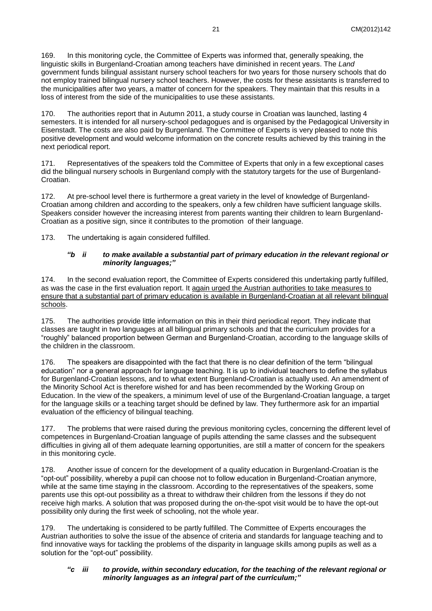169. In this monitoring cycle, the Committee of Experts was informed that, generally speaking, the linguistic skills in Burgenland-Croatian among teachers have diminished in recent years. The *Land* government funds bilingual assistant nursery school teachers for two years for those nursery schools that do not employ trained bilingual nursery school teachers. However, the costs for these assistants is transferred to the municipalities after two years, a matter of concern for the speakers. They maintain that this results in a loss of interest from the side of the municipalities to use these assistants.

170. The authorities report that in Autumn 2011, a study course in Croatian was launched, lasting 4 semesters. It is intended for all nursery-school pedagogues and is organised by the Pedagogical University in Eisenstadt. The costs are also paid by Burgenland. The Committee of Experts is very pleased to note this positive development and would welcome information on the concrete results achieved by this training in the next periodical report.

171. Representatives of the speakers told the Committee of Experts that only in a few exceptional cases did the bilingual nursery schools in Burgenland comply with the statutory targets for the use of Burgenland-Croatian.

172. At pre-school level there is furthermore a great variety in the level of knowledge of Burgenland-Croatian among children and according to the speakers, only a few children have sufficient language skills. Speakers consider however the increasing interest from parents wanting their children to learn Burgenland-Croatian as a positive sign, since it contributes to the promotion of their language.

173. The undertaking is again considered fulfilled.

#### *"b ii to make available a substantial part of primary education in the relevant regional or minority languages;"*

174. In the second evaluation report, the Committee of Experts considered this undertaking partly fulfilled, as was the case in the first evaluation report. It again urged the Austrian authorities to take measures to ensure that a substantial part of primary education is available in Burgenland-Croatian at all relevant bilingual schools.

175. The authorities provide little information on this in their third periodical report. They indicate that classes are taught in two languages at all bilingual primary schools and that the curriculum provides for a "roughly" balanced proportion between German and Burgenland-Croatian, according to the language skills of the children in the classroom.

176. The speakers are disappointed with the fact that there is no clear definition of the term "bilingual education" nor a general approach for language teaching. It is up to individual teachers to define the syllabus for Burgenland-Croatian lessons, and to what extent Burgenland-Croatian is actually used. An amendment of the Minority School Act is therefore wished for and has been recommended by the Working Group on Education. In the view of the speakers, a minimum level of use of the Burgenland-Croatian language, a target for the language skills or a teaching target should be defined by law. They furthermore ask for an impartial evaluation of the efficiency of bilingual teaching.

177. The problems that were raised during the previous monitoring cycles, concerning the different level of competences in Burgenland-Croatian language of pupils attending the same classes and the subsequent difficulties in giving all of them adequate learning opportunities, are still a matter of concern for the speakers in this monitoring cycle.

178. Another issue of concern for the development of a quality education in Burgenland-Croatian is the "opt-out" possibility, whereby a pupil can choose not to follow education in Burgenland-Croatian anymore, while at the same time staying in the classroom. According to the representatives of the speakers, some parents use this opt-out possibility as a threat to withdraw their children from the lessons if they do not receive high marks. A solution that was proposed during the on-the-spot visit would be to have the opt-out possibility only during the first week of schooling, not the whole year.

179. The undertaking is considered to be partly fulfilled. The Committee of Experts encourages the Austrian authorities to solve the issue of the absence of criteria and standards for language teaching and to find innovative ways for tackling the problems of the disparity in language skills among pupils as well as a solution for the "opt-out" possibility.

## *"c iii to provide, within secondary education, for the teaching of the relevant regional or minority languages as an integral part of the curriculum;"*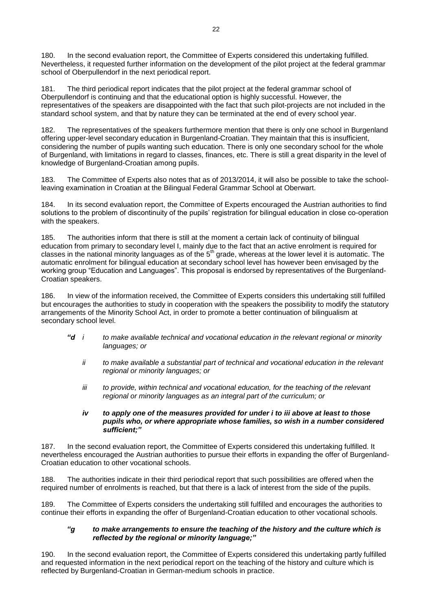180. In the second evaluation report, the Committee of Experts considered this undertaking fulfilled. Nevertheless, it requested further information on the development of the pilot project at the federal grammar school of Oberpullendorf in the next periodical report.

181. The third periodical report indicates that the pilot project at the federal grammar school of Oberpullendorf is continuing and that the educational option is highly successful. However, the representatives of the speakers are disappointed with the fact that such pilot-projects are not included in the standard school system, and that by nature they can be terminated at the end of every school year.

182. The representatives of the speakers furthermore mention that there is only one school in Burgenland offering upper-level secondary education in Burgenland-Croatian. They maintain that this is insufficient, considering the number of pupils wanting such education. There is only one secondary school for the whole of Burgenland, with limitations in regard to classes, finances, etc. There is still a great disparity in the level of knowledge of Burgenland-Croatian among pupils.

183. The Committee of Experts also notes that as of 2013/2014, it will also be possible to take the schoolleaving examination in Croatian at the Bilingual Federal Grammar School at Oberwart.

184. In its second evaluation report, the Committee of Experts encouraged the Austrian authorities to find solutions to the problem of discontinuity of the pupils' registration for bilingual education in close co-operation with the speakers.

185. The authorities inform that there is still at the moment a certain lack of continuity of bilingual education from primary to secondary level I, mainly due to the fact that an active enrolment is required for classes in the national minority languages as of the  $5<sup>th</sup>$  grade, whereas at the lower level it is automatic. The automatic enrolment for bilingual education at secondary school level has however been envisaged by the working group "Education and Languages". This proposal is endorsed by representatives of the Burgenland-Croatian speakers.

186. In view of the information received, the Committee of Experts considers this undertaking still fulfilled but encourages the authorities to study in cooperation with the speakers the possibility to modify the statutory arrangements of the Minority School Act, in order to promote a better continuation of bilingualism at secondary school level.

- *"d i to make available technical and vocational education in the relevant regional or minority languages; or*
	- *ii to make available a substantial part of technical and vocational education in the relevant regional or minority languages; or*
	- *iii to provide, within technical and vocational education, for the teaching of the relevant regional or minority languages as an integral part of the curriculum; or*

#### *iv to apply one of the measures provided for under i to iii above at least to those pupils who, or where appropriate whose families, so wish in a number considered sufficient;"*

187. In the second evaluation report, the Committee of Experts considered this undertaking fulfilled. It nevertheless encouraged the Austrian authorities to pursue their efforts in expanding the offer of Burgenland-Croatian education to other vocational schools.

188. The authorities indicate in their third periodical report that such possibilities are offered when the required number of enrolments is reached, but that there is a lack of interest from the side of the pupils.

189. The Committee of Experts considers the undertaking still fulfilled and encourages the authorities to continue their efforts in expanding the offer of Burgenland-Croatian education to other vocational schools.

#### *"g to make arrangements to ensure the teaching of the history and the culture which is reflected by the regional or minority language;"*

190. In the second evaluation report, the Committee of Experts considered this undertaking partly fulfilled and requested information in the next periodical report on the teaching of the history and culture which is reflected by Burgenland-Croatian in German-medium schools in practice.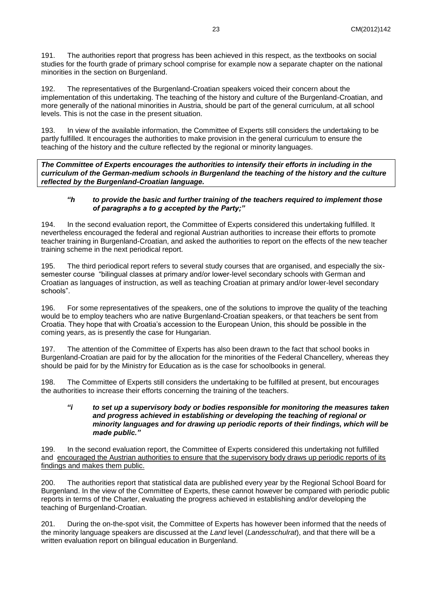191. The authorities report that progress has been achieved in this respect, as the textbooks on social studies for the fourth grade of primary school comprise for example now a separate chapter on the national minorities in the section on Burgenland.

192. The representatives of the Burgenland-Croatian speakers voiced their concern about the implementation of this undertaking. The teaching of the history and culture of the Burgenland-Croatian, and more generally of the national minorities in Austria, should be part of the general curriculum, at all school levels. This is not the case in the present situation.

193. In view of the available information, the Committee of Experts still considers the undertaking to be partly fulfilled. It encourages the authorities to make provision in the general curriculum to ensure the teaching of the history and the culture reflected by the regional or minority languages.

*The Committee of Experts encourages the authorities to intensify their efforts in including in the curriculum of the German-medium schools in Burgenland the teaching of the history and the culture reflected by the Burgenland-Croatian language.* 

#### *"h to provide the basic and further training of the teachers required to implement those of paragraphs a to g accepted by the Party;"*

194. In the second evaluation report, the Committee of Experts considered this undertaking fulfilled. It nevertheless encouraged the federal and regional Austrian authorities to increase their efforts to promote teacher training in Burgenland-Croatian, and asked the authorities to report on the effects of the new teacher training scheme in the next periodical report.

195. The third periodical report refers to several study courses that are organised, and especially the sixsemester course "bilingual classes at primary and/or lower-level secondary schools with German and Croatian as languages of instruction, as well as teaching Croatian at primary and/or lower-level secondary schools".

196. For some representatives of the speakers, one of the solutions to improve the quality of the teaching would be to employ teachers who are native Burgenland-Croatian speakers, or that teachers be sent from Croatia. They hope that with Croatia's accession to the European Union, this should be possible in the coming years, as is presently the case for Hungarian.

197. The attention of the Committee of Experts has also been drawn to the fact that school books in Burgenland-Croatian are paid for by the allocation for the minorities of the Federal Chancellery, whereas they should be paid for by the Ministry for Education as is the case for schoolbooks in general.

198. The Committee of Experts still considers the undertaking to be fulfilled at present, but encourages the authorities to increase their efforts concerning the training of the teachers.

#### *"i to set up a supervisory body or bodies responsible for monitoring the measures taken and progress achieved in establishing or developing the teaching of regional or minority languages and for drawing up periodic reports of their findings, which will be made public."*

199. In the second evaluation report, the Committee of Experts considered this undertaking not fulfilled and encouraged the Austrian authorities to ensure that the supervisory body draws up periodic reports of its findings and makes them public.

200. The authorities report that statistical data are published every year by the Regional School Board for Burgenland. In the view of the Committee of Experts, these cannot however be compared with periodic public reports in terms of the Charter, evaluating the progress achieved in establishing and/or developing the teaching of Burgenland-Croatian.

201. During the on-the-spot visit, the Committee of Experts has however been informed that the needs of the minority language speakers are discussed at the *Land* level (*Landesschulrat*), and that there will be a written evaluation report on bilingual education in Burgenland.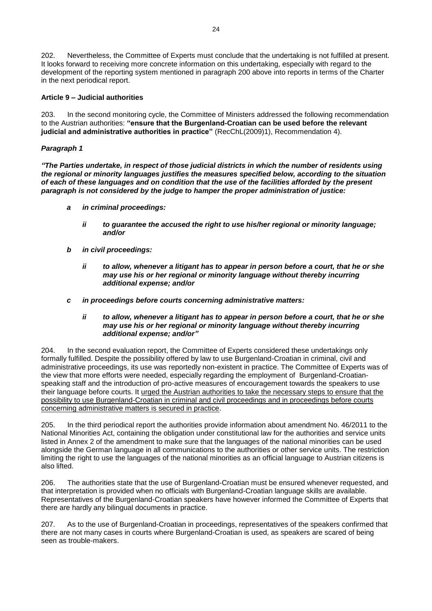202. Nevertheless, the Committee of Experts must conclude that the undertaking is not fulfilled at present. It looks forward to receiving more concrete information on this undertaking, especially with regard to the development of the reporting system mentioned in paragraph 200 above into reports in terms of the Charter in the next periodical report.

### **Article 9 – Judicial authorities**

203. In the second monitoring cycle, the Committee of Ministers addressed the following recommendation to the Austrian authorities: **"ensure that the Burgenland-Croatian can be used before the relevant judicial and administrative authorities in practice"** (RecChL(2009)1), Recommendation 4).

### *Paragraph 1*

*"The Parties undertake, in respect of those judicial districts in which the number of residents using the regional or minority languages justifies the measures specified below, according to the situation of each of these languages and on condition that the use of the facilities afforded by the present paragraph is not considered by the judge to hamper the proper administration of justice:*

- *a in criminal proceedings:*
	- *ii to guarantee the accused the right to use his/her regional or minority language; and/or*
- *b in civil proceedings:*
	- *ii to allow, whenever a litigant has to appear in person before a court, that he or she may use his or her regional or minority language without thereby incurring additional expense; and/or*
- *c in proceedings before courts concerning administrative matters:*
	- *ii to allow, whenever a litigant has to appear in person before a court, that he or she may use his or her regional or minority language without thereby incurring additional expense; and/or"*

204. In the second evaluation report, the Committee of Experts considered these undertakings only formally fulfilled. Despite the possibility offered by law to use Burgenland-Croatian in criminal, civil and administrative proceedings, its use was reportedly non-existent in practice. The Committee of Experts was of the view that more efforts were needed, especially regarding the employment of Burgenland-Croatianspeaking staff and the introduction of pro-active measures of encouragement towards the speakers to use their language before courts. It urged the Austrian authorities to take the necessary steps to ensure that the possibility to use Burgenland-Croatian in criminal and civil proceedings and in proceedings before courts concerning administrative matters is secured in practice.

205. In the third periodical report the authorities provide information about amendment No. 46/2011 to the National Minorities Act, containing the obligation under constitutional law for the authorities and service units listed in Annex 2 of the amendment to make sure that the languages of the national minorities can be used alongside the German language in all communications to the authorities or other service units. The restriction limiting the right to use the languages of the national minorities as an official language to Austrian citizens is also lifted.

206. The authorities state that the use of Burgenland-Croatian must be ensured whenever requested, and that interpretation is provided when no officials with Burgenland-Croatian language skills are available. Representatives of the Burgenland-Croatian speakers have however informed the Committee of Experts that there are hardly any bilingual documents in practice.

207. As to the use of Burgenland-Croatian in proceedings, representatives of the speakers confirmed that there are not many cases in courts where Burgenland-Croatian is used, as speakers are scared of being seen as trouble-makers.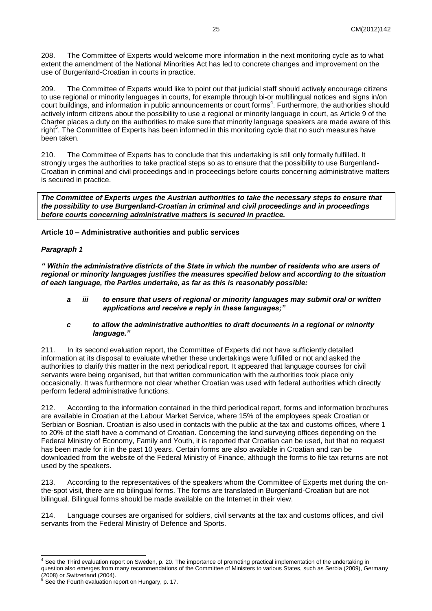208. The Committee of Experts would welcome more information in the next monitoring cycle as to what extent the amendment of the National Minorities Act has led to concrete changes and improvement on the use of Burgenland-Croatian in courts in practice.

209. The Committee of Experts would like to point out that judicial staff should actively encourage citizens to use regional or minority languages in courts, for example through bi-or multilingual notices and signs in/on court buildings, and information in public announcements or court forms<sup>4</sup>. Furthermore, the authorities should actively inform citizens about the possibility to use a regional or minority language in court, as Article 9 of the Charter places a duty on the authorities to make sure that minority language speakers are made aware of this right<sup>5</sup>. The Committee of Experts has been informed in this monitoring cycle that no such measures have been taken.

210. The Committee of Experts has to conclude that this undertaking is still only formally fulfilled. It strongly urges the authorities to take practical steps so as to ensure that the possibility to use Burgenland-Croatian in criminal and civil proceedings and in proceedings before courts concerning administrative matters is secured in practice.

*The Committee of Experts urges the Austrian authorities to take the necessary steps to ensure that the possibility to use Burgenland-Croatian in criminal and civil proceedings and in proceedings before courts concerning administrative matters is secured in practice.* 

**Article 10 – Administrative authorities and public services**

#### *Paragraph 1*

*" Within the administrative districts of the State in which the number of residents who are users of regional or minority languages justifies the measures specified below and according to the situation of each language, the Parties undertake, as far as this is reasonably possible:*

- *a iii to ensure that users of regional or minority languages may submit oral or written applications and receive a reply in these languages;"*
- *c to allow the administrative authorities to draft documents in a regional or minority language."*

211. In its second evaluation report, the Committee of Experts did not have sufficiently detailed information at its disposal to evaluate whether these undertakings were fulfilled or not and asked the authorities to clarify this matter in the next periodical report. It appeared that language courses for civil servants were being organised, but that written communication with the authorities took place only occasionally. It was furthermore not clear whether Croatian was used with federal authorities which directly perform federal administrative functions.

212. According to the information contained in the third periodical report, forms and information brochures are available in Croatian at the Labour Market Service, where 15% of the employees speak Croatian or Serbian or Bosnian. Croatian is also used in contacts with the public at the tax and customs offices, where 1 to 20% of the staff have a command of Croatian. Concerning the land surveying offices depending on the Federal Ministry of Economy, Family and Youth, it is reported that Croatian can be used, but that no request has been made for it in the past 10 years. Certain forms are also available in Croatian and can be downloaded from the website of the Federal Ministry of Finance, although the forms to file tax returns are not used by the speakers.

213. According to the representatives of the speakers whom the Committee of Experts met during the onthe-spot visit, there are no bilingual forms. The forms are translated in Burgenland-Croatian but are not bilingual. Bilingual forms should be made available on the Internet in their view.

214. Language courses are organised for soldiers, civil servants at the tax and customs offices, and civil servants from the Federal Ministry of Defence and Sports.

 $\overline{a}$ 

 $<sup>4</sup>$  See the Third evaluation report on Sweden, p. 20. The importance of promoting practical implementation of the undertaking in</sup> question also emerges from many recommendations of the Committee of Ministers to various States, such as Serbia (2009), Germany (2008) or Switzerland (2004).

<sup>5</sup> See the Fourth evaluation report on Hungary, p. 17.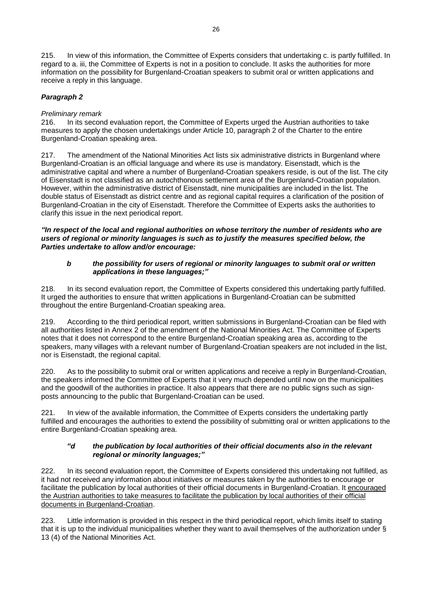215. In view of this information, the Committee of Experts considers that undertaking c. is partly fulfilled. In regard to a. iii, the Committee of Experts is not in a position to conclude. It asks the authorities for more information on the possibility for Burgenland-Croatian speakers to submit oral or written applications and receive a reply in this language.

# *Paragraph 2*

## *Preliminary remark*

216. In its second evaluation report, the Committee of Experts urged the Austrian authorities to take measures to apply the chosen undertakings under Article 10, paragraph 2 of the Charter to the entire Burgenland-Croatian speaking area.

217. The amendment of the National Minorities Act lists six administrative districts in Burgenland where Burgenland-Croatian is an official language and where its use is mandatory. Eisenstadt, which is the administrative capital and where a number of Burgenland-Croatian speakers reside, is out of the list. The city of Eisenstadt is not classified as an autochthonous settlement area of the Burgenland-Croatian population. However, within the administrative district of Eisenstadt, nine municipalities are included in the list. The double status of Eisenstadt as district centre and as regional capital requires a clarification of the position of Burgenland-Croatian in the city of Eisenstadt. Therefore the Committee of Experts asks the authorities to clarify this issue in the next periodical report.

*"In respect of the local and regional authorities on whose territory the number of residents who are users of regional or minority languages is such as to justify the measures specified below, the Parties undertake to allow and/or encourage:*

### *b the possibility for users of regional or minority languages to submit oral or written applications in these languages;"*

218. In its second evaluation report, the Committee of Experts considered this undertaking partly fulfilled. It urged the authorities to ensure that written applications in Burgenland-Croatian can be submitted throughout the entire Burgenland-Croatian speaking area.

According to the third periodical report, written submissions in Burgenland-Croatian can be filed with all authorities listed in Annex 2 of the amendment of the National Minorities Act. The Committee of Experts notes that it does not correspond to the entire Burgenland-Croatian speaking area as, according to the speakers, many villages with a relevant number of Burgenland-Croatian speakers are not included in the list, nor is Eisenstadt, the regional capital.

220. As to the possibility to submit oral or written applications and receive a reply in Burgenland-Croatian, the speakers informed the Committee of Experts that it very much depended until now on the municipalities and the goodwill of the authorities in practice. It also appears that there are no public signs such as signposts announcing to the public that Burgenland-Croatian can be used.

221. In view of the available information, the Committee of Experts considers the undertaking partly fulfilled and encourages the authorities to extend the possibility of submitting oral or written applications to the entire Burgenland-Croatian speaking area.

#### *"d the publication by local authorities of their official documents also in the relevant regional or minority languages;"*

222. In its second evaluation report, the Committee of Experts considered this undertaking not fulfilled, as it had not received any information about initiatives or measures taken by the authorities to encourage or facilitate the publication by local authorities of their official documents in Burgenland-Croatian. It encouraged the Austrian authorities to take measures to facilitate the publication by local authorities of their official documents in Burgenland-Croatian.

223. Little information is provided in this respect in the third periodical report, which limits itself to stating that it is up to the individual municipalities whether they want to avail themselves of the authorization under § 13 (4) of the National Minorities Act.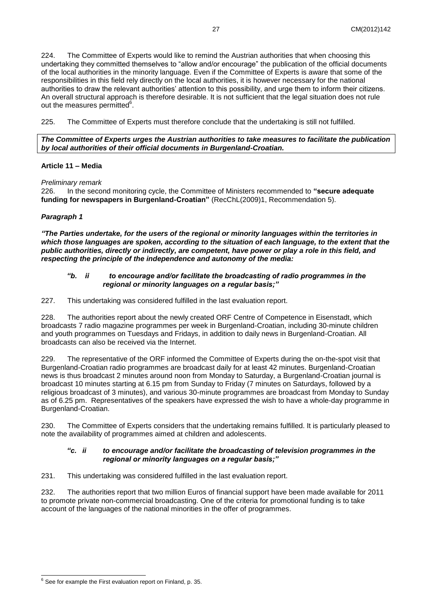224. The Committee of Experts would like to remind the Austrian authorities that when choosing this undertaking they committed themselves to "allow and/or encourage" the publication of the official documents of the local authorities in the minority language. Even if the Committee of Experts is aware that some of the responsibilities in this field rely directly on the local authorities, it is however necessary for the national authorities to draw the relevant authorities' attention to this possibility, and urge them to inform their citizens. An overall structural approach is therefore desirable. It is not sufficient that the legal situation does not rule out the measures permitted<sup>6</sup>.

225. The Committee of Experts must therefore conclude that the undertaking is still not fulfilled.

*The Committee of Experts urges the Austrian authorities to take measures to facilitate the publication by local authorities of their official documents in Burgenland-Croatian.* 

## **Article 11 – Media**

*Preliminary remark* 

226. In the second monitoring cycle, the Committee of Ministers recommended to **"secure adequate funding for newspapers in Burgenland-Croatian"** (RecChL(2009)1, Recommendation 5).

## *Paragraph 1*

*"The Parties undertake, for the users of the regional or minority languages within the territories in which those languages are spoken, according to the situation of each language, to the extent that the public authorities, directly or indirectly, are competent, have power or play a role in this field, and respecting the principle of the independence and autonomy of the media:*

#### *"b. ii to encourage and/or facilitate the broadcasting of radio programmes in the regional or minority languages on a regular basis;"*

227. This undertaking was considered fulfilled in the last evaluation report.

228. The authorities report about the newly created ORF Centre of Competence in Eisenstadt, which broadcasts 7 radio magazine programmes per week in Burgenland-Croatian, including 30-minute children and youth programmes on Tuesdays and Fridays, in addition to daily news in Burgenland-Croatian. All broadcasts can also be received via the Internet.

229. The representative of the ORF informed the Committee of Experts during the on-the-spot visit that Burgenland-Croatian radio programmes are broadcast daily for at least 42 minutes. Burgenland-Croatian news is thus broadcast 2 minutes around noon from Monday to Saturday, a Burgenland-Croatian journal is broadcast 10 minutes starting at 6.15 pm from Sunday to Friday (7 minutes on Saturdays, followed by a religious broadcast of 3 minutes), and various 30-minute programmes are broadcast from Monday to Sunday as of 6.25 pm. Representatives of the speakers have expressed the wish to have a whole-day programme in Burgenland-Croatian.

230. The Committee of Experts considers that the undertaking remains fulfilled. It is particularly pleased to note the availability of programmes aimed at children and adolescents.

#### *"c. ii to encourage and/or facilitate the broadcasting of television programmes in the regional or minority languages on a regular basis;"*

231. This undertaking was considered fulfilled in the last evaluation report.

232. The authorities report that two million Euros of financial support have been made available for 2011 to promote private non-commercial broadcasting. One of the criteria for promotional funding is to take account of the languages of the national minorities in the offer of programmes.

 $\overline{a}$  $6$  See for example the First evaluation report on Finland, p. 35.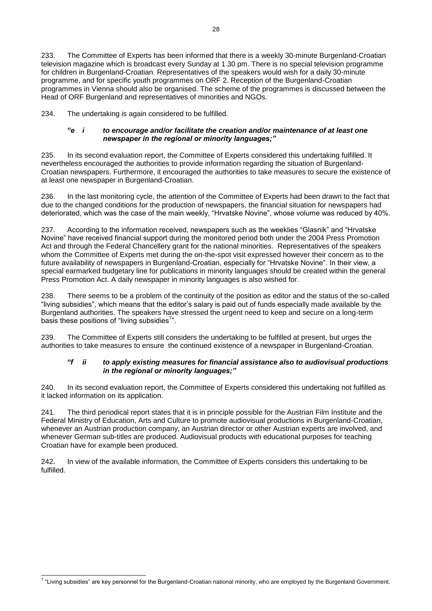233. The Committee of Experts has been informed that there is a weekly 30-minute Burgenland-Croatian television magazine which is broadcast every Sunday at 1.30 pm. There is no special television programme for children in Burgenland-Croatian. Representatives of the speakers would wish for a daily 30-minute programme, and for specific youth programmes on ORF 2. Reception of the Burgenland-Croatian programmes in Vienna should also be organised. The scheme of the programmes is discussed between the Head of ORF Burgenland and representatives of minorities and NGOs.

234. The undertaking is again considered to be fulfilled.

#### *"e i to encourage and/or facilitate the creation and/or maintenance of at least one newspaper in the regional or minority languages;"*

235. In its second evaluation report, the Committee of Experts considered this undertaking fulfilled. It nevertheless encouraged the authorities to provide information regarding the situation of Burgenland-Croatian newspapers. Furthermore, it encouraged the authorities to take measures to secure the existence of at least one newspaper in Burgenland-Croatian.

236. In the last monitoring cycle, the attention of the Committee of Experts had been drawn to the fact that due to the changed conditions for the production of newspapers, the financial situation for newspapers had deteriorated, which was the case of the main weekly, "Hrvatske Novine", whose volume was reduced by 40%.

237. According to the information received, newspapers such as the weeklies "Glasnik" and "Hrvatske Novine" have received financial support during the monitored period both under the 2004 Press Promotion Act and through the Federal Chancellery grant for the national minorities. Representatives of the speakers whom the Committee of Experts met during the on-the-spot visit expressed however their concern as to the future availability of newspapers in Burgenland-Croatian, especially for "Hrvatske Novine". In their view, a special earmarked budgetary line for publications in minority languages should be created within the general Press Promotion Act. A daily newspaper in minority languages is also wished for.

238. There seems to be a problem of the continuity of the position as editor and the status of the so-called "living subsidies", which means that the editor's salary is paid out of funds especially made available by the Burgenland authorities. The speakers have stressed the urgent need to keep and secure on a long-term basis these positions of "living subsidies $7"$ .

239. The Committee of Experts still considers the undertaking to be fulfilled at present, but urges the authorities to take measures to ensure the continued existence of a newspaper in Burgenland-Croatian.

#### *"f ii to apply existing measures for financial assistance also to audiovisual productions in the regional or minority languages;"*

240. In its second evaluation report, the Committee of Experts considered this undertaking not fulfilled as it lacked information on its application.

241. The third periodical report states that it is in principle possible for the Austrian Film Institute and the Federal Ministry of Education, Arts and Culture to promote audiovisual productions in Burgenland-Croatian, whenever an Austrian production company, an Austrian director or other Austrian experts are involved, and whenever German sub-titles are produced. Audiovisual products with educational purposes for teaching Croatian have for example been produced.

242. In view of the available information, the Committee of Experts considers this undertaking to be fulfilled.

 7 "Living subsidies" are key personnel for the Burgenland-Croatian national minority, who are employed by the Burgenland Government.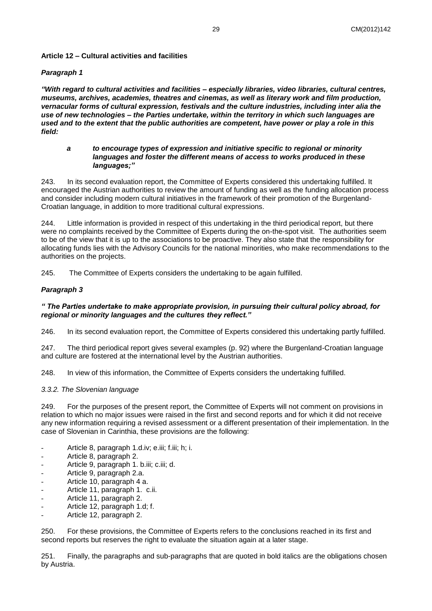### **Article 12 – Cultural activities and facilities**

#### *Paragraph 1*

*"With regard to cultural activities and facilities – especially libraries, video libraries, cultural centres, museums, archives, academies, theatres and cinemas, as well as literary work and film production, vernacular forms of cultural expression, festivals and the culture industries, including inter alia the use of new technologies – the Parties undertake, within the territory in which such languages are used and to the extent that the public authorities are competent, have power or play a role in this field:*

#### *a to encourage types of expression and initiative specific to regional or minority languages and foster the different means of access to works produced in these languages;"*

243. In its second evaluation report, the Committee of Experts considered this undertaking fulfilled. It encouraged the Austrian authorities to review the amount of funding as well as the funding allocation process and consider including modern cultural initiatives in the framework of their promotion of the Burgenland-Croatian language, in addition to more traditional cultural expressions.

244. Little information is provided in respect of this undertaking in the third periodical report, but there were no complaints received by the Committee of Experts during the on-the-spot visit. The authorities seem to be of the view that it is up to the associations to be proactive. They also state that the responsibility for allocating funds lies with the Advisory Councils for the national minorities, who make recommendations to the authorities on the projects.

245. The Committee of Experts considers the undertaking to be again fulfilled.

#### *Paragraph 3*

#### *" The Parties undertake to make appropriate provision, in pursuing their cultural policy abroad, for regional or minority languages and the cultures they reflect."*

246. In its second evaluation report, the Committee of Experts considered this undertaking partly fulfilled.

247. The third periodical report gives several examples (p. 92) where the Burgenland-Croatian language and culture are fostered at the international level by the Austrian authorities.

248. In view of this information, the Committee of Experts considers the undertaking fulfilled.

#### <span id="page-28-0"></span>*3.3.2. The Slovenian language*

249. For the purposes of the present report, the Committee of Experts will not comment on provisions in relation to which no major issues were raised in the first and second reports and for which it did not receive any new information requiring a revised assessment or a different presentation of their implementation. In the case of Slovenian in Carinthia, these provisions are the following:

- Article 8, paragraph 1.d.iv; e.iii; f.iii; h; i.
- Article 8, paragraph 2.
- Article 9, paragraph 1. b.iii; c.iii; d.
- Article 9, paragraph 2.a.
- Article 10, paragraph 4 a.
- Article 11, paragraph 1. c.ii.
- Article 11, paragraph 2.
- Article 12, paragraph 1.d; f.
- Article 12, paragraph 2.

250. For these provisions, the Committee of Experts refers to the conclusions reached in its first and second reports but reserves the right to evaluate the situation again at a later stage.

251. Finally, the paragraphs and sub-paragraphs that are quoted in bold italics are the obligations chosen by Austria.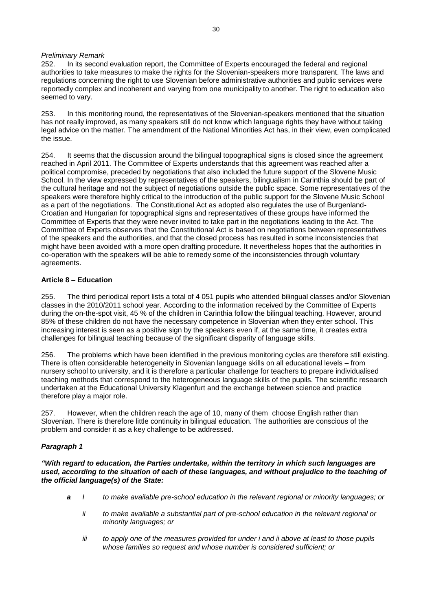#### *Preliminary Remark*

252. In its second evaluation report, the Committee of Experts encouraged the federal and regional authorities to take measures to make the rights for the Slovenian-speakers more transparent. The laws and regulations concerning the right to use Slovenian before administrative authorities and public services were reportedly complex and incoherent and varying from one municipality to another. The right to education also seemed to vary.

253. In this monitoring round, the representatives of the Slovenian-speakers mentioned that the situation has not really improved, as many speakers still do not know which language rights they have without taking legal advice on the matter. The amendment of the National Minorities Act has, in their view, even complicated the issue.

254. It seems that the discussion around the bilingual topographical signs is closed since the agreement reached in April 2011. The Committee of Experts understands that this agreement was reached after a political compromise, preceded by negotiations that also included the future support of the Slovene Music School. In the view expressed by representatives of the speakers, bilingualism in Carinthia should be part of the cultural heritage and not the subject of negotiations outside the public space. Some representatives of the speakers were therefore highly critical to the introduction of the public support for the Slovene Music School as a part of the negotiations. The Constitutional Act as adopted also regulates the use of Burgenland-Croatian and Hungarian for topographical signs and representatives of these groups have informed the Committee of Experts that they were never invited to take part in the negotiations leading to the Act. The Committee of Experts observes that the Constitutional Act is based on negotiations between representatives of the speakers and the authorities, and that the closed process has resulted in some inconsistencies that might have been avoided with a more open drafting procedure. It nevertheless hopes that the authorities in co-operation with the speakers will be able to remedy some of the inconsistencies through voluntary agreements.

#### **Article 8 – Education**

255. The third periodical report lists a total of 4 051 pupils who attended bilingual classes and/or Slovenian classes in the 2010/2011 school year. According to the information received by the Committee of Experts during the on-the-spot visit, 45 % of the children in Carinthia follow the bilingual teaching. However, around 85% of these children do not have the necessary competence in Slovenian when they enter school. This increasing interest is seen as a positive sign by the speakers even if, at the same time, it creates extra challenges for bilingual teaching because of the significant disparity of language skills.

256. The problems which have been identified in the previous monitoring cycles are therefore still existing. There is often considerable heterogeneity in Slovenian language skills on all educational levels – from nursery school to university, and it is therefore a particular challenge for teachers to prepare individualised teaching methods that correspond to the heterogeneous language skills of the pupils. The scientific research undertaken at the Educational University Klagenfurt and the exchange between science and practice therefore play a major role.

257. However, when the children reach the age of 10, many of them choose English rather than Slovenian. There is therefore little continuity in bilingual education. The authorities are conscious of the problem and consider it as a key challenge to be addressed.

## *Paragraph 1*

*"With regard to education, the Parties undertake, within the territory in which such languages are used, according to the situation of each of these languages, and without prejudice to the teaching of the official language(s) of the State:*

- *a I to make available pre-school education in the relevant regional or minority languages; or*
	- *ii to make available a substantial part of pre-school education in the relevant regional or minority languages; or*
	- *iii to apply one of the measures provided for under i and ii above at least to those pupils whose families so request and whose number is considered sufficient; or*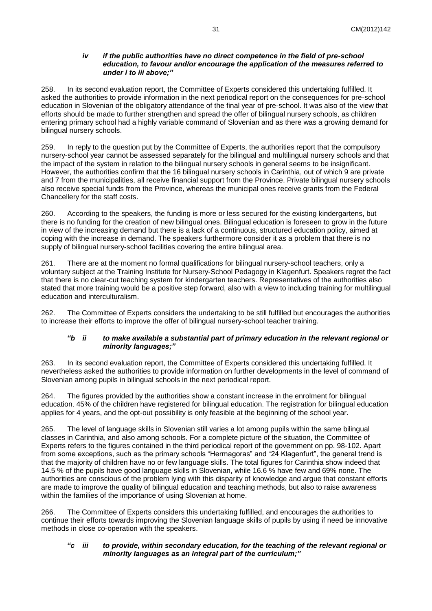#### *iv if the public authorities have no direct competence in the field of pre-school education, to favour and/or encourage the application of the measures referred to under i to iii above;"*

258. In its second evaluation report, the Committee of Experts considered this undertaking fulfilled. It asked the authorities to provide information in the next periodical report on the consequences for pre-school education in Slovenian of the obligatory attendance of the final year of pre-school. It was also of the view that efforts should be made to further strengthen and spread the offer of bilingual nursery schools, as children entering primary school had a highly variable command of Slovenian and as there was a growing demand for bilingual nursery schools.

259. In reply to the question put by the Committee of Experts, the authorities report that the compulsory nursery-school year cannot be assessed separately for the bilingual and multilingual nursery schools and that the impact of the system in relation to the bilingual nursery schools in general seems to be insignificant. However, the authorities confirm that the 16 bilingual nursery schools in Carinthia, out of which 9 are private and 7 from the municipalities, all receive financial support from the Province. Private bilingual nursery schools also receive special funds from the Province, whereas the municipal ones receive grants from the Federal Chancellery for the staff costs.

260. According to the speakers, the funding is more or less secured for the existing kindergartens, but there is no funding for the creation of new bilingual ones. Bilingual education is foreseen to grow in the future in view of the increasing demand but there is a lack of a continuous, structured education policy, aimed at coping with the increase in demand. The speakers furthermore consider it as a problem that there is no supply of bilingual nursery-school facilities covering the entire bilingual area.

261. There are at the moment no formal qualifications for bilingual nursery-school teachers, only a voluntary subject at the Training Institute for Nursery-School Pedagogy in Klagenfurt. Speakers regret the fact that there is no clear-cut teaching system for kindergarten teachers. Representatives of the authorities also stated that more training would be a positive step forward, also with a view to including training for multilingual education and interculturalism.

262. The Committee of Experts considers the undertaking to be still fulfilled but encourages the authorities to increase their efforts to improve the offer of bilingual nursery-school teacher training.

#### *"b ii to make available a substantial part of primary education in the relevant regional or minority languages;"*

263. In its second evaluation report, the Committee of Experts considered this undertaking fulfilled. It nevertheless asked the authorities to provide information on further developments in the level of command of Slovenian among pupils in bilingual schools in the next periodical report.

264. The figures provided by the authorities show a constant increase in the enrolment for bilingual education. 45% of the children have registered for bilingual education. The registration for bilingual education applies for 4 years, and the opt-out possibility is only feasible at the beginning of the school year.

265. The level of language skills in Slovenian still varies a lot among pupils within the same bilingual classes in Carinthia, and also among schools. For a complete picture of the situation, the Committee of Experts refers to the figures contained in the third periodical report of the government on pp. 98-102. Apart from some exceptions, such as the primary schools "Hermagoras" and "24 Klagenfurt", the general trend is that the majority of children have no or few language skills. The total figures for Carinthia show indeed that 14.5 % of the pupils have good language skills in Slovenian, while 16.6 % have few and 69% none. The authorities are conscious of the problem lying with this disparity of knowledge and argue that constant efforts are made to improve the quality of bilingual education and teaching methods, but also to raise awareness within the families of the importance of using Slovenian at home.

266. The Committee of Experts considers this undertaking fulfilled, and encourages the authorities to continue their efforts towards improving the Slovenian language skills of pupils by using if need be innovative methods in close co-operation with the speakers.

#### *"c iii to provide, within secondary education, for the teaching of the relevant regional or minority languages as an integral part of the curriculum;"*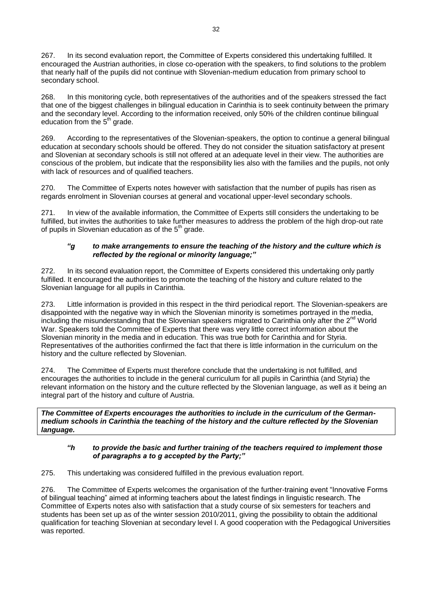267. In its second evaluation report, the Committee of Experts considered this undertaking fulfilled. It encouraged the Austrian authorities, in close co-operation with the speakers, to find solutions to the problem that nearly half of the pupils did not continue with Slovenian-medium education from primary school to secondary school.

268. In this monitoring cycle, both representatives of the authorities and of the speakers stressed the fact that one of the biggest challenges in bilingual education in Carinthia is to seek continuity between the primary and the secondary level. According to the information received, only 50% of the children continue bilingual education from the 5<sup>th</sup> grade.

269. According to the representatives of the Slovenian-speakers, the option to continue a general bilingual education at secondary schools should be offered. They do not consider the situation satisfactory at present and Slovenian at secondary schools is still not offered at an adequate level in their view. The authorities are conscious of the problem, but indicate that the responsibility lies also with the families and the pupils, not only with lack of resources and of qualified teachers.

270. The Committee of Experts notes however with satisfaction that the number of pupils has risen as regards enrolment in Slovenian courses at general and vocational upper-level secondary schools.

271. In view of the available information, the Committee of Experts still considers the undertaking to be fulfilled, but invites the authorities to take further measures to address the problem of the high drop-out rate of pupils in Slovenian education as of the  $5<sup>th</sup>$  grade.

## *"g to make arrangements to ensure the teaching of the history and the culture which is reflected by the regional or minority language;"*

272. In its second evaluation report, the Committee of Experts considered this undertaking only partly fulfilled. It encouraged the authorities to promote the teaching of the history and culture related to the Slovenian language for all pupils in Carinthia.

273. Little information is provided in this respect in the third periodical report. The Slovenian-speakers are disappointed with the negative way in which the Slovenian minority is sometimes portrayed in the media, including the misunderstanding that the Slovenian speakers migrated to Carinthia only after the 2<sup>nd</sup> World War. Speakers told the Committee of Experts that there was very little correct information about the Slovenian minority in the media and in education. This was true both for Carinthia and for Styria. Representatives of the authorities confirmed the fact that there is little information in the curriculum on the history and the culture reflected by Slovenian.

274. The Committee of Experts must therefore conclude that the undertaking is not fulfilled, and encourages the authorities to include in the general curriculum for all pupils in Carinthia (and Styria) the relevant information on the history and the culture reflected by the Slovenian language, as well as it being an integral part of the history and culture of Austria.

*The Committee of Experts encourages the authorities to include in the curriculum of the Germanmedium schools in Carinthia the teaching of the history and the culture reflected by the Slovenian language.* 

## *"h to provide the basic and further training of the teachers required to implement those of paragraphs a to g accepted by the Party;"*

275. This undertaking was considered fulfilled in the previous evaluation report.

276. The Committee of Experts welcomes the organisation of the further-training event "Innovative Forms of bilingual teaching" aimed at informing teachers about the latest findings in linguistic research. The Committee of Experts notes also with satisfaction that a study course of six semesters for teachers and students has been set up as of the winter session 2010/2011, giving the possibility to obtain the additional qualification for teaching Slovenian at secondary level I. A good cooperation with the Pedagogical Universities was reported.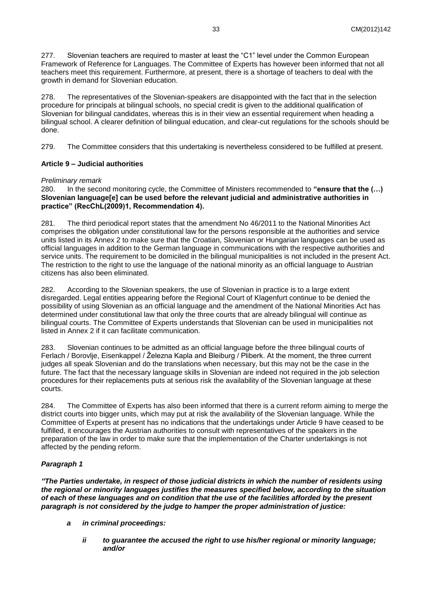277. Slovenian teachers are required to master at least the "C1" level under the Common European Framework of Reference for Languages. The Committee of Experts has however been informed that not all teachers meet this requirement. Furthermore, at present, there is a shortage of teachers to deal with the growth in demand for Slovenian education.

278. The representatives of the Slovenian-speakers are disappointed with the fact that in the selection procedure for principals at bilingual schools, no special credit is given to the additional qualification of Slovenian for bilingual candidates, whereas this is in their view an essential requirement when heading a bilingual school. A clearer definition of bilingual education, and clear-cut regulations for the schools should be done.

279. The Committee considers that this undertaking is nevertheless considered to be fulfilled at present.

## **Article 9 – Judicial authorities**

#### *Preliminary remark*

280. In the second monitoring cycle, the Committee of Ministers recommended to **"ensure that the (…) Slovenian language[e] can be used before the relevant judicial and administrative authorities in practice" (RecChL(2009)1, Recommendation 4).**

281. The third periodical report states that the amendment No 46/2011 to the National Minorities Act comprises the obligation under constitutional law for the persons responsible at the authorities and service units listed in its Annex 2 to make sure that the Croatian, Slovenian or Hungarian languages can be used as official languages in addition to the German language in communications with the respective authorities and service units. The requirement to be domiciled in the bilingual municipalities is not included in the present Act. The restriction to the right to use the language of the national minority as an official language to Austrian citizens has also been eliminated.

282. According to the Slovenian speakers, the use of Slovenian in practice is to a large extent disregarded. Legal entities appearing before the Regional Court of Klagenfurt continue to be denied the possibility of using Slovenian as an official language and the amendment of the National Minorities Act has determined under constitutional law that only the three courts that are already bilingual will continue as bilingual courts. The Committee of Experts understands that Slovenian can be used in municipalities not listed in Annex 2 if it can facilitate communication.

283. Slovenian continues to be admitted as an official language before the three bilingual courts of Ferlach / Borovlje, Eisenkappel / Železna Kapla and Bleiburg / Pliberk. At the moment, the three current judges all speak Slovenian and do the translations when necessary, but this may not be the case in the future. The fact that the necessary language skills in Slovenian are indeed not required in the job selection procedures for their replacements puts at serious risk the availability of the Slovenian language at these courts.

284. The Committee of Experts has also been informed that there is a current reform aiming to merge the district courts into bigger units, which may put at risk the availability of the Slovenian language. While the Committee of Experts at present has no indications that the undertakings under Article 9 have ceased to be fulfilled, it encourages the Austrian authorities to consult with representatives of the speakers in the preparation of the law in order to make sure that the implementation of the Charter undertakings is not affected by the pending reform.

## *Paragraph 1*

*"The Parties undertake, in respect of those judicial districts in which the number of residents using the regional or minority languages justifies the measures specified below, according to the situation of each of these languages and on condition that the use of the facilities afforded by the present paragraph is not considered by the judge to hamper the proper administration of justice:*

- *a in criminal proceedings:*
	- *ii to guarantee the accused the right to use his/her regional or minority language; and/or*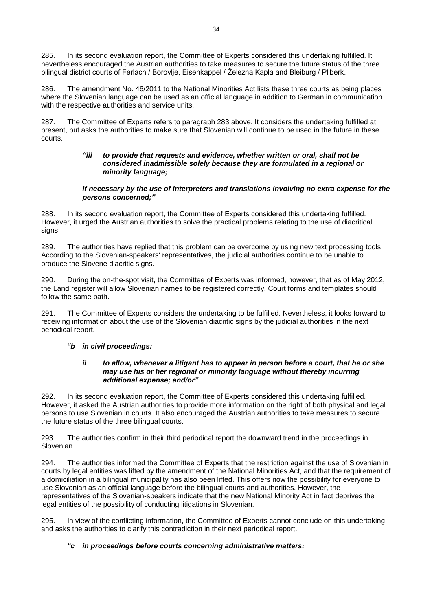285. In its second evaluation report, the Committee of Experts considered this undertaking fulfilled. It nevertheless encouraged the Austrian authorities to take measures to secure the future status of the three bilingual district courts of Ferlach / Borovlje, Eisenkappel / Železna Kapla and Bleiburg / Pliberk.

286. The amendment No. 46/2011 to the National Minorities Act lists these three courts as being places where the Slovenian language can be used as an official language in addition to German in communication with the respective authorities and service units.

287. The Committee of Experts refers to paragraph 283 above. It considers the undertaking fulfilled at present, but asks the authorities to make sure that Slovenian will continue to be used in the future in these courts.

#### *"iii to provide that requests and evidence, whether written or oral, shall not be considered inadmissible solely because they are formulated in a regional or minority language;*

#### *if necessary by the use of interpreters and translations involving no extra expense for the persons concerned;"*

288. In its second evaluation report, the Committee of Experts considered this undertaking fulfilled. However, it urged the Austrian authorities to solve the practical problems relating to the use of diacritical signs.

289. The authorities have replied that this problem can be overcome by using new text processing tools. According to the Slovenian-speakers' representatives, the judicial authorities continue to be unable to produce the Slovene diacritic signs.

290. During the on-the-spot visit, the Committee of Experts was informed, however, that as of May 2012, the Land register will allow Slovenian names to be registered correctly. Court forms and templates should follow the same path.

291. The Committee of Experts considers the undertaking to be fulfilled. Nevertheless, it looks forward to receiving information about the use of the Slovenian diacritic signs by the judicial authorities in the next periodical report.

## *"b in civil proceedings:*

#### *ii to allow, whenever a litigant has to appear in person before a court, that he or she may use his or her regional or minority language without thereby incurring additional expense; and/or"*

292. In its second evaluation report, the Committee of Experts considered this undertaking fulfilled. However, it asked the Austrian authorities to provide more information on the right of both physical and legal persons to use Slovenian in courts. It also encouraged the Austrian authorities to take measures to secure the future status of the three bilingual courts.

293. The authorities confirm in their third periodical report the downward trend in the proceedings in Slovenian.

294. The authorities informed the Committee of Experts that the restriction against the use of Slovenian in courts by legal entities was lifted by the amendment of the National Minorities Act, and that the requirement of a domiciliation in a bilingual municipality has also been lifted. This offers now the possibility for everyone to use Slovenian as an official language before the bilingual courts and authorities. However, the representatives of the Slovenian-speakers indicate that the new National Minority Act in fact deprives the legal entities of the possibility of conducting litigations in Slovenian.

295. In view of the conflicting information, the Committee of Experts cannot conclude on this undertaking and asks the authorities to clarify this contradiction in their next periodical report.

## *"c in proceedings before courts concerning administrative matters:*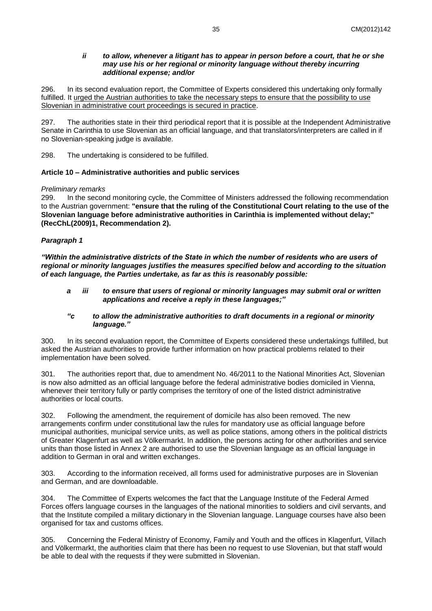#### *ii to allow, whenever a litigant has to appear in person before a court, that he or she may use his or her regional or minority language without thereby incurring additional expense; and/or*

296. In its second evaluation report, the Committee of Experts considered this undertaking only formally fulfilled. It urged the Austrian authorities to take the necessary steps to ensure that the possibility to use Slovenian in administrative court proceedings is secured in practice.

297. The authorities state in their third periodical report that it is possible at the Independent Administrative Senate in Carinthia to use Slovenian as an official language, and that translators/interpreters are called in if no Slovenian-speaking judge is available.

298. The undertaking is considered to be fulfilled.

#### **Article 10 – Administrative authorities and public services**

#### *Preliminary remarks*

299. In the second monitoring cycle, the Committee of Ministers addressed the following recommendation to the Austrian government: **"ensure that the ruling of the Constitutional Court relating to the use of the Slovenian language before administrative authorities in Carinthia is implemented without delay;" (RecChL(2009)1, Recommendation 2).**

# *Paragraph 1*

*"Within the administrative districts of the State in which the number of residents who are users of regional or minority languages justifies the measures specified below and according to the situation of each language, the Parties undertake, as far as this is reasonably possible:*

*a iii to ensure that users of regional or minority languages may submit oral or written applications and receive a reply in these languages;"*

#### *"c to allow the administrative authorities to draft documents in a regional or minority language."*

300. In its second evaluation report, the Committee of Experts considered these undertakings fulfilled, but asked the Austrian authorities to provide further information on how practical problems related to their implementation have been solved.

301. The authorities report that, due to amendment No. 46/2011 to the National Minorities Act, Slovenian is now also admitted as an official language before the federal administrative bodies domiciled in Vienna, whenever their territory fully or partly comprises the territory of one of the listed district administrative authorities or local courts.

302. Following the amendment, the requirement of domicile has also been removed. The new arrangements confirm under constitutional law the rules for mandatory use as official language before municipal authorities, municipal service units, as well as police stations, among others in the political districts of Greater Klagenfurt as well as Völkermarkt. In addition, the persons acting for other authorities and service units than those listed in Annex 2 are authorised to use the Slovenian language as an official language in addition to German in oral and written exchanges.

303. According to the information received, all forms used for administrative purposes are in Slovenian and German, and are downloadable.

304. The Committee of Experts welcomes the fact that the Language Institute of the Federal Armed Forces offers language courses in the languages of the national minorities to soldiers and civil servants, and that the Institute compiled a military dictionary in the Slovenian language. Language courses have also been organised for tax and customs offices.

305. Concerning the Federal Ministry of Economy, Family and Youth and the offices in Klagenfurt, Villach and Völkermarkt, the authorities claim that there has been no request to use Slovenian, but that staff would be able to deal with the requests if they were submitted in Slovenian.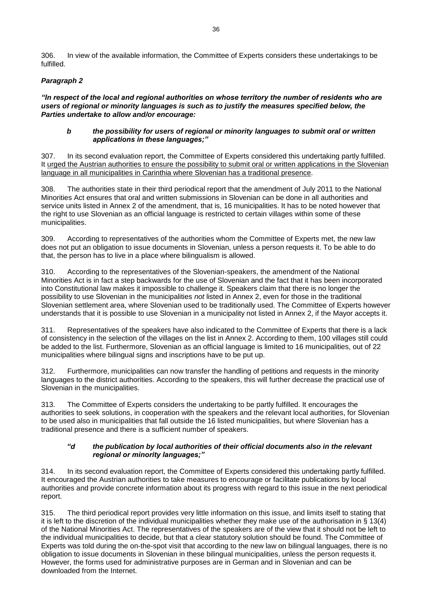306. In view of the available information, the Committee of Experts considers these undertakings to be fulfilled.

# *Paragraph 2*

*"In respect of the local and regional authorities on whose territory the number of residents who are users of regional or minority languages is such as to justify the measures specified below, the Parties undertake to allow and/or encourage:*

#### *b the possibility for users of regional or minority languages to submit oral or written applications in these languages;"*

307. In its second evaluation report, the Committee of Experts considered this undertaking partly fulfilled. It urged the Austrian authorities to ensure the possibility to submit oral or written applications in the Slovenian language in all municipalities in Carinthia where Slovenian has a traditional presence.

308. The authorities state in their third periodical report that the amendment of July 2011 to the National Minorities Act ensures that oral and written submissions in Slovenian can be done in all authorities and service units listed in Annex 2 of the amendment, that is, 16 municipalities. It has to be noted however that the right to use Slovenian as an official language is restricted to certain villages within some of these municipalities.

309. According to representatives of the authorities whom the Committee of Experts met, the new law does not put an obligation to issue documents in Slovenian, unless a person requests it. To be able to do that, the person has to live in a place where bilingualism is allowed.

310. According to the representatives of the Slovenian-speakers, the amendment of the National Minorities Act is in fact a step backwards for the use of Slovenian and the fact that it has been incorporated into Constitutional law makes it impossible to challenge it. Speakers claim that there is no longer the possibility to use Slovenian in the municipalities *not* listed in Annex 2, even for those in the traditional Slovenian settlement area, where Slovenian used to be traditionally used. The Committee of Experts however understands that it is possible to use Slovenian in a municipality not listed in Annex 2, if the Mayor accepts it.

311. Representatives of the speakers have also indicated to the Committee of Experts that there is a lack of consistency in the selection of the villages on the list in Annex 2. According to them, 100 villages still could be added to the list. Furthermore, Slovenian as an official language is limited to 16 municipalities, out of 22 municipalities where bilingual signs and inscriptions have to be put up.

312. Furthermore, municipalities can now transfer the handling of petitions and requests in the minority languages to the district authorities. According to the speakers, this will further decrease the practical use of Slovenian in the municipalities.

313. The Committee of Experts considers the undertaking to be partly fulfilled. It encourages the authorities to seek solutions, in cooperation with the speakers and the relevant local authorities, for Slovenian to be used also in municipalities that fall outside the 16 listed municipalities, but where Slovenian has a traditional presence and there is a sufficient number of speakers.

#### *"d the publication by local authorities of their official documents also in the relevant regional or minority languages;"*

314. In its second evaluation report, the Committee of Experts considered this undertaking partly fulfilled. It encouraged the Austrian authorities to take measures to encourage or facilitate publications by local authorities and provide concrete information about its progress with regard to this issue in the next periodical report.

315. The third periodical report provides very little information on this issue, and limits itself to stating that it is left to the discretion of the individual municipalities whether they make use of the authorisation in § 13(4) of the National Minorities Act. The representatives of the speakers are of the view that it should not be left to the individual municipalities to decide, but that a clear statutory solution should be found. The Committee of Experts was told during the on-the-spot visit that according to the new law on bilingual languages, there is no obligation to issue documents in Slovenian in these bilingual municipalities, unless the person requests it. However, the forms used for administrative purposes are in German and in Slovenian and can be downloaded from the Internet.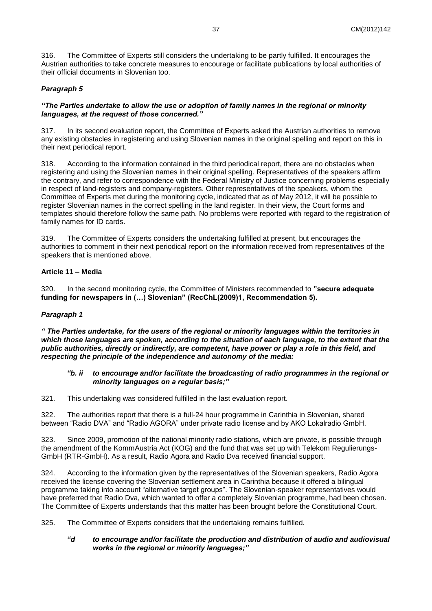316. The Committee of Experts still considers the undertaking to be partly fulfilled. It encourages the Austrian authorities to take concrete measures to encourage or facilitate publications by local authorities of their official documents in Slovenian too.

### *Paragraph 5*

#### *"The Parties undertake to allow the use or adoption of family names in the regional or minority languages, at the request of those concerned."*

317. In its second evaluation report, the Committee of Experts asked the Austrian authorities to remove any existing obstacles in registering and using Slovenian names in the original spelling and report on this in their next periodical report.

318. According to the information contained in the third periodical report, there are no obstacles when registering and using the Slovenian names in their original spelling. Representatives of the speakers affirm the contrary, and refer to correspondence with the Federal Ministry of Justice concerning problems especially in respect of land-registers and company-registers. Other representatives of the speakers, whom the Committee of Experts met during the monitoring cycle, indicated that as of May 2012, it will be possible to register Slovenian names in the correct spelling in the land register. In their view, the Court forms and templates should therefore follow the same path. No problems were reported with regard to the registration of family names for ID cards.

319. The Committee of Experts considers the undertaking fulfilled at present, but encourages the authorities to comment in their next periodical report on the information received from representatives of the speakers that is mentioned above.

#### **Article 11 – Media**

320. In the second monitoring cycle, the Committee of Ministers recommended to **"secure adequate funding for newspapers in (…) Slovenian" (RecChL(2009)1, Recommendation 5).**

#### *Paragraph 1*

*" The Parties undertake, for the users of the regional or minority languages within the territories in which those languages are spoken, according to the situation of each language, to the extent that the public authorities, directly or indirectly, are competent, have power or play a role in this field, and respecting the principle of the independence and autonomy of the media:*

#### *"b. ii to encourage and/or facilitate the broadcasting of radio programmes in the regional or minority languages on a regular basis;"*

321. This undertaking was considered fulfilled in the last evaluation report.

322. The authorities report that there is a full-24 hour programme in Carinthia in Slovenian, shared between "Radio DVA" and "Radio AGORA" under private radio license and by AKO Lokalradio GmbH.

323. Since 2009, promotion of the national minority radio stations, which are private, is possible through the amendment of the KommAustria Act (KOG) and the fund that was set up with Telekom Regulierungs-GmbH (RTR-GmbH). As a result, Radio Agora and Radio Dva received financial support.

324. According to the information given by the representatives of the Slovenian speakers, Radio Agora received the license covering the Slovenian settlement area in Carinthia because it offered a bilingual programme taking into account "alternative target groups". The Slovenian-speaker representatives would have preferred that Radio Dva, which wanted to offer a completely Slovenian programme, had been chosen. The Committee of Experts understands that this matter has been brought before the Constitutional Court.

325. The Committee of Experts considers that the undertaking remains fulfilled.

#### *"d to encourage and/or facilitate the production and distribution of audio and audiovisual works in the regional or minority languages;"*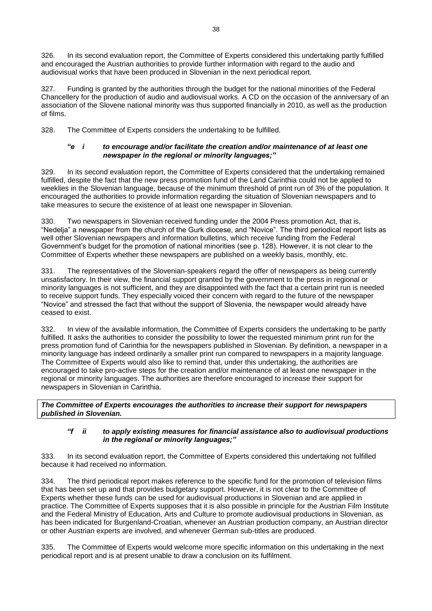326. In its second evaluation report, the Committee of Experts considered this undertaking partly fulfilled and encouraged the Austrian authorities to provide further information with regard to the audio and audiovisual works that have been produced in Slovenian in the next periodical report.

327. Funding is granted by the authorities through the budget for the national minorities of the Federal Chancellery for the production of audio and audiovisual works. A CD on the occasion of the anniversary of an association of the Slovene national minority was thus supported financially in 2010, as well as the production of films.

328. The Committee of Experts considers the undertaking to be fulfilled.

### *"e i to encourage and/or facilitate the creation and/or maintenance of at least one newspaper in the regional or minority languages;"*

329. In its second evaluation report, the Committee of Experts considered that the undertaking remained fulfilled, despite the fact that the new press promotion fund of the Land Carinthia could not be applied to weeklies in the Slovenian language, because of the minimum threshold of print run of 3% of the population. It encouraged the authorities to provide information regarding the situation of Slovenian newspapers and to take measures to secure the existence of at least one newspaper in Slovenian.

330. Two newspapers in Slovenian received funding under the 2004 Press promotion Act, that is, "Nedelja" a newspaper from the church of the Gurk diocese, and "Novice". The third periodical report lists as well other Slovenian newspapers and information bulletins, which receive funding from the Federal Government's budget for the promotion of national minorities (see p. 128). However, it is not clear to the Committee of Experts whether these newspapers are published on a weekly basis, monthly, etc.

331. The representatives of the Slovenian-speakers regard the offer of newspapers as being currently unsatisfactory. In their view, the financial support granted by the government to the press in regional or minority languages is not sufficient, and they are disappointed with the fact that a certain print run is needed to receive support funds. They especially voiced their concern with regard to the future of the newspaper "Novice" and stressed the fact that without the support of Slovenia, the newspaper would already have ceased to exist.

332. In view of the available information, the Committee of Experts considers the undertaking to be partly fulfilled. It asks the authorities to consider the possibility to lower the requested minimum print run for the press promotion fund of Carinthia for the newspapers published in Slovenian. By definition, a newspaper in a minority language has indeed ordinarily a smaller print run compared to newspapers in a majority language. The Committee of Experts would also like to remind that, under this undertaking, the authorities are encouraged to take pro-active steps for the creation and/or maintenance of at least one newspaper in the regional or minority languages. The authorities are therefore encouraged to increase their support for newspapers in Slovenian in Carinthia.

*The Committee of Experts encourages the authorities to increase their support for newspapers published in Slovenian.* 

## *"f ii to apply existing measures for financial assistance also to audiovisual productions in the regional or minority languages;"*

333. In its second evaluation report, the Committee of Experts considered this undertaking not fulfilled because it had received no information.

334. The third periodical report makes reference to the specific fund for the promotion of television films that has been set up and that provides budgetary support. However, it is not clear to the Committee of Experts whether these funds can be used for audiovisual productions in Slovenian and are applied in practice. The Committee of Experts supposes that it is also possible in principle for the Austrian Film Institute and the Federal Ministry of Education, Arts and Culture to promote audiovisual productions in Slovenian, as has been indicated for Burgenland-Croatian, whenever an Austrian production company, an Austrian director or other Austrian experts are involved, and whenever German sub-titles are produced.

335. The Committee of Experts would welcome more specific information on this undertaking in the next periodical report and is at present unable to draw a conclusion on its fulfilment.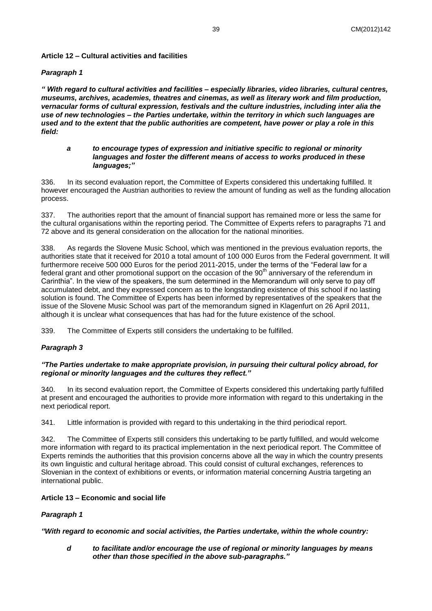### **Article 12 – Cultural activities and facilities**

#### *Paragraph 1*

*" With regard to cultural activities and facilities – especially libraries, video libraries, cultural centres, museums, archives, academies, theatres and cinemas, as well as literary work and film production, vernacular forms of cultural expression, festivals and the culture industries, including inter alia the use of new technologies – the Parties undertake, within the territory in which such languages are used and to the extent that the public authorities are competent, have power or play a role in this field:*

#### *a to encourage types of expression and initiative specific to regional or minority languages and foster the different means of access to works produced in these languages;"*

336. In its second evaluation report, the Committee of Experts considered this undertaking fulfilled. It however encouraged the Austrian authorities to review the amount of funding as well as the funding allocation process.

337. The authorities report that the amount of financial support has remained more or less the same for the cultural organisations within the reporting period. The Committee of Experts refers to paragraphs 71 and 72 above and its general consideration on the allocation for the national minorities.

338. As regards the Slovene Music School, which was mentioned in the previous evaluation reports, the authorities state that it received for 2010 a total amount of 100 000 Euros from the Federal government. It will furthermore receive 500 000 Euros for the period 2011-2015, under the terms of the "Federal law for a federal grant and other promotional support on the occasion of the 90<sup>th</sup> anniversary of the referendum in Carinthia". In the view of the speakers, the sum determined in the Memorandum will only serve to pay off accumulated debt, and they expressed concern as to the longstanding existence of this school if no lasting solution is found. The Committee of Experts has been informed by representatives of the speakers that the issue of the Slovene Music School was part of the memorandum signed in Klagenfurt on 26 April 2011, although it is unclear what consequences that has had for the future existence of the school.

339. The Committee of Experts still considers the undertaking to be fulfilled.

## *Paragraph 3*

#### *"The Parties undertake to make appropriate provision, in pursuing their cultural policy abroad, for regional or minority languages and the cultures they reflect."*

340. In its second evaluation report, the Committee of Experts considered this undertaking partly fulfilled at present and encouraged the authorities to provide more information with regard to this undertaking in the next periodical report.

341. Little information is provided with regard to this undertaking in the third periodical report.

342. The Committee of Experts still considers this undertaking to be partly fulfilled, and would welcome more information with regard to its practical implementation in the next periodical report. The Committee of Experts reminds the authorities that this provision concerns above all the way in which the country presents its own linguistic and cultural heritage abroad. This could consist of cultural exchanges, references to Slovenian in the context of exhibitions or events, or information material concerning Austria targeting an international public.

## **Article 13 – Economic and social life**

## *Paragraph 1*

*"With regard to economic and social activities, the Parties undertake, within the whole country:*

*d to facilitate and/or encourage the use of regional or minority languages by means other than those specified in the above sub-paragraphs."*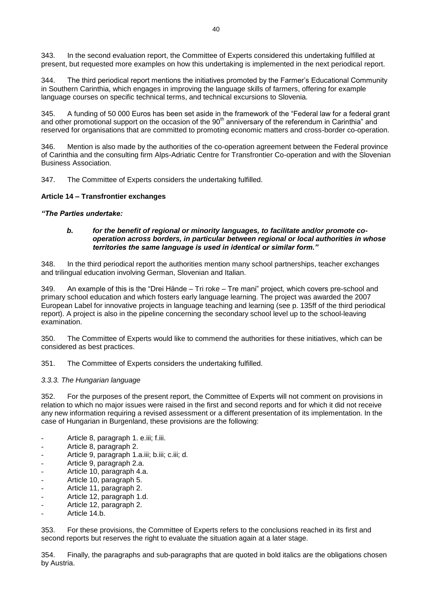343. In the second evaluation report, the Committee of Experts considered this undertaking fulfilled at present, but requested more examples on how this undertaking is implemented in the next periodical report.

344. The third periodical report mentions the initiatives promoted by the Farmer's Educational Community in Southern Carinthia, which engages in improving the language skills of farmers, offering for example language courses on specific technical terms, and technical excursions to Slovenia.

345. A funding of 50 000 Euros has been set aside in the framework of the "Federal law for a federal grant and other promotional support on the occasion of the 90<sup>th</sup> anniversary of the referendum in Carinthia" and reserved for organisations that are committed to promoting economic matters and cross-border co-operation.

346. Mention is also made by the authorities of the co-operation agreement between the Federal province of Carinthia and the consulting firm Alps-Adriatic Centre for Transfrontier Co-operation and with the Slovenian Business Association.

347. The Committee of Experts considers the undertaking fulfilled.

#### **Article 14 – Transfrontier exchanges**

#### *"The Parties undertake:*

#### *b. for the benefit of regional or minority languages, to facilitate and/or promote cooperation across borders, in particular between regional or local authorities in whose territories the same language is used in identical or similar form."*

348. In the third periodical report the authorities mention many school partnerships, teacher exchanges and trilingual education involving German, Slovenian and Italian.

349. An example of this is the "Drei Hände – Tri roke – Tre mani" project, which covers pre-school and primary school education and which fosters early language learning. The project was awarded the 2007 European Label for innovative projects in language teaching and learning (see p. 135ff of the third periodical report). A project is also in the pipeline concerning the secondary school level up to the school-leaving examination.

350. The Committee of Experts would like to commend the authorities for these initiatives, which can be considered as best practices.

351. The Committee of Experts considers the undertaking fulfilled.

#### <span id="page-39-0"></span>*3.3.3. The Hungarian language*

352. For the purposes of the present report, the Committee of Experts will not comment on provisions in relation to which no major issues were raised in the first and second reports and for which it did not receive any new information requiring a revised assessment or a different presentation of its implementation. In the case of Hungarian in Burgenland, these provisions are the following:

- Article 8, paragraph 1. e.iii; f.iii.
- Article 8, paragraph 2.
- Article 9, paragraph 1.a.iii; b.iii; c.iii; d.
- Article 9, paragraph 2.a.
- Article 10, paragraph 4.a.
- Article 10, paragraph 5.
- Article 11, paragraph 2.
- Article 12, paragraph 1.d.
- Article 12, paragraph 2.
- Article 14.b.

353. For these provisions, the Committee of Experts refers to the conclusions reached in its first and second reports but reserves the right to evaluate the situation again at a later stage.

354. Finally, the paragraphs and sub-paragraphs that are quoted in bold italics are the obligations chosen by Austria.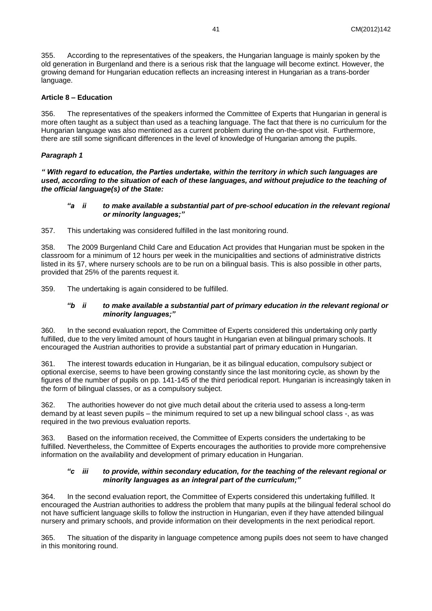355. According to the representatives of the speakers, the Hungarian language is mainly spoken by the old generation in Burgenland and there is a serious risk that the language will become extinct. However, the growing demand for Hungarian education reflects an increasing interest in Hungarian as a trans-border language.

### **Article 8 – Education**

356. The representatives of the speakers informed the Committee of Experts that Hungarian in general is more often taught as a subject than used as a teaching language. The fact that there is no curriculum for the Hungarian language was also mentioned as a current problem during the on-the-spot visit. Furthermore, there are still some significant differences in the level of knowledge of Hungarian among the pupils.

## *Paragraph 1*

*" With regard to education, the Parties undertake, within the territory in which such languages are used, according to the situation of each of these languages, and without prejudice to the teaching of the official language(s) of the State:*

#### *"a ii to make available a substantial part of pre-school education in the relevant regional or minority languages;"*

357. This undertaking was considered fulfilled in the last monitoring round.

358. The 2009 Burgenland Child Care and Education Act provides that Hungarian must be spoken in the classroom for a minimum of 12 hours per week in the municipalities and sections of administrative districts listed in its §7, where nursery schools are to be run on a bilingual basis. This is also possible in other parts, provided that 25% of the parents request it.

359. The undertaking is again considered to be fulfilled.

#### *"b ii to make available a substantial part of primary education in the relevant regional or minority languages;"*

360. In the second evaluation report, the Committee of Experts considered this undertaking only partly fulfilled, due to the very limited amount of hours taught in Hungarian even at bilingual primary schools. It encouraged the Austrian authorities to provide a substantial part of primary education in Hungarian.

361. The interest towards education in Hungarian, be it as bilingual education, compulsory subject or optional exercise, seems to have been growing constantly since the last monitoring cycle, as shown by the figures of the number of pupils on pp. 141-145 of the third periodical report. Hungarian is increasingly taken in the form of bilingual classes, or as a compulsory subject.

362. The authorities however do not give much detail about the criteria used to assess a long-term demand by at least seven pupils – the minimum required to set up a new bilingual school class -, as was required in the two previous evaluation reports.

363. Based on the information received, the Committee of Experts considers the undertaking to be fulfilled. Nevertheless, the Committee of Experts encourages the authorities to provide more comprehensive information on the availability and development of primary education in Hungarian.

#### *"c iii to provide, within secondary education, for the teaching of the relevant regional or minority languages as an integral part of the curriculum;"*

364. In the second evaluation report, the Committee of Experts considered this undertaking fulfilled. It encouraged the Austrian authorities to address the problem that many pupils at the bilingual federal school do not have sufficient language skills to follow the instruction in Hungarian, even if they have attended bilingual nursery and primary schools, and provide information on their developments in the next periodical report.

365. The situation of the disparity in language competence among pupils does not seem to have changed in this monitoring round.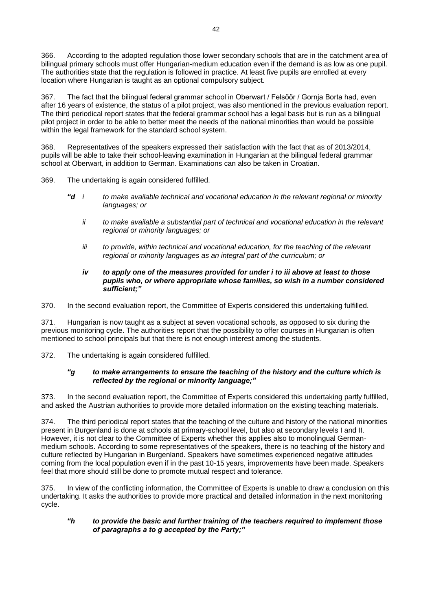366. According to the adopted regulation those lower secondary schools that are in the catchment area of bilingual primary schools must offer Hungarian-medium education even if the demand is as low as one pupil. The authorities state that the regulation is followed in practice. At least five pupils are enrolled at every location where Hungarian is taught as an optional compulsory subject.

367. The fact that the bilingual federal grammar school in Oberwart / Felsőőr / Gornja Borta had, even after 16 years of existence, the status of a pilot project, was also mentioned in the previous evaluation report. The third periodical report states that the federal grammar school has a legal basis but is run as a bilingual pilot project in order to be able to better meet the needs of the national minorities than would be possible within the legal framework for the standard school system.

368. Representatives of the speakers expressed their satisfaction with the fact that as of 2013/2014, pupils will be able to take their school-leaving examination in Hungarian at the bilingual federal grammar school at Oberwart, in addition to German. Examinations can also be taken in Croatian.

369. The undertaking is again considered fulfilled.

- *"d i to make available technical and vocational education in the relevant regional or minority languages; or*
	- *ii to make available a substantial part of technical and vocational education in the relevant regional or minority languages; or*
	- *iii to provide, within technical and vocational education, for the teaching of the relevant regional or minority languages as an integral part of the curriculum; or*

#### *iv to apply one of the measures provided for under i to iii above at least to those pupils who, or where appropriate whose families, so wish in a number considered sufficient;"*

370. In the second evaluation report, the Committee of Experts considered this undertaking fulfilled.

371. Hungarian is now taught as a subject at seven vocational schools, as opposed to six during the previous monitoring cycle. The authorities report that the possibility to offer courses in Hungarian is often mentioned to school principals but that there is not enough interest among the students.

372. The undertaking is again considered fulfilled.

## *"g to make arrangements to ensure the teaching of the history and the culture which is reflected by the regional or minority language;"*

373. In the second evaluation report, the Committee of Experts considered this undertaking partly fulfilled, and asked the Austrian authorities to provide more detailed information on the existing teaching materials.

374. The third periodical report states that the teaching of the culture and history of the national minorities present in Burgenland is done at schools at primary-school level, but also at secondary levels I and II. However, it is not clear to the Committee of Experts whether this applies also to monolingual Germanmedium schools. According to some representatives of the speakers, there is no teaching of the history and culture reflected by Hungarian in Burgenland. Speakers have sometimes experienced negative attitudes coming from the local population even if in the past 10-15 years, improvements have been made. Speakers feel that more should still be done to promote mutual respect and tolerance.

375. In view of the conflicting information, the Committee of Experts is unable to draw a conclusion on this undertaking. It asks the authorities to provide more practical and detailed information in the next monitoring cycle.

#### *"h to provide the basic and further training of the teachers required to implement those of paragraphs a to g accepted by the Party;"*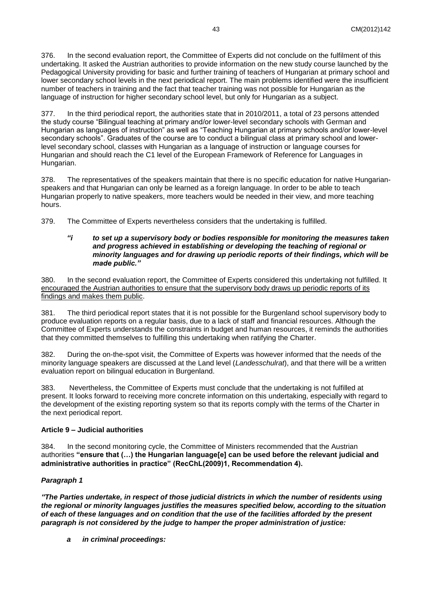376. In the second evaluation report, the Committee of Experts did not conclude on the fulfilment of this undertaking. It asked the Austrian authorities to provide information on the new study course launched by the Pedagogical University providing for basic and further training of teachers of Hungarian at primary school and lower secondary school levels in the next periodical report. The main problems identified were the insufficient number of teachers in training and the fact that teacher training was not possible for Hungarian as the language of instruction for higher secondary school level, but only for Hungarian as a subject.

377. In the third periodical report, the authorities state that in 2010/2011, a total of 23 persons attended the study course "Bilingual teaching at primary and/or lower-level secondary schools with German and Hungarian as languages of instruction" as well as "Teaching Hungarian at primary schools and/or lower-level secondary schools". Graduates of the course are to conduct a bilingual class at primary school and lowerlevel secondary school, classes with Hungarian as a language of instruction or language courses for Hungarian and should reach the C1 level of the European Framework of Reference for Languages in Hungarian.

378. The representatives of the speakers maintain that there is no specific education for native Hungarianspeakers and that Hungarian can only be learned as a foreign language. In order to be able to teach Hungarian properly to native speakers, more teachers would be needed in their view, and more teaching hours.

379. The Committee of Experts nevertheless considers that the undertaking is fulfilled.

#### *"i to set up a supervisory body or bodies responsible for monitoring the measures taken and progress achieved in establishing or developing the teaching of regional or minority languages and for drawing up periodic reports of their findings, which will be made public."*

380. In the second evaluation report, the Committee of Experts considered this undertaking not fulfilled. It encouraged the Austrian authorities to ensure that the supervisory body draws up periodic reports of its findings and makes them public.

381. The third periodical report states that it is not possible for the Burgenland school supervisory body to produce evaluation reports on a regular basis, due to a lack of staff and financial resources. Although the Committee of Experts understands the constraints in budget and human resources, it reminds the authorities that they committed themselves to fulfilling this undertaking when ratifying the Charter.

382. During the on-the-spot visit, the Committee of Experts was however informed that the needs of the minority language speakers are discussed at the Land level (*Landesschulrat*), and that there will be a written evaluation report on bilingual education in Burgenland.

383. Nevertheless, the Committee of Experts must conclude that the undertaking is not fulfilled at present. It looks forward to receiving more concrete information on this undertaking, especially with regard to the development of the existing reporting system so that its reports comply with the terms of the Charter in the next periodical report.

## **Article 9 – Judicial authorities**

384. In the second monitoring cycle, the Committee of Ministers recommended that the Austrian authorities **"ensure that (…) the Hungarian language[e] can be used before the relevant judicial and administrative authorities in practice" (RecChL(2009)1, Recommendation 4).**

# *Paragraph 1*

*"The Parties undertake, in respect of those judicial districts in which the number of residents using the regional or minority languages justifies the measures specified below, according to the situation of each of these languages and on condition that the use of the facilities afforded by the present paragraph is not considered by the judge to hamper the proper administration of justice:*

*a in criminal proceedings:*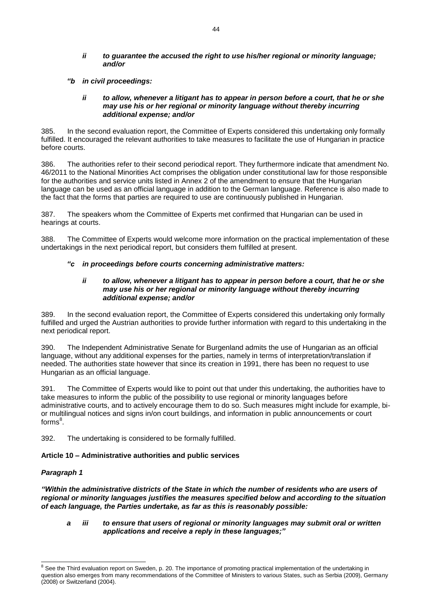#### *ii to guarantee the accused the right to use his/her regional or minority language; and/or*

*"b in civil proceedings:*

#### *ii to allow, whenever a litigant has to appear in person before a court, that he or she may use his or her regional or minority language without thereby incurring additional expense; and/or*

385. In the second evaluation report, the Committee of Experts considered this undertaking only formally fulfilled. It encouraged the relevant authorities to take measures to facilitate the use of Hungarian in practice before courts.

386. The authorities refer to their second periodical report. They furthermore indicate that amendment No. 46/2011 to the National Minorities Act comprises the obligation under constitutional law for those responsible for the authorities and service units listed in Annex 2 of the amendment to ensure that the Hungarian language can be used as an official language in addition to the German language. Reference is also made to the fact that the forms that parties are required to use are continuously published in Hungarian.

387. The speakers whom the Committee of Experts met confirmed that Hungarian can be used in hearings at courts.

388. The Committee of Experts would welcome more information on the practical implementation of these undertakings in the next periodical report, but considers them fulfilled at present.

## *"c in proceedings before courts concerning administrative matters:*

#### *ii to allow, whenever a litigant has to appear in person before a court, that he or she may use his or her regional or minority language without thereby incurring additional expense; and/or*

389. In the second evaluation report, the Committee of Experts considered this undertaking only formally fulfilled and urged the Austrian authorities to provide further information with regard to this undertaking in the next periodical report.

390. The Independent Administrative Senate for Burgenland admits the use of Hungarian as an official language, without any additional expenses for the parties, namely in terms of interpretation/translation if needed. The authorities state however that since its creation in 1991, there has been no request to use Hungarian as an official language.

391. The Committee of Experts would like to point out that under this undertaking, the authorities have to take measures to inform the public of the possibility to use regional or minority languages before administrative courts, and to actively encourage them to do so. Such measures might include for example, bior multilingual notices and signs in/on court buildings, and information in public announcements or court forms<sup>8</sup>.

392. The undertaking is considered to be formally fulfilled.

## **Article 10 – Administrative authorities and public services**

## *Paragraph 1*

l

*"Within the administrative districts of the State in which the number of residents who are users of regional or minority languages justifies the measures specified below and according to the situation of each language, the Parties undertake, as far as this is reasonably possible:*

#### *a iii to ensure that users of regional or minority languages may submit oral or written applications and receive a reply in these languages;"*

<sup>&</sup>lt;sup>8</sup> See the Third evaluation report on Sweden, p. 20. The importance of promoting practical implementation of the undertaking in question also emerges from many recommendations of the Committee of Ministers to various States, such as Serbia (2009), Germany (2008) or Switzerland (2004).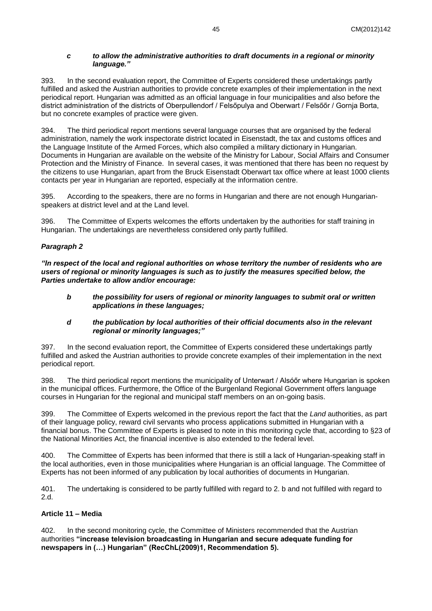#### *c to allow the administrative authorities to draft documents in a regional or minority language."*

393. In the second evaluation report, the Committee of Experts considered these undertakings partly fulfilled and asked the Austrian authorities to provide concrete examples of their implementation in the next periodical report. Hungarian was admitted as an official language in four municipalities and also before the district administration of the districts of Oberpullendorf / Felsőpulya and Oberwart / Felsőőr / Gornja Borta, but no concrete examples of practice were given.

394. The third periodical report mentions several language courses that are organised by the federal administration, namely the work inspectorate district located in Eisenstadt, the tax and customs offices and the Language Institute of the Armed Forces, which also compiled a military dictionary in Hungarian. Documents in Hungarian are available on the website of the Ministry for Labour, Social Affairs and Consumer Protection and the Ministry of Finance. In several cases, it was mentioned that there has been no request by the citizens to use Hungarian, apart from the Bruck Eisenstadt Oberwart tax office where at least 1000 clients contacts per year in Hungarian are reported, especially at the information centre.

395. According to the speakers, there are no forms in Hungarian and there are not enough Hungarianspeakers at district level and at the Land level.

396. The Committee of Experts welcomes the efforts undertaken by the authorities for staff training in Hungarian. The undertakings are nevertheless considered only partly fulfilled.

## *Paragraph 2*

*"In respect of the local and regional authorities on whose territory the number of residents who are users of regional or minority languages is such as to justify the measures specified below, the Parties undertake to allow and/or encourage:*

*b the possibility for users of regional or minority languages to submit oral or written applications in these languages;*

#### *d the publication by local authorities of their official documents also in the relevant regional or minority languages;"*

397. In the second evaluation report, the Committee of Experts considered these undertakings partly fulfilled and asked the Austrian authorities to provide concrete examples of their implementation in the next periodical report.

398. The third periodical report mentions the municipality of Unterwart / Alsóőr where Hungarian is spoken in the municipal offices. Furthermore, the Office of the Burgenland Regional Government offers language courses in Hungarian for the regional and municipal staff members on an on-going basis.

399. The Committee of Experts welcomed in the previous report the fact that the *Land* authorities, as part of their language policy, reward civil servants who process applications submitted in Hungarian with a financial bonus. The Committee of Experts is pleased to note in this monitoring cycle that, according to §23 of the National Minorities Act, the financial incentive is also extended to the federal level.

400. The Committee of Experts has been informed that there is still a lack of Hungarian-speaking staff in the local authorities, even in those municipalities where Hungarian is an official language. The Committee of Experts has not been informed of any publication by local authorities of documents in Hungarian.

401. The undertaking is considered to be partly fulfilled with regard to 2. b and not fulfilled with regard to 2.d.

## **Article 11 – Media**

402. In the second monitoring cycle, the Committee of Ministers recommended that the Austrian authorities **"increase television broadcasting in Hungarian and secure adequate funding for newspapers in (…) Hungarian" (RecChL(2009)1, Recommendation 5).**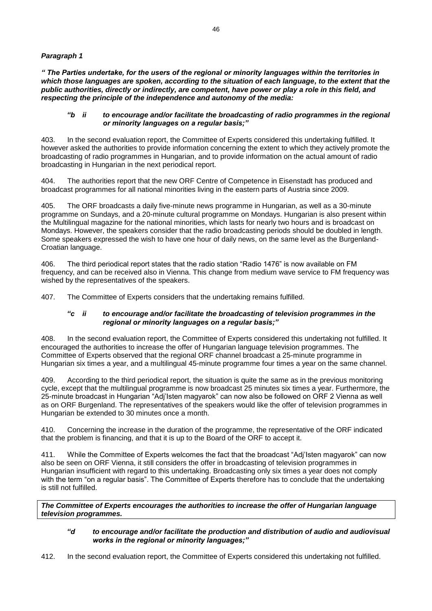## *Paragraph 1*

*" The Parties undertake, for the users of the regional or minority languages within the territories in which those languages are spoken, according to the situation of each language, to the extent that the public authorities, directly or indirectly, are competent, have power or play a role in this field, and respecting the principle of the independence and autonomy of the media:*

#### *"b ii to encourage and/or facilitate the broadcasting of radio programmes in the regional or minority languages on a regular basis;"*

403. In the second evaluation report, the Committee of Experts considered this undertaking fulfilled. It however asked the authorities to provide information concerning the extent to which they actively promote the broadcasting of radio programmes in Hungarian, and to provide information on the actual amount of radio broadcasting in Hungarian in the next periodical report.

404. The authorities report that the new ORF Centre of Competence in Eisenstadt has produced and broadcast programmes for all national minorities living in the eastern parts of Austria since 2009.

405. The ORF broadcasts a daily five-minute news programme in Hungarian, as well as a 30-minute programme on Sundays, and a 20-minute cultural programme on Mondays. Hungarian is also present within the Multilingual magazine for the national minorities, which lasts for nearly two hours and is broadcast on Mondays. However, the speakers consider that the radio broadcasting periods should be doubled in length. Some speakers expressed the wish to have one hour of daily news, on the same level as the Burgenland-Croatian language.

406. The third periodical report states that the radio station "Radio 1476" is now available on FM frequency, and can be received also in Vienna. This change from medium wave service to FM frequency was wished by the representatives of the speakers.

407. The Committee of Experts considers that the undertaking remains fulfilled.

#### *"c ii to encourage and/or facilitate the broadcasting of television programmes in the regional or minority languages on a regular basis;"*

408. In the second evaluation report, the Committee of Experts considered this undertaking not fulfilled. It encouraged the authorities to increase the offer of Hungarian language television programmes. The Committee of Experts observed that the regional ORF channel broadcast a 25-minute programme in Hungarian six times a year, and a multilingual 45-minute programme four times a year on the same channel.

409. According to the third periodical report, the situation is quite the same as in the previous monitoring cycle, except that the multilingual programme is now broadcast 25 minutes six times a year. Furthermore, the 25-minute broadcast in Hungarian "Adj'Isten magyarok" can now also be followed on ORF 2 Vienna as well as on ORF Burgenland. The representatives of the speakers would like the offer of television programmes in Hungarian be extended to 30 minutes once a month.

410. Concerning the increase in the duration of the programme, the representative of the ORF indicated that the problem is financing, and that it is up to the Board of the ORF to accept it.

411. While the Committee of Experts welcomes the fact that the broadcast "Adj'Isten magyarok" can now also be seen on ORF Vienna, it still considers the offer in broadcasting of television programmes in Hungarian insufficient with regard to this undertaking. Broadcasting only six times a year does not comply with the term "on a regular basis". The Committee of Experts therefore has to conclude that the undertaking is still not fulfilled.

*The Committee of Experts encourages the authorities to increase the offer of Hungarian language television programmes.*

#### *"d to encourage and/or facilitate the production and distribution of audio and audiovisual works in the regional or minority languages;"*

412. In the second evaluation report, the Committee of Experts considered this undertaking not fulfilled.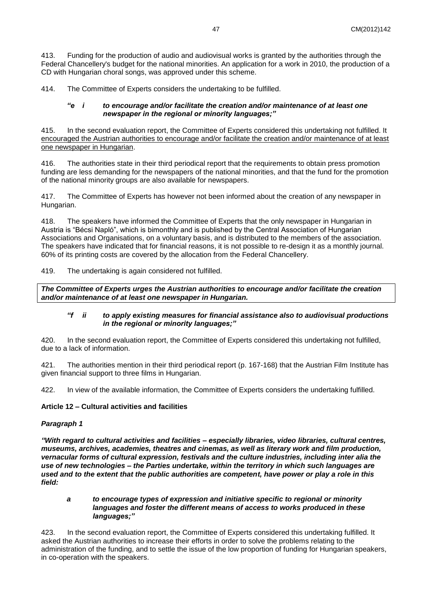413. Funding for the production of audio and audiovisual works is granted by the authorities through the Federal Chancellery's budget for the national minorities. An application for a work in 2010, the production of a CD with Hungarian choral songs, was approved under this scheme.

414. The Committee of Experts considers the undertaking to be fulfilled.

#### *"e i to encourage and/or facilitate the creation and/or maintenance of at least one newspaper in the regional or minority languages;"*

415. In the second evaluation report, the Committee of Experts considered this undertaking not fulfilled. It encouraged the Austrian authorities to encourage and/or facilitate the creation and/or maintenance of at least one newspaper in Hungarian.

416. The authorities state in their third periodical report that the requirements to obtain press promotion funding are less demanding for the newspapers of the national minorities, and that the fund for the promotion of the national minority groups are also available for newspapers.

417. The Committee of Experts has however not been informed about the creation of any newspaper in Hungarian.

418. The speakers have informed the Committee of Experts that the only newspaper in Hungarian in Austria is "Bécsi Napló", which is bimonthly and is published by the Central Association of Hungarian Associations and Organisations, on a voluntary basis, and is distributed to the members of the association. The speakers have indicated that for financial reasons, it is not possible to re-design it as a monthly journal. 60% of its printing costs are covered by the allocation from the Federal Chancellery.

419. The undertaking is again considered not fulfilled.

*The Committee of Experts urges the Austrian authorities to encourage and/or facilitate the creation and/or maintenance of at least one newspaper in Hungarian.*

## *"f ii to apply existing measures for financial assistance also to audiovisual productions in the regional or minority languages;"*

420. In the second evaluation report, the Committee of Experts considered this undertaking not fulfilled, due to a lack of information.

421. The authorities mention in their third periodical report (p. 167-168) that the Austrian Film Institute has given financial support to three films in Hungarian.

422. In view of the available information, the Committee of Experts considers the undertaking fulfilled.

## **Article 12 – Cultural activities and facilities**

## *Paragraph 1*

*"With regard to cultural activities and facilities – especially libraries, video libraries, cultural centres, museums, archives, academies, theatres and cinemas, as well as literary work and film production, vernacular forms of cultural expression, festivals and the culture industries, including inter alia the use of new technologies – the Parties undertake, within the territory in which such languages are used and to the extent that the public authorities are competent, have power or play a role in this field:*

#### *a to encourage types of expression and initiative specific to regional or minority languages and foster the different means of access to works produced in these languages;"*

423. In the second evaluation report, the Committee of Experts considered this undertaking fulfilled. It asked the Austrian authorities to increase their efforts in order to solve the problems relating to the administration of the funding, and to settle the issue of the low proportion of funding for Hungarian speakers, in co-operation with the speakers.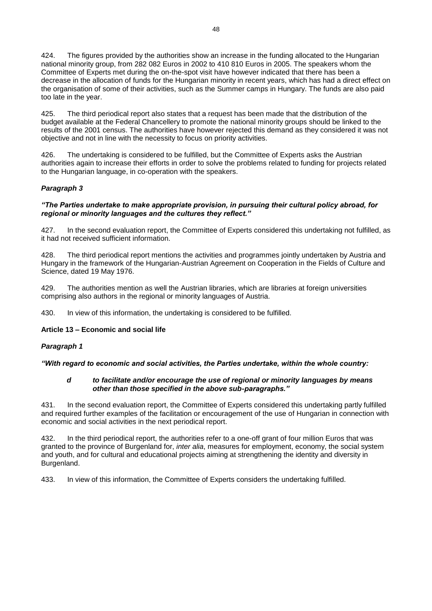424. The figures provided by the authorities show an increase in the funding allocated to the Hungarian national minority group, from 282 082 Euros in 2002 to 410 810 Euros in 2005. The speakers whom the Committee of Experts met during the on-the-spot visit have however indicated that there has been a decrease in the allocation of funds for the Hungarian minority in recent years, which has had a direct effect on the organisation of some of their activities, such as the Summer camps in Hungary. The funds are also paid too late in the year.

425. The third periodical report also states that a request has been made that the distribution of the budget available at the Federal Chancellery to promote the national minority groups should be linked to the results of the 2001 census. The authorities have however rejected this demand as they considered it was not objective and not in line with the necessity to focus on priority activities.

426. The undertaking is considered to be fulfilled, but the Committee of Experts asks the Austrian authorities again to increase their efforts in order to solve the problems related to funding for projects related to the Hungarian language, in co-operation with the speakers.

# *Paragraph 3*

#### *"The Parties undertake to make appropriate provision, in pursuing their cultural policy abroad, for regional or minority languages and the cultures they reflect."*

427. In the second evaluation report, the Committee of Experts considered this undertaking not fulfilled, as it had not received sufficient information.

428. The third periodical report mentions the activities and programmes jointly undertaken by Austria and Hungary in the framework of the Hungarian-Austrian Agreement on Cooperation in the Fields of Culture and Science, dated 19 May 1976.

429. The authorities mention as well the Austrian libraries, which are libraries at foreign universities comprising also authors in the regional or minority languages of Austria.

430. In view of this information, the undertaking is considered to be fulfilled.

#### **Article 13 – Economic and social life**

## *Paragraph 1*

*"With regard to economic and social activities, the Parties undertake, within the whole country:*

#### *d to facilitate and/or encourage the use of regional or minority languages by means other than those specified in the above sub-paragraphs."*

431. In the second evaluation report, the Committee of Experts considered this undertaking partly fulfilled and required further examples of the facilitation or encouragement of the use of Hungarian in connection with economic and social activities in the next periodical report.

432. In the third periodical report, the authorities refer to a one-off grant of four million Euros that was granted to the province of Burgenland for, *inter alia*, measures for employment, economy, the social system and youth, and for cultural and educational projects aiming at strengthening the identity and diversity in Burgenland.

433. In view of this information, the Committee of Experts considers the undertaking fulfilled.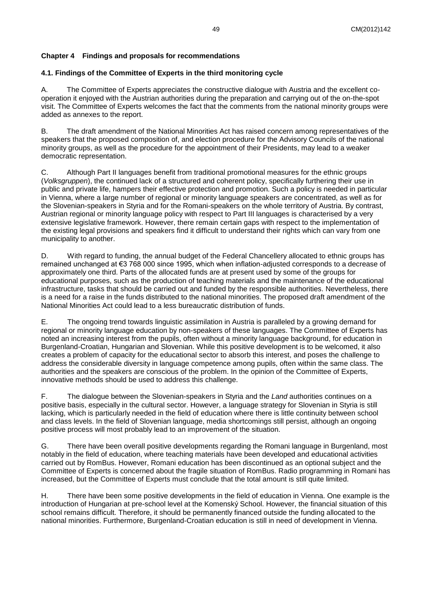# <span id="page-48-0"></span>**Chapter 4 Findings and proposals for recommendations**

# <span id="page-48-1"></span>**4.1. Findings of the Committee of Experts in the third monitoring cycle**

A. The Committee of Experts appreciates the constructive dialogue with Austria and the excellent cooperation it enjoyed with the Austrian authorities during the preparation and carrying out of the on-the-spot visit. The Committee of Experts welcomes the fact that the comments from the national minority groups were added as annexes to the report.

B. The draft amendment of the National Minorities Act has raised concern among representatives of the speakers that the proposed composition of, and election procedure for the Advisory Councils of the national minority groups, as well as the procedure for the appointment of their Presidents, may lead to a weaker democratic representation.

C. Although Part II languages benefit from traditional promotional measures for the ethnic groups (*Volksgruppen*), the continued lack of a structured and coherent policy, specifically furthering their use in public and private life, hampers their effective protection and promotion. Such a policy is needed in particular in Vienna, where a large number of regional or minority language speakers are concentrated, as well as for the Slovenian-speakers in Styria and for the Romani-speakers on the whole territory of Austria. By contrast, Austrian regional or minority language policy with respect to Part III languages is characterised by a very extensive legislative framework. However, there remain certain gaps with respect to the implementation of the existing legal provisions and speakers find it difficult to understand their rights which can vary from one municipality to another.

D. With regard to funding, the annual budget of the Federal Chancellery allocated to ethnic groups has remained unchanged at €3 768 000 since 1995, which when inflation-adjusted corresponds to a decrease of approximately one third. Parts of the allocated funds are at present used by some of the groups for educational purposes, such as the production of teaching materials and the maintenance of the educational infrastructure, tasks that should be carried out and funded by the responsible authorities. Nevertheless, there is a need for a raise in the funds distributed to the national minorities. The proposed draft amendment of the National Minorities Act could lead to a less bureaucratic distribution of funds.

E. The ongoing trend towards linguistic assimilation in Austria is paralleled by a growing demand for regional or minority language education by non-speakers of these languages. The Committee of Experts has noted an increasing interest from the pupils, often without a minority language background, for education in Burgenland-Croatian, Hungarian and Slovenian. While this positive development is to be welcomed, it also creates a problem of capacity for the educational sector to absorb this interest, and poses the challenge to address the considerable diversity in language competence among pupils, often within the same class. The authorities and the speakers are conscious of the problem. In the opinion of the Committee of Experts, innovative methods should be used to address this challenge.

F. The dialogue between the Slovenian-speakers in Styria and the *Land* authorities continues on a positive basis, especially in the cultural sector. However, a language strategy for Slovenian in Styria is still lacking, which is particularly needed in the field of education where there is little continuity between school and class levels. In the field of Slovenian language, media shortcomings still persist, although an ongoing positive process will most probably lead to an improvement of the situation.

G. There have been overall positive developments regarding the Romani language in Burgenland, most notably in the field of education, where teaching materials have been developed and educational activities carried out by RomBus. However, Romani education has been discontinued as an optional subject and the Committee of Experts is concerned about the fragile situation of RomBus. Radio programming in Romani has increased, but the Committee of Experts must conclude that the total amount is still quite limited.

H. There have been some positive developments in the field of education in Vienna. One example is the introduction of Hungarian at pre-school level at the Komenský School. However, the financial situation of this school remains difficult. Therefore, it should be permanently financed outside the funding allocated to the national minorities. Furthermore, Burgenland-Croatian education is still in need of development in Vienna.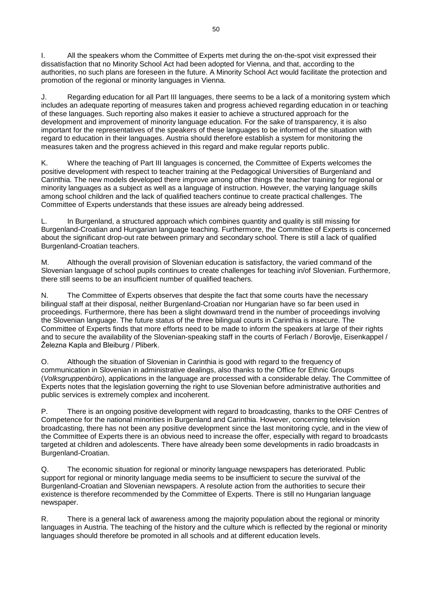I. All the speakers whom the Committee of Experts met during the on-the-spot visit expressed their dissatisfaction that no Minority School Act had been adopted for Vienna, and that, according to the authorities, no such plans are foreseen in the future. A Minority School Act would facilitate the protection and promotion of the regional or minority languages in Vienna.

J. Regarding education for all Part III languages, there seems to be a lack of a monitoring system which includes an adequate reporting of measures taken and progress achieved regarding education in or teaching of these languages. Such reporting also makes it easier to achieve a structured approach for the development and improvement of minority language education. For the sake of transparency, it is also important for the representatives of the speakers of these languages to be informed of the situation with regard to education in their languages. Austria should therefore establish a system for monitoring the measures taken and the progress achieved in this regard and make regular reports public.

K. Where the teaching of Part III languages is concerned, the Committee of Experts welcomes the positive development with respect to teacher training at the Pedagogical Universities of Burgenland and Carinthia. The new models developed there improve among other things the teacher training for regional or minority languages as a subject as well as a language of instruction. However, the varying language skills among school children and the lack of qualified teachers continue to create practical challenges. The Committee of Experts understands that these issues are already being addressed.

L. In Burgenland, a structured approach which combines quantity and quality is still missing for Burgenland-Croatian and Hungarian language teaching. Furthermore, the Committee of Experts is concerned about the significant drop-out rate between primary and secondary school. There is still a lack of qualified Burgenland-Croatian teachers.

M. Although the overall provision of Slovenian education is satisfactory, the varied command of the Slovenian language of school pupils continues to create challenges for teaching in/of Slovenian. Furthermore, there still seems to be an insufficient number of qualified teachers.

N. The Committee of Experts observes that despite the fact that some courts have the necessary bilingual staff at their disposal, neither Burgenland-Croatian nor Hungarian have so far been used in proceedings. Furthermore, there has been a slight downward trend in the number of proceedings involving the Slovenian language. The future status of the three bilingual courts in Carinthia is insecure. The Committee of Experts finds that more efforts need to be made to inform the speakers at large of their rights and to secure the availability of the Slovenian-speaking staff in the courts of Ferlach / Borovlje, Eisenkappel / Železna Kapla and Bleiburg / Pliberk.

O. Although the situation of Slovenian in Carinthia is good with regard to the frequency of communication in Slovenian in administrative dealings, also thanks to the Office for Ethnic Groups (*Volksgruppenbüro*), applications in the language are processed with a considerable delay. The Committee of Experts notes that the legislation governing the right to use Slovenian before administrative authorities and public services is extremely complex and incoherent.

P. There is an ongoing positive development with regard to broadcasting, thanks to the ORF Centres of Competence for the national minorities in Burgenland and Carinthia. However, concerning television broadcasting, there has not been any positive development since the last monitoring cycle, and in the view of the Committee of Experts there is an obvious need to increase the offer, especially with regard to broadcasts targeted at children and adolescents. There have already been some developments in radio broadcasts in Burgenland-Croatian.

Q. The economic situation for regional or minority language newspapers has deteriorated. Public support for regional or minority language media seems to be insufficient to secure the survival of the Burgenland-Croatian and Slovenian newspapers. A resolute action from the authorities to secure their existence is therefore recommended by the Committee of Experts. There is still no Hungarian language newspaper.

R. There is a general lack of awareness among the majority population about the regional or minority languages in Austria. The teaching of the history and the culture which is reflected by the regional or minority languages should therefore be promoted in all schools and at different education levels.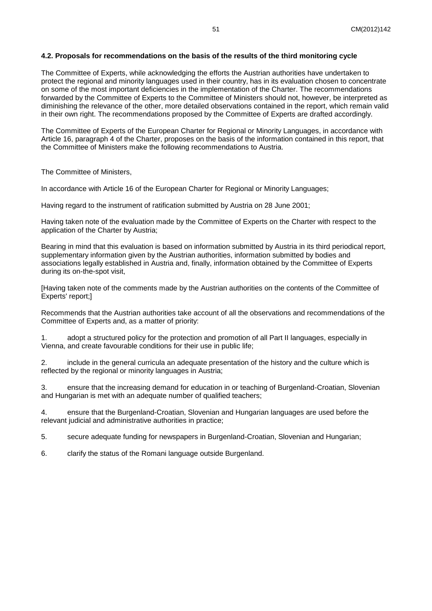#### <span id="page-50-0"></span>**4.2. Proposals for recommendations on the basis of the results of the third monitoring cycle**

The Committee of Experts, while acknowledging the efforts the Austrian authorities have undertaken to protect the regional and minority languages used in their country, has in its evaluation chosen to concentrate on some of the most important deficiencies in the implementation of the Charter. The recommendations forwarded by the Committee of Experts to the Committee of Ministers should not, however, be interpreted as diminishing the relevance of the other, more detailed observations contained in the report, which remain valid in their own right. The recommendations proposed by the Committee of Experts are drafted accordingly.

The Committee of Experts of the European Charter for Regional or Minority Languages, in accordance with Article 16, paragraph 4 of the Charter, proposes on the basis of the information contained in this report, that the Committee of Ministers make the following recommendations to Austria.

The Committee of Ministers,

In accordance with Article 16 of the European Charter for Regional or Minority Languages;

Having regard to the instrument of ratification submitted by Austria on 28 June 2001;

Having taken note of the evaluation made by the Committee of Experts on the Charter with respect to the application of the Charter by Austria;

Bearing in mind that this evaluation is based on information submitted by Austria in its third periodical report, supplementary information given by the Austrian authorities, information submitted by bodies and associations legally established in Austria and, finally, information obtained by the Committee of Experts during its on-the-spot visit,

[Having taken note of the comments made by the Austrian authorities on the contents of the Committee of Experts' report;]

Recommends that the Austrian authorities take account of all the observations and recommendations of the Committee of Experts and, as a matter of priority:

1. adopt a structured policy for the protection and promotion of all Part II languages, especially in Vienna, and create favourable conditions for their use in public life;

2. include in the general curricula an adequate presentation of the history and the culture which is reflected by the regional or minority languages in Austria;

3. ensure that the increasing demand for education in or teaching of Burgenland-Croatian, Slovenian and Hungarian is met with an adequate number of qualified teachers;

4. ensure that the Burgenland-Croatian, Slovenian and Hungarian languages are used before the relevant judicial and administrative authorities in practice;

5. secure adequate funding for newspapers in Burgenland-Croatian, Slovenian and Hungarian;

6. clarify the status of the Romani language outside Burgenland.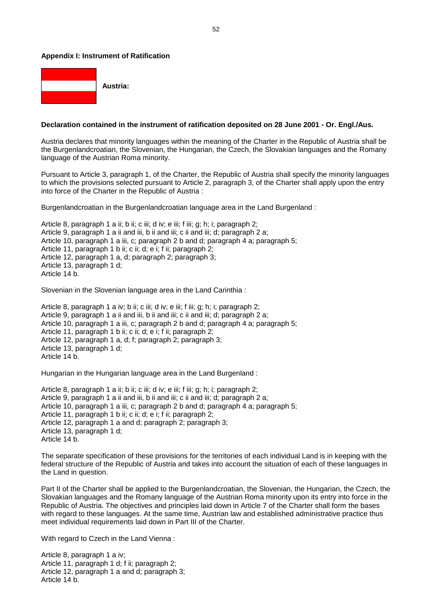#### <span id="page-51-0"></span>**Appendix I: Instrument of Ratification**



#### **Declaration contained in the instrument of ratification deposited on 28 June 2001 - Or. Engl./Aus.**

Austria declares that minority languages within the meaning of the Charter in the Republic of Austria shall be the Burgenlandcroatian, the Slovenian, the Hungarian, the Czech, the Slovakian languages and the Romany language of the Austrian Roma minority.

Pursuant to Article 3, paragraph 1, of the Charter, the Republic of Austria shall specify the minority languages to which the provisions selected pursuant to Article 2, paragraph 3, of the Charter shall apply upon the entry into force of the Charter in the Republic of Austria :

Burgenlandcroatian in the Burgenlandcroatian language area in the Land Burgenland :

Article 8, paragraph 1 a ii; b ii; c iii; d iv; e iii; f iii; g; h; i; paragraph 2; Article 9, paragraph 1 a ii and iii, b ii and iii; c ii and iii; d; paragraph 2 a; Article 10, paragraph 1 a iii, c; paragraph 2 b and d; paragraph 4 a; paragraph 5; Article 11, paragraph 1 b ii; c ii; d; e i; f ii; paragraph 2; Article 12, paragraph 1 a, d; paragraph 2; paragraph 3; Article 13, paragraph 1 d; Article 14 b.

Slovenian in the Slovenian language area in the Land Carinthia :

Article 8, paragraph 1 a iv; b ii; c iii; d iv; e iii; f iii; g; h; i; paragraph 2; Article 9, paragraph 1 a ii and iii, b ii and iii; c ii and iii; d; paragraph 2 a; Article 10, paragraph 1 a iii, c; paragraph 2 b and d; paragraph 4 a; paragraph 5; Article 11, paragraph 1 b ii; c ii; d; e i; f ii; paragraph 2; Article 12, paragraph 1 a, d; f; paragraph 2; paragraph 3; Article 13, paragraph 1 d; Article 14 b.

Hungarian in the Hungarian language area in the Land Burgenland :

Article 8, paragraph 1 a ii; b ii; c iii; d iv; e iii; f iii; g; h; i; paragraph 2; Article 9, paragraph 1 a ii and iii, b ii and iii; c ii and iii; d; paragraph 2 a; Article 10, paragraph 1 a iii, c; paragraph 2 b and d; paragraph 4 a; paragraph 5; Article 11, paragraph 1 b ii; c ii; d; e i; f ii; paragraph 2; Article 12, paragraph 1 a and d; paragraph 2; paragraph 3; Article 13, paragraph 1 d; Article 14 b.

The separate specification of these provisions for the territories of each individual Land is in keeping with the federal structure of the Republic of Austria and takes into account the situation of each of these languages in the Land in question.

Part II of the Charter shall be applied to the Burgenlandcroatian, the Slovenian, the Hungarian, the Czech, the Slovakian languages and the Romany language of the Austrian Roma minority upon its entry into force in the Republic of Austria. The objectives and principles laid down in Article 7 of the Charter shall form the bases with regard to these languages. At the same time, Austrian law and established administrative practice thus meet individual requirements laid down in Part III of the Charter.

With regard to Czech in the Land Vienna:

Article 8, paragraph 1 a iv; Article 11, paragraph 1 d; f ii; paragraph 2; Article 12, paragraph 1 a and d; paragraph 3; Article 14 b.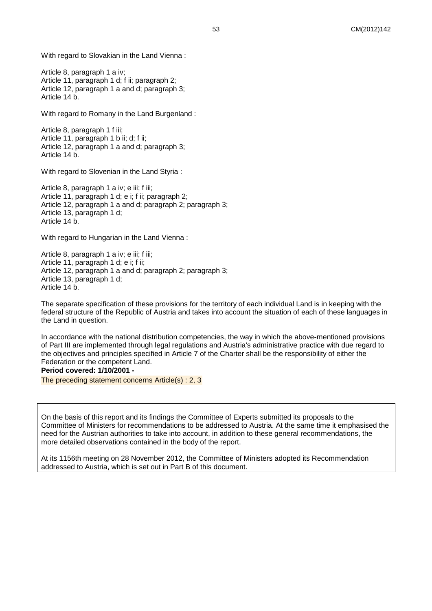With regard to Slovakian in the Land Vienna :

Article 8, paragraph 1 a iv; Article 11, paragraph 1 d; f ii; paragraph 2; Article 12, paragraph 1 a and d; paragraph 3; Article 14 b.

With regard to Romany in the Land Burgenland :

Article 8, paragraph 1 f iii; Article 11, paragraph 1 b ii; d; f ii; Article 12, paragraph 1 a and d; paragraph 3; Article 14 b.

With regard to Slovenian in the Land Styria :

Article 8, paragraph 1 a iv; e iii; f iii; Article 11, paragraph 1 d; e i; f ii; paragraph 2; Article 12, paragraph 1 a and d; paragraph 2; paragraph 3; Article 13, paragraph 1 d; Article 14 b.

With regard to Hungarian in the Land Vienna :

Article 8, paragraph 1 a iv; e iii; f iii; Article 11, paragraph 1 d; e i; f ii; Article 12, paragraph 1 a and d; paragraph 2; paragraph 3; Article 13, paragraph 1 d; Article 14 b.

The separate specification of these provisions for the territory of each individual Land is in keeping with the federal structure of the Republic of Austria and takes into account the situation of each of these languages in the Land in question.

In accordance with the national distribution competencies, the way in which the above-mentioned provisions of Part III are implemented through legal regulations and Austria's administrative practice with due regard to the objectives and principles specified in Article 7 of the Charter shall be the responsibility of either the Federation or the competent Land.

**Period covered: 1/10/2001 -**

The preceding statement concerns Article(s) : 2, 3

On the basis of this report and its findings the Committee of Experts submitted its proposals to the Committee of Ministers for recommendations to be addressed to Austria. At the same time it emphasised the need for the Austrian authorities to take into account, in addition to these general recommendations, the more detailed observations contained in the body of the report.

At its 1156th meeting on 28 November 2012, the Committee of Ministers adopted its Recommendation addressed to Austria, which is set out in Part B of this document.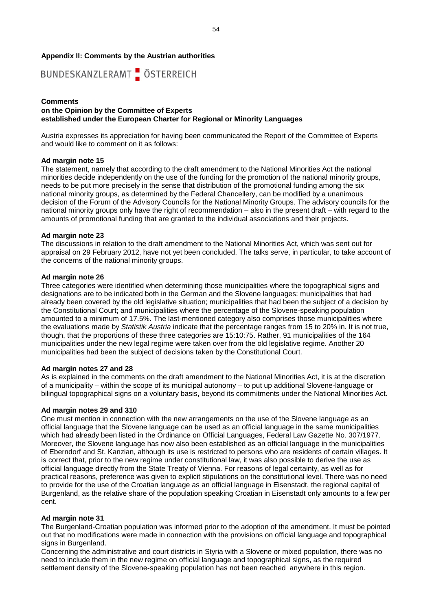#### <span id="page-53-0"></span>**Appendix II: Comments by the Austrian authorities**



#### **Comments on the Opinion by the Committee of Experts established under the European Charter for Regional or Minority Languages**

Austria expresses its appreciation for having been communicated the Report of the Committee of Experts and would like to comment on it as follows:

#### **Ad margin note 15**

The statement, namely that according to the draft amendment to the National Minorities Act the national minorities decide independently on the use of the funding for the promotion of the national minority groups, needs to be put more precisely in the sense that distribution of the promotional funding among the six national minority groups, as determined by the Federal Chancellery, can be modified by a unanimous decision of the Forum of the Advisory Councils for the National Minority Groups. The advisory councils for the national minority groups only have the right of recommendation – also in the present draft – with regard to the amounts of promotional funding that are granted to the individual associations and their projects.

#### **Ad margin note 23**

The discussions in relation to the draft amendment to the National Minorities Act, which was sent out for appraisal on 29 February 2012, have not yet been concluded. The talks serve, in particular, to take account of the concerns of the national minority groups.

#### **Ad margin note 26**

Three categories were identified when determining those municipalities where the topographical signs and designations are to be indicated both in the German and the Slovene languages: municipalities that had already been covered by the old legislative situation; municipalities that had been the subject of a decision by the Constitutional Court; and municipalities where the percentage of the Slovene-speaking population amounted to a minimum of 17.5%. The last-mentioned category also comprises those municipalities where the evaluations made by *Statistik Austria* indicate that the percentage ranges from 15 to 20% in. It is not true, though, that the proportions of these three categories are 15:10:75. Rather, 91 municipalities of the 164 municipalities under the new legal regime were taken over from the old legislative regime. Another 20 municipalities had been the subject of decisions taken by the Constitutional Court.

#### **Ad margin notes 27 and 28**

As is explained in the comments on the draft amendment to the National Minorities Act, it is at the discretion of a municipality – within the scope of its municipal autonomy – to put up additional Slovene-language or bilingual topographical signs on a voluntary basis, beyond its commitments under the National Minorities Act.

#### **Ad margin notes 29 and 310**

One must mention in connection with the new arrangements on the use of the Slovene language as an official language that the Slovene language can be used as an official language in the same municipalities which had already been listed in the Ordinance on Official Languages, Federal Law Gazette No. 307/1977. Moreover, the Slovene language has now also been established as an official language in the municipalities of Eberndorf and St. Kanzian, although its use is restricted to persons who are residents of certain villages. It is correct that, prior to the new regime under constitutional law, it was also possible to derive the use as official language directly from the State Treaty of Vienna. For reasons of legal certainty, as well as for practical reasons, preference was given to explicit stipulations on the constitutional level. There was no need to provide for the use of the Croatian language as an official language in Eisenstadt, the regional capital of Burgenland, as the relative share of the population speaking Croatian in Eisenstadt only amounts to a few per cent.

#### **Ad margin note 31**

The Burgenland-Croatian population was informed prior to the adoption of the amendment. It must be pointed out that no modifications were made in connection with the provisions on official language and topographical signs in Burgenland.

Concerning the administrative and court districts in Styria with a Slovene or mixed population, there was no need to include them in the new regime on official language and topographical signs, as the required settlement density of the Slovene-speaking population has not been reached anywhere in this region.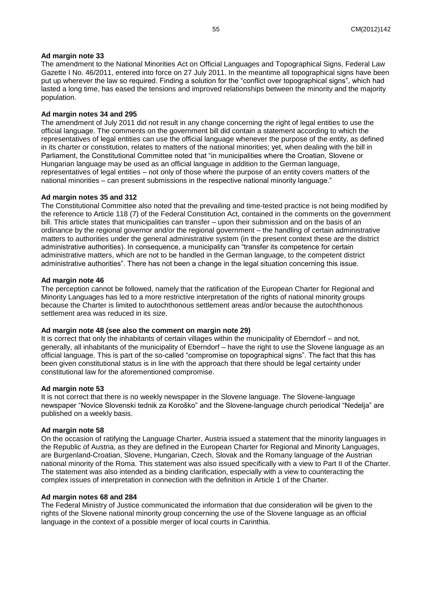#### **Ad margin note 33**

The amendment to the National Minorities Act on Official Languages and Topographical Signs, Federal Law Gazette I No. 46/2011, entered into force on 27 July 2011. In the meantime all topographical signs have been put up wherever the law so required. Finding a solution for the "conflict over topographical signs", which had lasted a long time, has eased the tensions and improved relationships between the minority and the majority population.

#### **Ad margin notes 34 and 295**

The amendment of July 2011 did not result in any change concerning the right of legal entities to use the official language. The comments on the government bill did contain a statement according to which the representatives of legal entities can use the official language whenever the purpose of the entity, as defined in its charter or constitution, relates to matters of the national minorities; yet, when dealing with the bill in Parliament, the Constitutional Committee noted that "in municipalities where the Croatian, Slovene or Hungarian language may be used as an official language in addition to the German language, representatives of legal entities – not only of those where the purpose of an entity covers matters of the national minorities – can present submissions in the respective national minority language."

#### **Ad margin notes 35 and 312**

The Constitutional Committee also noted that the prevailing and time-tested practice is not being modified by the reference to Article 118 (7) of the Federal Constitution Act, contained in the comments on the government bill. This article states that municipalities can transfer – upon their submission and on the basis of an ordinance by the regional governor and/or the regional government – the handling of certain administrative matters to authorities under the general administrative system (in the present context these are the district administrative authorities). In consequence, a municipality can "transfer its competence for certain administrative matters, which are not to be handled in the German language, to the competent district administrative authorities". There has not been a change in the legal situation concerning this issue.

#### **Ad margin note 46**

The perception cannot be followed, namely that the ratification of the European Charter for Regional and Minority Languages has led to a more restrictive interpretation of the rights of national minority groups because the Charter is limited to autochthonous settlement areas and/or because the autochthonous settlement area was reduced in its size.

#### **Ad margin note 48 (see also the comment on margin note 29)**

It is correct that only the inhabitants of certain villages within the municipality of Eberndorf – and not, generally, all inhabitants of the municipality of Eberndorf – have the right to use the Slovene language as an official language. This is part of the so-called "compromise on topographical signs". The fact that this has been given constitutional status is in line with the approach that there should be legal certainty under constitutional law for the aforementioned compromise.

#### **Ad margin note 53**

It is not correct that there is no weekly newspaper in the Slovene language. The Slovene-language newspaper "Novice Slovenski tednik za Koroško" and the Slovene-language church periodical "Nedelja" are published on a weekly basis.

#### **Ad margin note 58**

On the occasion of ratifying the Language Charter, Austria issued a statement that the minority languages in the Republic of Austria, as they are defined in the European Charter for Regional and Minority Languages, are Burgenland-Croatian, Slovene, Hungarian, Czech, Slovak and the Romany language of the Austrian national minority of the Roma. This statement was also issued specifically with a view to Part II of the Charter. The statement was also intended as a binding clarification, especially with a view to counteracting the complex issues of interpretation in connection with the definition in Article 1 of the Charter.

#### **Ad margin notes 68 and 284**

The Federal Ministry of Justice communicated the information that due consideration will be given to the rights of the Slovene national minority group concerning the use of the Slovene language as an official language in the context of a possible merger of local courts in Carinthia.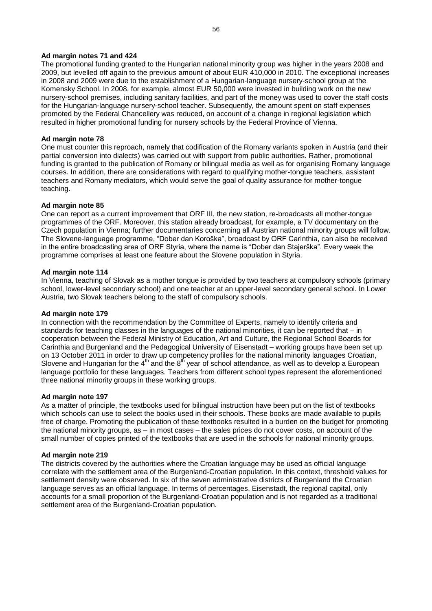#### **Ad margin notes 71 and 424**

The promotional funding granted to the Hungarian national minority group was higher in the years 2008 and 2009, but levelled off again to the previous amount of about EUR 410,000 in 2010. The exceptional increases in 2008 and 2009 were due to the establishment of a Hungarian-language nursery-school group at the Komensky School. In 2008, for example, almost EUR 50,000 were invested in building work on the new nursery-school premises, including sanitary facilities, and part of the money was used to cover the staff costs for the Hungarian-language nursery-school teacher. Subsequently, the amount spent on staff expenses promoted by the Federal Chancellery was reduced, on account of a change in regional legislation which resulted in higher promotional funding for nursery schools by the Federal Province of Vienna.

#### **Ad margin note 78**

One must counter this reproach, namely that codification of the Romany variants spoken in Austria (and their partial conversion into dialects) was carried out with support from public authorities. Rather, promotional funding is granted to the publication of Romany or bilingual media as well as for organising Romany language courses. In addition, there are considerations with regard to qualifying mother-tongue teachers, assistant teachers and Romany mediators, which would serve the goal of quality assurance for mother-tongue teaching.

#### **Ad margin note 85**

One can report as a current improvement that ORF III, the new station, re-broadcasts all mother-tongue programmes of the ORF. Moreover, this station already broadcast, for example, a TV documentary on the Czech population in Vienna; further documentaries concerning all Austrian national minority groups will follow. The Slovene-language programme, "Dober dan Koroška", broadcast by ORF Carinthia, can also be received in the entire broadcasting area of ORF Styria, where the name is "Dober dan Stajerška". Every week the programme comprises at least one feature about the Slovene population in Styria.

#### **Ad margin note 114**

In Vienna, teaching of Slovak as a mother tongue is provided by two teachers at compulsory schools (primary school, lower-level secondary school) and one teacher at an upper-level secondary general school. In Lower Austria, two Slovak teachers belong to the staff of compulsory schools.

#### **Ad margin note 179**

In connection with the recommendation by the Committee of Experts, namely to identify criteria and standards for teaching classes in the languages of the national minorities, it can be reported that – in cooperation between the Federal Ministry of Education, Art and Culture, the Regional School Boards for Carinthia and Burgenland and the Pedagogical University of Eisenstadt – working groups have been set up on 13 October 2011 in order to draw up competency profiles for the national minority languages Croatian, Slovene and Hungarian for the  $4<sup>th</sup>$  and the  $8<sup>th</sup>$  year of school attendance, as well as to develop a European language portfolio for these languages. Teachers from different school types represent the aforementioned three national minority groups in these working groups.

#### **Ad margin note 197**

As a matter of principle, the textbooks used for bilingual instruction have been put on the list of textbooks which schools can use to select the books used in their schools. These books are made available to pupils free of charge. Promoting the publication of these textbooks resulted in a burden on the budget for promoting the national minority groups, as – in most cases – the sales prices do not cover costs, on account of the small number of copies printed of the textbooks that are used in the schools for national minority groups.

#### **Ad margin note 219**

The districts covered by the authorities where the Croatian language may be used as official language correlate with the settlement area of the Burgenland-Croatian population. In this context, threshold values for settlement density were observed. In six of the seven administrative districts of Burgenland the Croatian language serves as an official language. In terms of percentages, Eisenstadt, the regional capital, only accounts for a small proportion of the Burgenland-Croatian population and is not regarded as a traditional settlement area of the Burgenland-Croatian population.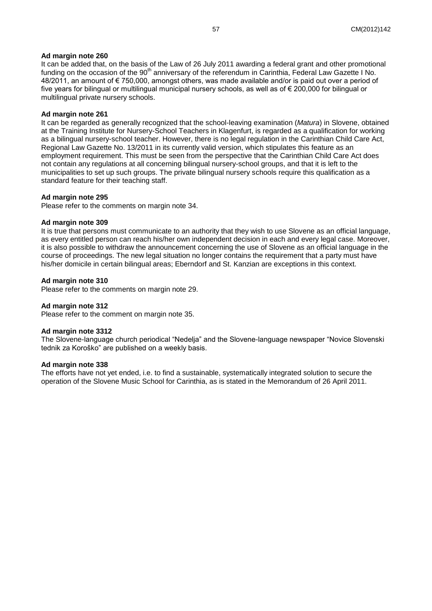#### **Ad margin note 260**

It can be added that, on the basis of the Law of 26 July 2011 awarding a federal grant and other promotional funding on the occasion of the 90<sup>th</sup> anniversary of the referendum in Carinthia, Federal Law Gazette I No. 48/2011, an amount of € 750,000, amongst others, was made available and/or is paid out over a period of five years for bilingual or multilingual municipal nursery schools, as well as of € 200,000 for bilingual or multilingual private nursery schools.

#### **Ad margin note 261**

It can be regarded as generally recognized that the school-leaving examination (*Matura*) in Slovene, obtained at the Training Institute for Nursery-School Teachers in Klagenfurt, is regarded as a qualification for working as a bilingual nursery-school teacher. However, there is no legal regulation in the Carinthian Child Care Act, Regional Law Gazette No. 13/2011 in its currently valid version, which stipulates this feature as an employment requirement. This must be seen from the perspective that the Carinthian Child Care Act does not contain any regulations at all concerning bilingual nursery-school groups, and that it is left to the municipalities to set up such groups. The private bilingual nursery schools require this qualification as a standard feature for their teaching staff.

#### **Ad margin note 295**

Please refer to the comments on margin note 34.

#### **Ad margin note 309**

It is true that persons must communicate to an authority that they wish to use Slovene as an official language, as every entitled person can reach his/her own independent decision in each and every legal case. Moreover, it is also possible to withdraw the announcement concerning the use of Slovene as an official language in the course of proceedings. The new legal situation no longer contains the requirement that a party must have his/her domicile in certain bilingual areas; Eberndorf and St. Kanzian are exceptions in this context.

#### **Ad margin note 310**

Please refer to the comments on margin note 29.

#### **Ad margin note 312**

Please refer to the comment on margin note 35.

#### **Ad margin note 3312**

The Slovene-language church periodical "Nedelja" and the Slovene-language newspaper "Novice Slovenski tednik za Koroško" are published on a weekly basis.

#### **Ad margin note 338**

The efforts have not yet ended, i.e. to find a sustainable, systematically integrated solution to secure the operation of the Slovene Music School for Carinthia, as is stated in the Memorandum of 26 April 2011.